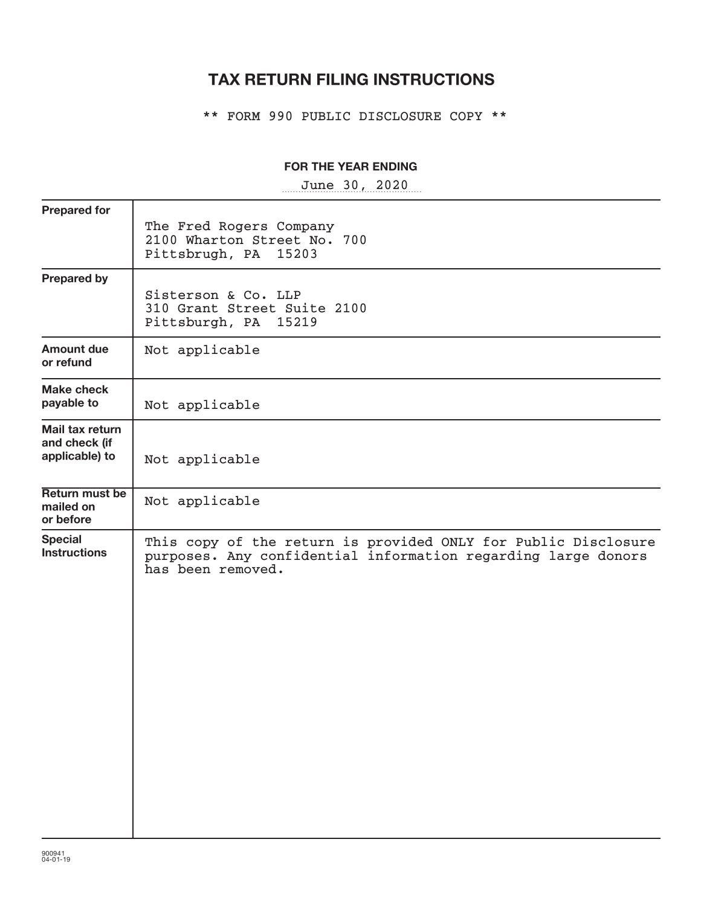## **TAX RETURN FILING INSTRUCTIONS**

\*\* FORM 990 PUBLIC DISCLOSURE COPY \*\*

## **FOR THE YEAR ENDING**

~~~~~~~~~~~~~~~~~ June 30, 2020

| <b>Prepared for</b>                                |                                                                                                                                                      |
|----------------------------------------------------|------------------------------------------------------------------------------------------------------------------------------------------------------|
|                                                    | The Fred Rogers Company<br>2100 Wharton Street No. 700<br>Pittsbrugh, PA 15203                                                                       |
| <b>Prepared by</b>                                 | Sisterson & Co. LLP<br>310 Grant Street Suite 2100<br>Pittsburgh, PA 15219                                                                           |
| <b>Amount due</b><br>or refund                     | Not applicable                                                                                                                                       |
| <b>Make check</b><br>payable to                    | Not applicable                                                                                                                                       |
| Mail tax return<br>and check (if<br>applicable) to | Not applicable                                                                                                                                       |
| Return must be<br>mailed on<br>or before           | Not applicable                                                                                                                                       |
| <b>Special</b><br><b>Instructions</b>              | This copy of the return is provided ONLY for Public Disclosure<br>purposes. Any confidential information regarding large donors<br>has been removed. |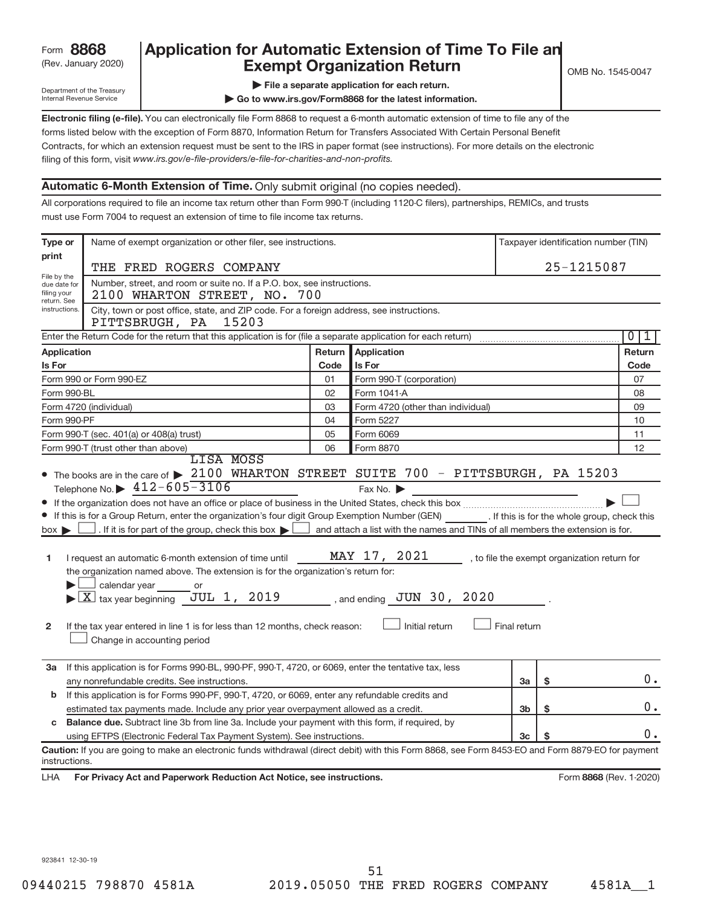## (Rev. January 2020) **Cxempt Organization Return** Manuary 2020) and MS 1545-0047 Form **8868** Application for Automatic Extension of Time To File an<br>**Exempt Organization Return**

Department of the Treasury Internal Revenue Service

**| Go to www.irs.gov/Form8868 for the latest information.**

**Electronic filing (e-file).**  You can electronically file Form 8868 to request a 6-month automatic extension of time to file any of the filing of this form, visit www.irs.gov/e-file-providers/e-file-for-charities-and-non-profits. forms listed below with the exception of Form 8870, Information Return for Transfers Associated With Certain Personal Benefit Contracts, for which an extension request must be sent to the IRS in paper format (see instructions). For more details on the electronic

## **Automatic 6-Month Extension of Time.** Only submit original (no copies needed).

All corporations required to file an income tax return other than Form 990-T (including 1120-C filers), partnerships, REMICs, and trusts must use Form 7004 to request an extension of time to file income tax returns.

| Type or                                    | Name of exempt organization or other filer, see instructions.                                                                                      |        |                                                                                |              |            | Taxpayer identification number (TIN)         |
|--------------------------------------------|----------------------------------------------------------------------------------------------------------------------------------------------------|--------|--------------------------------------------------------------------------------|--------------|------------|----------------------------------------------|
| print                                      |                                                                                                                                                    |        |                                                                                |              | 25-1215087 |                                              |
| THE FRED ROGERS COMPANY<br>File by the     |                                                                                                                                                    |        |                                                                                |              |            |                                              |
| due date for<br>filing your<br>return. See | Number, street, and room or suite no. If a P.O. box, see instructions.<br>2100 WHARTON STREET, NO. 700                                             |        |                                                                                |              |            |                                              |
| instructions.                              | City, town or post office, state, and ZIP code. For a foreign address, see instructions.<br>PITTSBRUGH, PA 15203                                   |        |                                                                                |              |            |                                              |
|                                            | Enter the Return Code for the return that this application is for (file a separate application for each return)                                    |        |                                                                                |              |            | 0<br>1                                       |
| Application                                |                                                                                                                                                    | Return | Application                                                                    |              |            | Return                                       |
| Is For                                     |                                                                                                                                                    | Code   | Is For                                                                         |              |            | Code                                         |
|                                            | Form 990 or Form 990-EZ                                                                                                                            | 01     | Form 990-T (corporation)                                                       |              |            | 07                                           |
| Form 990-BL                                |                                                                                                                                                    | 02     | Form 1041-A                                                                    |              |            | 08                                           |
|                                            | Form 4720 (individual)                                                                                                                             | 03     | Form 4720 (other than individual)                                              |              |            | 09                                           |
| Form 990-PF                                |                                                                                                                                                    | 04     | Form 5227                                                                      |              |            | 10                                           |
|                                            | Form 990-T (sec. 401(a) or 408(a) trust)                                                                                                           | 05     | Form 6069                                                                      |              |            | 11                                           |
|                                            | Form 990-T (trust other than above)                                                                                                                | 06     | Form 8870                                                                      |              |            | 12                                           |
|                                            | LISA MOSS                                                                                                                                          |        |                                                                                |              |            |                                              |
|                                            | • The books are in the care of > 2100 WHARTON STREET SUITE 700 - PITTSBURGH, PA 15203                                                              |        |                                                                                |              |            |                                              |
|                                            | Telephone No. $\triangleright$ 412-605-3106                                                                                                        |        | Fax No.                                                                        |              |            |                                              |
|                                            |                                                                                                                                                    |        |                                                                                |              |            |                                              |
|                                            | If this is for a Group Return, enter the organization's four digit Group Exemption Number (GEN) [If this is for the whole group, check this        |        |                                                                                |              |            |                                              |
| $box \blacktriangleright$                  | . If it is for part of the group, check this box $\blacktriangleright$                                                                             |        | and attach a list with the names and TINs of all members the extension is for. |              |            |                                              |
|                                            |                                                                                                                                                    |        |                                                                                |              |            |                                              |
| 1                                          | I request an automatic 6-month extension of time until                                                                                             |        | MAY 17, 2021                                                                   |              |            | , to file the exempt organization return for |
|                                            | the organization named above. The extension is for the organization's return for:                                                                  |        |                                                                                |              |            |                                              |
|                                            | calendar year<br>or                                                                                                                                |        |                                                                                |              |            |                                              |
|                                            | $\blacktriangleright$ $\boxed{\text{X}}$ tax year beginning JUL 1, 2019                                                                            |        | , and ending $JUN$ 30, 2020                                                    |              |            |                                              |
|                                            |                                                                                                                                                    |        |                                                                                |              |            |                                              |
| $\mathbf{2}$                               | If the tax year entered in line 1 is for less than 12 months, check reason:                                                                        |        | Initial return                                                                 | Final return |            |                                              |
|                                            | Change in accounting period                                                                                                                        |        |                                                                                |              |            |                                              |
|                                            |                                                                                                                                                    |        |                                                                                |              |            |                                              |
| За                                         | If this application is for Forms 990-BL, 990-PF, 990-T, 4720, or 6069, enter the tentative tax, less                                               |        |                                                                                |              |            |                                              |
|                                            | any nonrefundable credits. See instructions.                                                                                                       |        |                                                                                | За           | \$         | 0.                                           |
| b                                          | If this application is for Forms 990-PF, 990-T, 4720, or 6069, enter any refundable credits and                                                    |        |                                                                                |              |            |                                              |
|                                            | estimated tax payments made. Include any prior year overpayment allowed as a credit.                                                               |        |                                                                                | 3b           | \$         | 0.                                           |
| c                                          | <b>Balance due.</b> Subtract line 3b from line 3a. Include your payment with this form, if required, by                                            |        |                                                                                |              |            |                                              |
|                                            | using EFTPS (Electronic Federal Tax Payment System). See instructions.                                                                             |        |                                                                                | 3c           |            | 0.                                           |
| instructions.                              | Caution: If you are going to make an electronic funds withdrawal (direct debit) with this Form 8868, see Form 8453-EO and Form 8879-EO for payment |        |                                                                                |              |            |                                              |
| LHA                                        | For Privacy Act and Paperwork Reduction Act Notice, see instructions.                                                                              |        |                                                                                |              |            | Form 8868 (Rev. 1-2020)                      |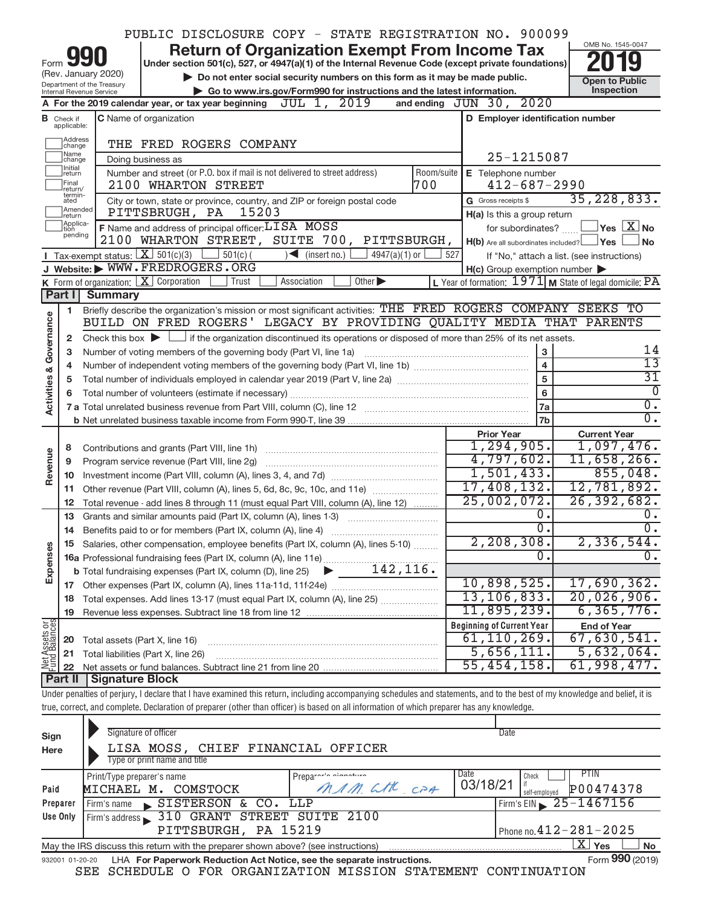|                   |                                    |                                                   | PUBLIC DISCLOSURE COPY - STATE REGISTRATION NO. 900099                                                                                                                     |                                                                                                                      |            |                                                         |                                                         |
|-------------------|------------------------------------|---------------------------------------------------|----------------------------------------------------------------------------------------------------------------------------------------------------------------------------|----------------------------------------------------------------------------------------------------------------------|------------|---------------------------------------------------------|---------------------------------------------------------|
|                   |                                    |                                                   |                                                                                                                                                                            | <b>Return of Organization Exempt From Income Tax</b>                                                                 |            |                                                         | OMB No. 1545-0047                                       |
| Form              |                                    |                                                   | Under section 501(c), 527, or 4947(a)(1) of the Internal Revenue Code (except private foundations)                                                                         |                                                                                                                      |            |                                                         |                                                         |
|                   |                                    | (Rev. January 2020)<br>Department of the Treasury |                                                                                                                                                                            | Do not enter social security numbers on this form as it may be made public.                                          |            |                                                         | <b>Open to Public</b>                                   |
|                   |                                    | Internal Revenue Service                          |                                                                                                                                                                            | Go to www.irs.gov/Form990 for instructions and the latest information.                                               |            |                                                         | Inspection                                              |
|                   |                                    |                                                   | A For the 2019 calendar year, or tax year beginning $JUL$ 1, $2019$                                                                                                        |                                                                                                                      |            | and ending JUN 30, 2020                                 |                                                         |
|                   | <b>B</b> Check if<br>applicable:   |                                                   | C Name of organization                                                                                                                                                     |                                                                                                                      |            | D Employer identification number                        |                                                         |
|                   | Address<br>change                  |                                                   | THE FRED ROGERS COMPANY                                                                                                                                                    |                                                                                                                      |            |                                                         |                                                         |
|                   | Name<br>change                     |                                                   | Doing business as                                                                                                                                                          |                                                                                                                      |            | 25-1215087                                              |                                                         |
|                   | Initial<br>return                  |                                                   | Number and street (or P.O. box if mail is not delivered to street address)                                                                                                 |                                                                                                                      | Room/suite | E Telephone number                                      |                                                         |
|                   | <b>Final</b><br>return/<br>termin- |                                                   | 2100 WHARTON STREET                                                                                                                                                        |                                                                                                                      | 700        | $412 - 687 - 2990$                                      |                                                         |
|                   | ated<br>Amended                    |                                                   | City or town, state or province, country, and ZIP or foreign postal code<br>15203<br>PITTSBRUGH, PA                                                                        |                                                                                                                      |            | G Gross receipts \$                                     | 35, 228, 833.                                           |
|                   | return<br>Applica-                 |                                                   | F Name and address of principal officer: LISA MOSS                                                                                                                         |                                                                                                                      |            | H(a) Is this a group return<br>for subordinates?        | $\Box$ Yes $\Box X$ No                                  |
|                   | tion<br>pending                    |                                                   | 2100 WHARTON STREET, SUITE 700, PITTSBURGH,                                                                                                                                |                                                                                                                      |            | $H(b)$ Are all subordinates included? $\Box$ Yes $\Box$ | <b>No</b>                                               |
|                   |                                    | <b>I</b> Tax-exempt status: $X \over 301(c)(3)$   | $\frac{1}{2}$ 501(c) (                                                                                                                                                     | $\leq$ (insert no.)<br>4947(a)(1) or $\lfloor$                                                                       |            | 527                                                     | If "No," attach a list. (see instructions)              |
|                   |                                    |                                                   | J Website: WWW.FREDROGERS.ORG                                                                                                                                              |                                                                                                                      |            | $H(c)$ Group exemption number $\blacktriangleright$     |                                                         |
|                   |                                    |                                                   | <b>K</b> Form of organization: $\boxed{\mathbf{X}}$ Corporation<br>Trust                                                                                                   | Other $\blacktriangleright$<br>Association                                                                           |            |                                                         | L Year of formation: 1971 M State of legal domicile: PA |
|                   | Part I                             | <b>Summary</b>                                    |                                                                                                                                                                            |                                                                                                                      |            |                                                         |                                                         |
|                   | 1                                  |                                                   | Briefly describe the organization's mission or most significant activities: THE FRED ROGERS COMPANY SEEKS TO                                                               |                                                                                                                      |            |                                                         |                                                         |
| & Governance      |                                    |                                                   | BUILD ON FRED ROGERS' LEGACY BY PROVIDING QUALITY MEDIA THAT PARENTS                                                                                                       |                                                                                                                      |            |                                                         |                                                         |
|                   | 2                                  |                                                   | Check this box $\blacktriangleright$ $\Box$ if the organization discontinued its operations or disposed of more than 25% of its net assets.                                |                                                                                                                      |            | 3                                                       | 14                                                      |
|                   | 3<br>4                             |                                                   | Number of voting members of the governing body (Part VI, line 1a)                                                                                                          |                                                                                                                      |            | $\overline{\mathbf{4}}$                                 | $\overline{13}$                                         |
|                   | 5                                  |                                                   |                                                                                                                                                                            |                                                                                                                      |            | $\overline{5}$                                          | $\overline{31}$                                         |
|                   | 6                                  |                                                   |                                                                                                                                                                            |                                                                                                                      |            | 6                                                       | $\overline{0}$                                          |
| <b>Activities</b> |                                    |                                                   |                                                                                                                                                                            |                                                                                                                      |            | 7a                                                      | $\overline{0}$ .                                        |
|                   |                                    |                                                   |                                                                                                                                                                            |                                                                                                                      |            | 7b                                                      | $\overline{0}$ .                                        |
|                   |                                    |                                                   |                                                                                                                                                                            |                                                                                                                      |            |                                                         |                                                         |
|                   |                                    |                                                   |                                                                                                                                                                            |                                                                                                                      |            | <b>Prior Year</b>                                       | <b>Current Year</b>                                     |
|                   | 8                                  |                                                   |                                                                                                                                                                            |                                                                                                                      |            | 1, 294, 905.                                            | 1,097,476.                                              |
|                   | 9                                  |                                                   | Program service revenue (Part VIII, line 2g)                                                                                                                               |                                                                                                                      |            | 4,797,602.                                              | 11,658,266.                                             |
| Revenue           | 10                                 |                                                   |                                                                                                                                                                            |                                                                                                                      |            | 1,501,433.                                              | 855,048.                                                |
|                   | 11                                 |                                                   | Other revenue (Part VIII, column (A), lines 5, 6d, 8c, 9c, 10c, and 11e)                                                                                                   |                                                                                                                      |            | 17,408,132.                                             | 12,781,892.                                             |
|                   | 12<br>13                           |                                                   | Total revenue - add lines 8 through 11 (must equal Part VIII, column (A), line 12)                                                                                         |                                                                                                                      |            | 25,002,072.<br>0.                                       | 26,392,682.<br>0.                                       |
|                   | 14                                 |                                                   | Grants and similar amounts paid (Part IX, column (A), lines 1-3)<br>Benefits paid to or for members (Part IX, column (A), line 4)                                          | <u> 1986 - Jan Stein Stein Stein Stein Stein Stein Stein Stein Stein Stein Stein Stein Stein Stein Stein Stein S</u> |            | $\overline{0}$ .                                        | $\overline{0}$ .                                        |
|                   |                                    |                                                   | 15 Salaries, other compensation, employee benefits (Part IX, column (A), lines 5-10)                                                                                       |                                                                                                                      |            | 2, 208, 308.                                            | 2,336,544.                                              |
|                   |                                    |                                                   |                                                                                                                                                                            |                                                                                                                      |            | 0.                                                      | $\overline{0}$ .                                        |
|                   |                                    |                                                   |                                                                                                                                                                            |                                                                                                                      |            |                                                         |                                                         |
| Expenses          |                                    |                                                   |                                                                                                                                                                            |                                                                                                                      |            | 10,898,525.                                             | 17,690,362.                                             |
|                   | 18                                 |                                                   |                                                                                                                                                                            |                                                                                                                      |            | 13, 106, 833.                                           | 20,026,906.                                             |
|                   | 19                                 |                                                   |                                                                                                                                                                            |                                                                                                                      |            | 11,895,239.                                             | 6, 365, 776.                                            |
|                   | 20                                 | Total assets (Part X, line 16)                    |                                                                                                                                                                            |                                                                                                                      |            | <b>Beginning of Current Year</b><br>61, 110, 269.       | <b>End of Year</b><br>67,630,541.                       |
|                   | 21                                 |                                                   | Total liabilities (Part X, line 26)                                                                                                                                        |                                                                                                                      |            | 5,656,111.                                              | 5,632,064.                                              |
| Net Assets or     | 22                                 |                                                   |                                                                                                                                                                            |                                                                                                                      |            | 55,454,158.                                             | 61,998,477.                                             |
|                   | <b>Part II</b>                     | Signature Block                                   |                                                                                                                                                                            |                                                                                                                      |            |                                                         |                                                         |
|                   |                                    |                                                   | Under penalties of perjury, I declare that I have examined this return, including accompanying schedules and statements, and to the best of my knowledge and belief, it is |                                                                                                                      |            |                                                         |                                                         |
|                   |                                    |                                                   | true, correct, and complete. Declaration of preparer (other than officer) is based on all information of which preparer has any knowledge.                                 |                                                                                                                      |            |                                                         |                                                         |
|                   |                                    |                                                   | Signature of officer                                                                                                                                                       |                                                                                                                      |            | Date                                                    |                                                         |
| Sign<br>Here      |                                    |                                                   | LISA MOSS, CHIEF FINANCIAL OFFICER                                                                                                                                         |                                                                                                                      |            |                                                         |                                                         |
|                   |                                    |                                                   | Type or print name and title                                                                                                                                               |                                                                                                                      |            |                                                         |                                                         |
|                   |                                    | Print/Type preparer's name                        |                                                                                                                                                                            | Prepararla alanatura                                                                                                 |            | Date<br>Check                                           | PTIN                                                    |
| Paid              |                                    |                                                   | MICHAEL M. COMSTOCK                                                                                                                                                        | MAM. att cpA                                                                                                         |            | 03/18/21<br>self-employed                               | P00474378                                               |
|                   | Preparer<br>Use Only               | Firm's name                                       | SISTERSON & CO. LLP<br>Firm's address 310 GRANT STREET SUITE 2100                                                                                                          |                                                                                                                      |            |                                                         | Firm's EIN $\geq 25 - 1467156$                          |

|  | PITTSBURGH, PA 15219                                                                   | Phone no. $412 - 281 - 2025$ |                           |     |
|--|----------------------------------------------------------------------------------------|------------------------------|---------------------------|-----|
|  | May the IRS discuss this return with the preparer shown above? (see instructions)      |                              | $^{\mathrm{!}}$ Yes<br>△⊥ | No. |
|  | 932001 01-20-20 LHA For Paperwork Reduction Act Notice, see the separate instructions. |                              | Form 990 (2019)           |     |

SEE SCHEDULE O FOR ORGANIZATION MISSION STATEMENT CONTINUATION

**990** (2019)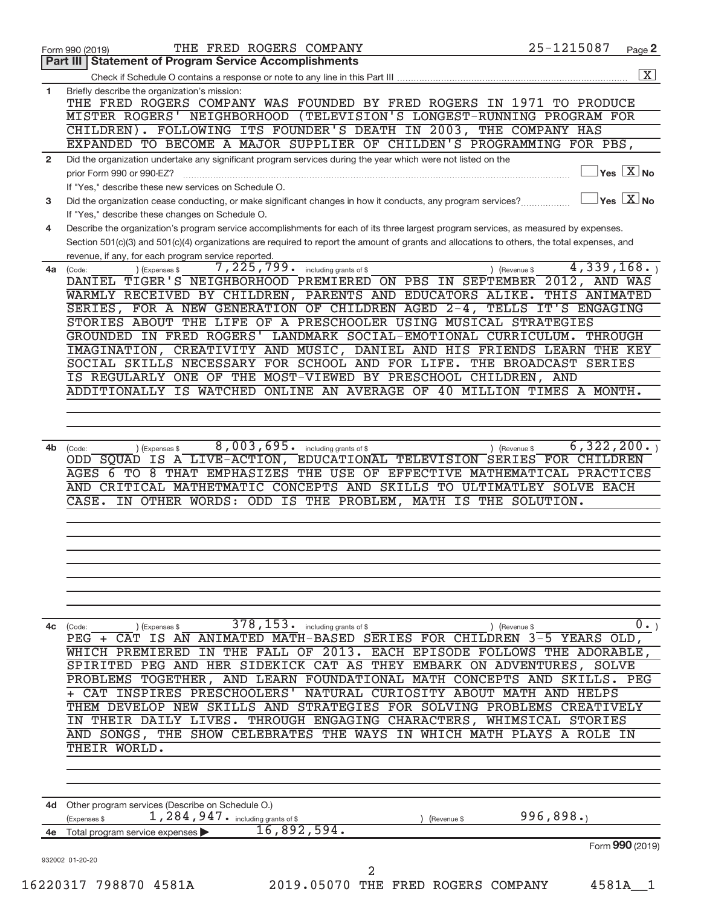|              | THE FRED ROGERS COMPANY<br>Form 990 (2019)                                                                                                            | 25-1215087    |               | Page 2                                                             |
|--------------|-------------------------------------------------------------------------------------------------------------------------------------------------------|---------------|---------------|--------------------------------------------------------------------|
|              | <b>Statement of Program Service Accomplishments</b><br>Part III                                                                                       |               |               |                                                                    |
| $\mathbf{1}$ | Briefly describe the organization's mission:                                                                                                          |               |               | $\overline{\mathbf{X}}$                                            |
|              | THE FRED ROGERS COMPANY WAS FOUNDED BY FRED ROGERS IN 1971 TO PRODUCE                                                                                 |               |               |                                                                    |
|              | MISTER ROGERS' NEIGHBORHOOD (TELEVISION'S LONGEST-RUNNING PROGRAM FOR                                                                                 |               |               |                                                                    |
|              | CHILDREN). FOLLOWING ITS FOUNDER'S DEATH IN 2003, THE COMPANY HAS                                                                                     |               |               |                                                                    |
|              | EXPANDED TO BECOME A MAJOR SUPPLIER OF CHILDEN'S PROGRAMMING FOR PBS,                                                                                 |               |               |                                                                    |
| $\mathbf{2}$ | Did the organization undertake any significant program services during the year which were not listed on the                                          |               |               | $ {\mathsf Y}\mathsf{es}\ \boxed{{\mathsf X}}$ No                  |
|              | prior Form 990 or 990-EZ?<br>If "Yes," describe these new services on Schedule O.                                                                     |               |               |                                                                    |
| 3            | Did the organization cease conducting, or make significant changes in how it conducts, any program services?                                          |               |               | $\sqrt{\mathsf{Yes}\mathord{\;\mathbb{X}}\mathord{\;\mathsf{No}}}$ |
|              | If "Yes," describe these changes on Schedule O.                                                                                                       |               |               |                                                                    |
| 4            | Describe the organization's program service accomplishments for each of its three largest program services, as measured by expenses.                  |               |               |                                                                    |
|              | Section 501(c)(3) and 501(c)(4) organizations are required to report the amount of grants and allocations to others, the total expenses, and          |               |               |                                                                    |
|              | revenue, if any, for each program service reported.                                                                                                   |               | 4,339,168.    |                                                                    |
| 4a           | $\overline{7,225}$ , 799. including grants of \$<br>(Expenses \$<br>(Code:<br>DANTEL TIGER'S NEIGHBORHOOD PREMIERED ON PBS IN SEPTEMBER 2012, AND WAS | ) (Revenue \$ |               |                                                                    |
|              | WARMLY RECEIVED BY CHILDREN, PARENTS AND EDUCATORS ALIKE.                                                                                             |               | THIS ANIMATED |                                                                    |
|              | SERIES, FOR A NEW GENERATION OF CHILDREN AGED 2-4, TELLS IT'S ENGAGING                                                                                |               |               |                                                                    |
|              | STORIES ABOUT THE LIFE OF A PRESCHOOLER USING MUSICAL STRATEGIES                                                                                      |               |               |                                                                    |
|              | GROUNDED IN FRED ROGERS' LANDMARK SOCIAL-EMOTIONAL CURRICULUM.                                                                                        |               | THROUGH       |                                                                    |
|              | IMAGINATION, CREATIVITY AND MUSIC, DANIEL AND HIS FRIENDS LEARN THE KEY                                                                               |               |               |                                                                    |
|              | SOCIAL SKILLS NECESSARY FOR SCHOOL AND FOR LIFE. THE BROADCAST SERIES                                                                                 |               |               |                                                                    |
|              | IS REGULARLY ONE OF THE MOST-VIEWED BY PRESCHOOL CHILDREN, AND<br>ADDITIONALLY IS WATCHED ONLINE AN AVERAGE OF 40 MILLION TIMES A MONTH.              |               |               |                                                                    |
|              |                                                                                                                                                       |               |               |                                                                    |
|              |                                                                                                                                                       |               |               |                                                                    |
|              |                                                                                                                                                       |               |               |                                                                    |
| 4b           | 8,003,695. including grants of \$<br>(Code:<br>) (Expenses \$                                                                                         | ) (Revenue \$ | 6,322,200.    |                                                                    |
|              | ODD SQUAD IS A LIVE-ACTION, EDUCATIONAL TELEVISION SERIES FOR CHILDREN                                                                                |               |               |                                                                    |
|              | AGES 6 TO 8 THAT EMPHASIZES THE USE OF EFFECTIVE MATHEMATICAL PRACTICES<br>AND CRITICAL MATHETMATIC CONCEPTS AND SKILLS TO ULTIMATLEY SOLVE EACH      |               |               |                                                                    |
|              | CASE.<br>IN OTHER WORDS: ODD IS THE PROBLEM, MATH IS THE SOLUTION.                                                                                    |               |               |                                                                    |
|              |                                                                                                                                                       |               |               |                                                                    |
|              |                                                                                                                                                       |               |               |                                                                    |
|              |                                                                                                                                                       |               |               |                                                                    |
|              |                                                                                                                                                       |               |               |                                                                    |
|              |                                                                                                                                                       |               |               |                                                                    |
|              |                                                                                                                                                       |               |               |                                                                    |
|              |                                                                                                                                                       |               |               |                                                                    |
| 4c           | 378, 153.<br>including grants of \$<br>) (Expenses \$<br>(Code:                                                                                       | ) (Revenue \$ |               | $0 \cdot$                                                          |
|              | PEG + CAT IS AN ANIMATED MATH-BASED SERIES FOR CHILDREN 3-5 YEARS OLD,                                                                                |               |               |                                                                    |
|              | IN THE FALL OF 2013. EACH EPISODE FOLLOWS THE ADORABLE,<br>WHICH PREMIERED                                                                            |               |               |                                                                    |
|              | SPIRITED PEG AND HER SIDEKICK CAT AS THEY EMBARK ON ADVENTURES, SOLVE                                                                                 |               |               |                                                                    |
|              | PROBLEMS TOGETHER, AND LEARN FOUNDATIONAL MATH CONCEPTS AND SKILLS. PEG<br>+ CAT INSPIRES PRESCHOOLERS'<br>NATURAL CURIOSITY ABOUT MATH AND HELPS     |               |               |                                                                    |
|              | THEM DEVELOP NEW SKILLS AND STRATEGIES FOR SOLVING PROBLEMS CREATIVELY                                                                                |               |               |                                                                    |
|              | IN THEIR DAILY LIVES. THROUGH ENGAGING CHARACTERS, WHIMSICAL STORIES                                                                                  |               |               |                                                                    |
|              | AND SONGS, THE SHOW CELEBRATES THE WAYS IN WHICH MATH PLAYS A ROLE IN                                                                                 |               |               |                                                                    |
|              | THEIR WORLD.                                                                                                                                          |               |               |                                                                    |
|              |                                                                                                                                                       |               |               |                                                                    |
|              |                                                                                                                                                       |               |               |                                                                    |
|              | 4d Other program services (Describe on Schedule O.)                                                                                                   |               |               |                                                                    |
|              | 1, 284, 947. including grants of \$<br>(Expenses \$<br>(Revenue \$                                                                                    | 996,898.      |               |                                                                    |
| 4e           | 16,892,594.<br>Total program service expenses                                                                                                         |               |               |                                                                    |
|              |                                                                                                                                                       |               |               | Form 990 (2019)                                                    |
|              | 932002 01-20-20                                                                                                                                       |               |               |                                                                    |
|              | 2                                                                                                                                                     |               |               |                                                                    |
|              | 2019.05070 THE FRED ROGERS COMPANY<br>16220317 798870 4581A                                                                                           |               | 4581A         | - 1                                                                |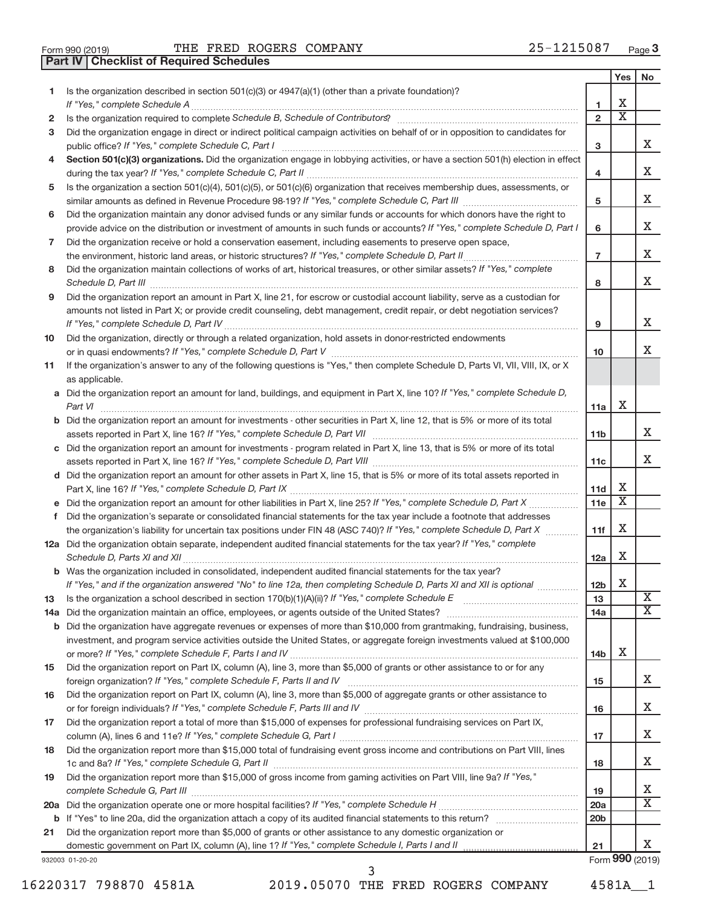| Form 990 (2019) |  |  |
|-----------------|--|--|

Form 990 (2019) Page THE FRED ROGERS COMPANY 25-1215087

**Part IV Checklist of Required Schedules**

|     |                                                                                                                                       |                 | Yes | No                      |
|-----|---------------------------------------------------------------------------------------------------------------------------------------|-----------------|-----|-------------------------|
| 1.  | Is the organization described in section 501(c)(3) or 4947(a)(1) (other than a private foundation)?                                   |                 |     |                         |
|     |                                                                                                                                       | 1               | х   |                         |
| 2   |                                                                                                                                       | $\overline{2}$  | х   |                         |
| 3   | Did the organization engage in direct or indirect political campaign activities on behalf of or in opposition to candidates for       |                 |     |                         |
|     | public office? If "Yes," complete Schedule C, Part I                                                                                  | 3               |     | X.                      |
|     | Section 501(c)(3) organizations. Did the organization engage in lobbying activities, or have a section 501(h) election in effect      |                 |     |                         |
|     |                                                                                                                                       | 4               |     | х                       |
| 5   | Is the organization a section 501(c)(4), 501(c)(5), or 501(c)(6) organization that receives membership dues, assessments, or          |                 |     |                         |
|     |                                                                                                                                       | 5               |     | х                       |
| 6   | Did the organization maintain any donor advised funds or any similar funds or accounts for which donors have the right to             |                 |     |                         |
|     | provide advice on the distribution or investment of amounts in such funds or accounts? If "Yes," complete Schedule D, Part I          | 6               |     | х                       |
| 7   | Did the organization receive or hold a conservation easement, including easements to preserve open space,                             |                 |     | X                       |
|     |                                                                                                                                       | $\overline{7}$  |     |                         |
| 8   | Did the organization maintain collections of works of art, historical treasures, or other similar assets? If "Yes," complete          |                 |     | X.                      |
|     | Schedule D, Part III <b>www.community.community.community.community.community.community.com</b>                                       | 8               |     |                         |
| 9   | Did the organization report an amount in Part X, line 21, for escrow or custodial account liability, serve as a custodian for         |                 |     |                         |
|     | amounts not listed in Part X; or provide credit counseling, debt management, credit repair, or debt negotiation services?             | 9               |     | X                       |
| 10  | Did the organization, directly or through a related organization, hold assets in donor-restricted endowments                          |                 |     |                         |
|     |                                                                                                                                       | 10              |     | X                       |
| 11  | If the organization's answer to any of the following questions is "Yes," then complete Schedule D, Parts VI, VII, VIII, IX, or X      |                 |     |                         |
|     | as applicable.                                                                                                                        |                 |     |                         |
|     | a Did the organization report an amount for land, buildings, and equipment in Part X, line 10? If "Yes," complete Schedule D,         |                 |     |                         |
|     |                                                                                                                                       | 11a             | х   |                         |
|     | <b>b</b> Did the organization report an amount for investments - other securities in Part X, line 12, that is 5% or more of its total |                 |     |                         |
|     |                                                                                                                                       | 11 <sub>b</sub> |     | x                       |
|     | c Did the organization report an amount for investments - program related in Part X, line 13, that is 5% or more of its total         |                 |     |                         |
|     |                                                                                                                                       | 11c             |     | X                       |
|     | d Did the organization report an amount for other assets in Part X, line 15, that is 5% or more of its total assets reported in       |                 |     |                         |
|     |                                                                                                                                       | 11d             | х   |                         |
|     |                                                                                                                                       | 11e             | X   |                         |
| f.  | Did the organization's separate or consolidated financial statements for the tax year include a footnote that addresses               |                 |     |                         |
|     | the organization's liability for uncertain tax positions under FIN 48 (ASC 740)? If "Yes," complete Schedule D, Part X                | 11f             | Х   |                         |
|     | 12a Did the organization obtain separate, independent audited financial statements for the tax year? If "Yes," complete               |                 |     |                         |
|     |                                                                                                                                       | 12a             | х   |                         |
|     | <b>b</b> Was the organization included in consolidated, independent audited financial statements for the tax year?                    |                 |     |                         |
|     | If "Yes," and if the organization answered "No" to line 12a, then completing Schedule D, Parts XI and XII is optional                 | 12 <sub>b</sub> | X   |                         |
| 13  |                                                                                                                                       | 13              |     | $\overline{\textbf{X}}$ |
| 14a |                                                                                                                                       | 14a             |     | X.                      |
| b   | Did the organization have aggregate revenues or expenses of more than \$10,000 from grantmaking, fundraising, business,               |                 |     |                         |
|     | investment, and program service activities outside the United States, or aggregate foreign investments valued at \$100,000            |                 |     |                         |
|     |                                                                                                                                       | 14b             | х   |                         |
| 15  | Did the organization report on Part IX, column (A), line 3, more than \$5,000 of grants or other assistance to or for any             |                 |     |                         |
|     |                                                                                                                                       | 15              |     | X.                      |
| 16  | Did the organization report on Part IX, column (A), line 3, more than \$5,000 of aggregate grants or other assistance to              |                 |     |                         |
|     |                                                                                                                                       | 16              |     | X                       |
| 17  | Did the organization report a total of more than \$15,000 of expenses for professional fundraising services on Part IX,               |                 |     |                         |
|     |                                                                                                                                       | 17              |     | X                       |
| 18  | Did the organization report more than \$15,000 total of fundraising event gross income and contributions on Part VIII, lines          | 18              |     | X                       |
| 19  | Did the organization report more than \$15,000 of gross income from gaming activities on Part VIII, line 9a? If "Yes,"                | 19              |     | х                       |
| 20a |                                                                                                                                       | 20a             |     | х                       |
|     |                                                                                                                                       | 20 <sub>b</sub> |     |                         |
| 21  | Did the organization report more than \$5,000 of grants or other assistance to any domestic organization or                           |                 |     |                         |
|     |                                                                                                                                       | 21              |     | x                       |
|     | 932003 01-20-20                                                                                                                       |                 |     | Form 990 (2019)         |

16220317 798870 4581A 2019.05070 THE FRED ROGERS COMPANY 4581A\_\_1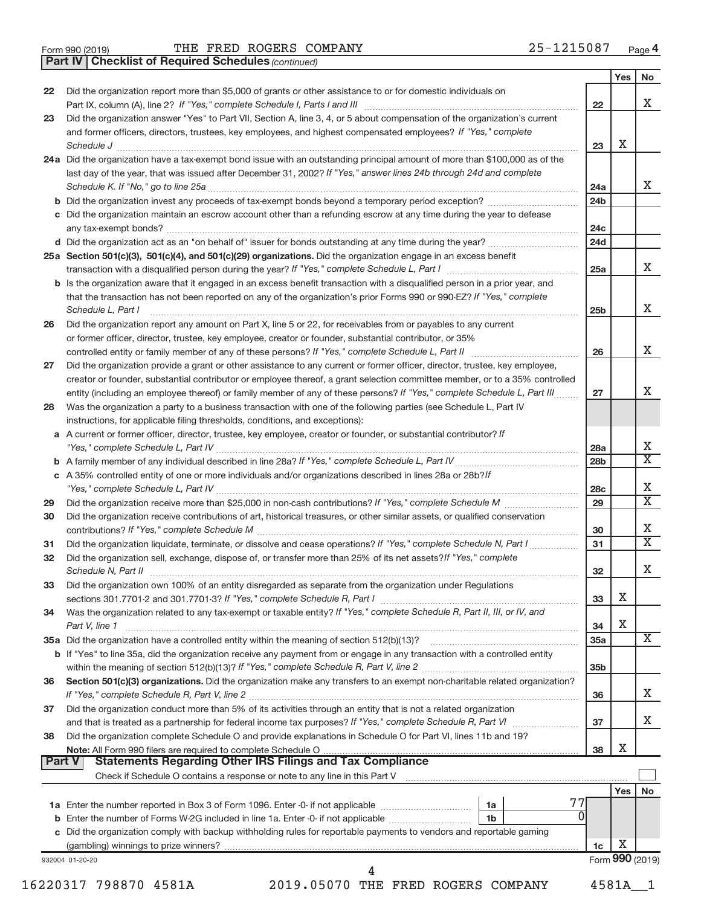|  | Form 990 (2019) |  |
|--|-----------------|--|
|  |                 |  |

*(continued)* **Part IV Checklist of Required Schedules**

|               |                                                                                                                                     |                 | Yes | No                          |
|---------------|-------------------------------------------------------------------------------------------------------------------------------------|-----------------|-----|-----------------------------|
| 22            | Did the organization report more than \$5,000 of grants or other assistance to or for domestic individuals on                       |                 |     | x                           |
|               |                                                                                                                                     | 22              |     |                             |
| 23            | Did the organization answer "Yes" to Part VII, Section A, line 3, 4, or 5 about compensation of the organization's current          |                 |     |                             |
|               | and former officers, directors, trustees, key employees, and highest compensated employees? If "Yes," complete                      |                 |     |                             |
|               | Schedule J <b>Execute Schedule Schedule Schedule Schedule</b> J <b>Execute Schedule J Execute Schedule J</b>                        | 23              | Х   |                             |
|               | 24a Did the organization have a tax-exempt bond issue with an outstanding principal amount of more than \$100,000 as of the         |                 |     |                             |
|               | last day of the year, that was issued after December 31, 2002? If "Yes," answer lines 24b through 24d and complete                  |                 |     |                             |
|               |                                                                                                                                     | 24a             |     | X                           |
|               |                                                                                                                                     | 24 <sub>b</sub> |     |                             |
|               | c Did the organization maintain an escrow account other than a refunding escrow at any time during the year to defease              |                 |     |                             |
|               |                                                                                                                                     | 24c             |     |                             |
|               |                                                                                                                                     | 24d             |     |                             |
|               | 25a Section 501(c)(3), 501(c)(4), and 501(c)(29) organizations. Did the organization engage in an excess benefit                    |                 |     |                             |
|               |                                                                                                                                     | 25a             |     | X                           |
|               | <b>b</b> Is the organization aware that it engaged in an excess benefit transaction with a disqualified person in a prior year, and |                 |     |                             |
|               | that the transaction has not been reported on any of the organization's prior Forms 990 or 990-EZ? If "Yes," complete               |                 |     |                             |
|               | Schedule L, Part I                                                                                                                  | 25 <sub>b</sub> |     | X                           |
| 26            | Did the organization report any amount on Part X, line 5 or 22, for receivables from or payables to any current                     |                 |     |                             |
|               | or former officer, director, trustee, key employee, creator or founder, substantial contributor, or 35%                             |                 |     |                             |
|               |                                                                                                                                     | 26              |     | X                           |
| 27            | Did the organization provide a grant or other assistance to any current or former officer, director, trustee, key employee,         |                 |     |                             |
|               | creator or founder, substantial contributor or employee thereof, a grant selection committee member, or to a 35% controlled         |                 |     |                             |
|               | entity (including an employee thereof) or family member of any of these persons? If "Yes," complete Schedule L, Part III            | 27              |     | X                           |
| 28            | Was the organization a party to a business transaction with one of the following parties (see Schedule L, Part IV                   |                 |     |                             |
|               | instructions, for applicable filing thresholds, conditions, and exceptions):                                                        |                 |     |                             |
|               | a A current or former officer, director, trustee, key employee, creator or founder, or substantial contributor? If                  |                 |     |                             |
|               |                                                                                                                                     | 28a             |     | х                           |
|               |                                                                                                                                     | 28 <sub>b</sub> |     | $\overline{\text{X}}$       |
|               | c A 35% controlled entity of one or more individuals and/or organizations described in lines 28a or 28b?If                          |                 |     |                             |
|               |                                                                                                                                     | 28 <sub>c</sub> |     | Х                           |
| 29            |                                                                                                                                     | 29              |     | $\overline{\textnormal{x}}$ |
| 30            | Did the organization receive contributions of art, historical treasures, or other similar assets, or qualified conservation         |                 |     |                             |
|               |                                                                                                                                     | 30              |     | Χ                           |
| 31            | Did the organization liquidate, terminate, or dissolve and cease operations? If "Yes," complete Schedule N, Part I                  | 31              |     | $\overline{\text{X}}$       |
| 32            | Did the organization sell, exchange, dispose of, or transfer more than 25% of its net assets? If "Yes," complete                    |                 |     |                             |
|               |                                                                                                                                     | 32              |     | х                           |
| 33            | Did the organization own 100% of an entity disregarded as separate from the organization under Regulations                          |                 |     |                             |
|               |                                                                                                                                     | 33              | X   |                             |
| 34            | Was the organization related to any tax-exempt or taxable entity? If "Yes," complete Schedule R, Part II, III, or IV, and           |                 |     |                             |
|               | Part V, line 1                                                                                                                      | 34              | X   |                             |
|               |                                                                                                                                     | 35a             |     | X                           |
|               | b If "Yes" to line 35a, did the organization receive any payment from or engage in any transaction with a controlled entity         |                 |     |                             |
|               |                                                                                                                                     | 35 <sub>b</sub> |     |                             |
| 36            | Section 501(c)(3) organizations. Did the organization make any transfers to an exempt non-charitable related organization?          |                 |     |                             |
|               |                                                                                                                                     | 36              |     | х                           |
| 37            | Did the organization conduct more than 5% of its activities through an entity that is not a related organization                    |                 |     |                             |
|               |                                                                                                                                     | 37              |     | x                           |
| 38            | Did the organization complete Schedule O and provide explanations in Schedule O for Part VI, lines 11b and 19?                      |                 |     |                             |
|               |                                                                                                                                     | 38              | X   |                             |
| <b>Part V</b> |                                                                                                                                     |                 |     |                             |
|               |                                                                                                                                     |                 |     |                             |
|               |                                                                                                                                     |                 | Yes | No                          |
|               | 1a                                                                                                                                  |                 |     |                             |
|               | 1b                                                                                                                                  |                 |     |                             |
|               | c Did the organization comply with backup withholding rules for reportable payments to vendors and reportable gaming                |                 |     |                             |
|               |                                                                                                                                     | 1c              | х   |                             |
|               | 932004 01-20-20                                                                                                                     |                 |     | Form 990 (2019)             |
|               | 4                                                                                                                                   |                 |     |                             |

16220317 798870 4581A 2019.05070 THE FRED ROGERS COMPANY 4581A\_\_1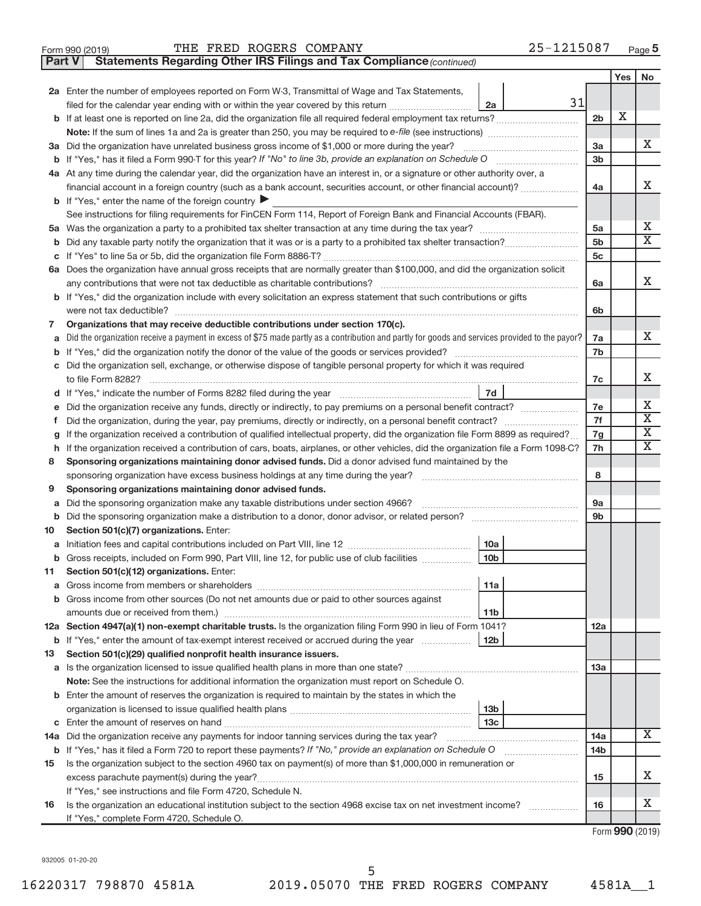| Form 990 (2019) | THE FRED ROGERS COMPANY | $-1215087$<br>Page |
|-----------------|-------------------------|--------------------|
|-----------------|-------------------------|--------------------|

**Part V Statements Regarding Other IRS Filings and Tax Compliance**

*(continued)*

|        |                                                                                                                                                                                                                                            |                | Yes | No                      |
|--------|--------------------------------------------------------------------------------------------------------------------------------------------------------------------------------------------------------------------------------------------|----------------|-----|-------------------------|
|        | 2a Enter the number of employees reported on Form W-3, Transmittal of Wage and Tax Statements,                                                                                                                                             |                |     |                         |
|        | 31<br>filed for the calendar year ending with or within the year covered by this return<br>2a                                                                                                                                              |                |     |                         |
|        |                                                                                                                                                                                                                                            | 2 <sub>b</sub> | х   |                         |
|        |                                                                                                                                                                                                                                            |                |     |                         |
|        | 3a Did the organization have unrelated business gross income of \$1,000 or more during the year?                                                                                                                                           | 3a             |     | X.                      |
|        |                                                                                                                                                                                                                                            | 3b             |     |                         |
|        | 4a At any time during the calendar year, did the organization have an interest in, or a signature or other authority over, a                                                                                                               |                |     |                         |
|        | financial account in a foreign country (such as a bank account, securities account, or other financial account)?                                                                                                                           | 4a             |     | x                       |
|        | <b>b</b> If "Yes," enter the name of the foreign country $\blacktriangleright$                                                                                                                                                             |                |     |                         |
|        | See instructions for filing requirements for FinCEN Form 114, Report of Foreign Bank and Financial Accounts (FBAR).                                                                                                                        |                |     |                         |
|        |                                                                                                                                                                                                                                            | 5a             |     | х                       |
| b      |                                                                                                                                                                                                                                            | 5 <sub>b</sub> |     | $\overline{\mathbf{X}}$ |
| c      |                                                                                                                                                                                                                                            | 5c             |     |                         |
|        | 6a Does the organization have annual gross receipts that are normally greater than \$100,000, and did the organization solicit                                                                                                             |                |     |                         |
|        | any contributions that were not tax deductible as charitable contributions?                                                                                                                                                                | 6a             |     | X                       |
|        | b If "Yes," did the organization include with every solicitation an express statement that such contributions or gifts                                                                                                                     |                |     |                         |
|        | were not tax deductible?                                                                                                                                                                                                                   | 6b             |     |                         |
| 7      | Organizations that may receive deductible contributions under section 170(c).                                                                                                                                                              |                |     |                         |
| a      | Did the organization receive a payment in excess of \$75 made partly as a contribution and partly for goods and services provided to the payor?                                                                                            | 7a             |     | X.                      |
| b      |                                                                                                                                                                                                                                            | 7b             |     |                         |
| c      | Did the organization sell, exchange, or otherwise dispose of tangible personal property for which it was required                                                                                                                          |                |     | x                       |
|        | to file Form 8282?                                                                                                                                                                                                                         | 7c             |     |                         |
| d      | 7d                                                                                                                                                                                                                                         |                |     | Х                       |
|        |                                                                                                                                                                                                                                            | 7e             |     | $\overline{\textbf{X}}$ |
| Ť.     |                                                                                                                                                                                                                                            | 7f             |     | $\overline{\textbf{X}}$ |
| g      | If the organization received a contribution of qualified intellectual property, did the organization file Form 8899 as required?                                                                                                           | 7g<br>7h       |     | $\overline{\textbf{X}}$ |
| h<br>8 | If the organization received a contribution of cars, boats, airplanes, or other vehicles, did the organization file a Form 1098-C?<br>Sponsoring organizations maintaining donor advised funds. Did a donor advised fund maintained by the |                |     |                         |
|        | sponsoring organization have excess business holdings at any time during the year?                                                                                                                                                         | 8              |     |                         |
| 9      | Sponsoring organizations maintaining donor advised funds.                                                                                                                                                                                  |                |     |                         |
| a      | Did the sponsoring organization make any taxable distributions under section 4966?                                                                                                                                                         | 9a             |     |                         |
| b      | Did the sponsoring organization make a distribution to a donor, donor advisor, or related person?                                                                                                                                          | 9b             |     |                         |
| 10     | Section 501(c)(7) organizations. Enter:                                                                                                                                                                                                    |                |     |                         |
| а      | 10a                                                                                                                                                                                                                                        |                |     |                         |
| b      | 10 <sub>b</sub><br>Gross receipts, included on Form 990, Part VIII, line 12, for public use of club facilities                                                                                                                             |                |     |                         |
| 11     | Section 501(c)(12) organizations. Enter:                                                                                                                                                                                                   |                |     |                         |
|        | 11a                                                                                                                                                                                                                                        |                |     |                         |
| b      | Gross income from other sources (Do not net amounts due or paid to other sources against                                                                                                                                                   |                |     |                         |
|        | amounts due or received from them.)<br>11 <sub>b</sub>                                                                                                                                                                                     |                |     |                         |
|        | 12a Section 4947(a)(1) non-exempt charitable trusts. Is the organization filing Form 990 in lieu of Form 1041?                                                                                                                             | 12a            |     |                         |
|        | <b>b</b> If "Yes," enter the amount of tax-exempt interest received or accrued during the year<br>12 <sub>b</sub>                                                                                                                          |                |     |                         |
| 13     | Section 501(c)(29) qualified nonprofit health insurance issuers.                                                                                                                                                                           |                |     |                         |
|        | a Is the organization licensed to issue qualified health plans in more than one state?                                                                                                                                                     | 13а            |     |                         |
|        | Note: See the instructions for additional information the organization must report on Schedule O.                                                                                                                                          |                |     |                         |
|        | <b>b</b> Enter the amount of reserves the organization is required to maintain by the states in which the                                                                                                                                  |                |     |                         |
|        | 13 <sub>b</sub>                                                                                                                                                                                                                            |                |     |                         |
| C      | 13 <sub>c</sub>                                                                                                                                                                                                                            |                |     |                         |
|        | 14a Did the organization receive any payments for indoor tanning services during the tax year?                                                                                                                                             | 14a            |     | x                       |
|        | <b>b</b> If "Yes," has it filed a Form 720 to report these payments? If "No," provide an explanation on Schedule O                                                                                                                         | 14b            |     |                         |
| 15     | Is the organization subject to the section 4960 tax on payment(s) of more than \$1,000,000 in remuneration or                                                                                                                              |                |     |                         |
|        |                                                                                                                                                                                                                                            | 15             |     | X.                      |
|        | If "Yes," see instructions and file Form 4720, Schedule N.                                                                                                                                                                                 |                |     |                         |
| 16     | Is the organization an educational institution subject to the section 4968 excise tax on net investment income?                                                                                                                            | 16             |     | x                       |
|        | If "Yes," complete Form 4720, Schedule O.                                                                                                                                                                                                  |                |     |                         |

Form (2019) **990**

932005 01-20-20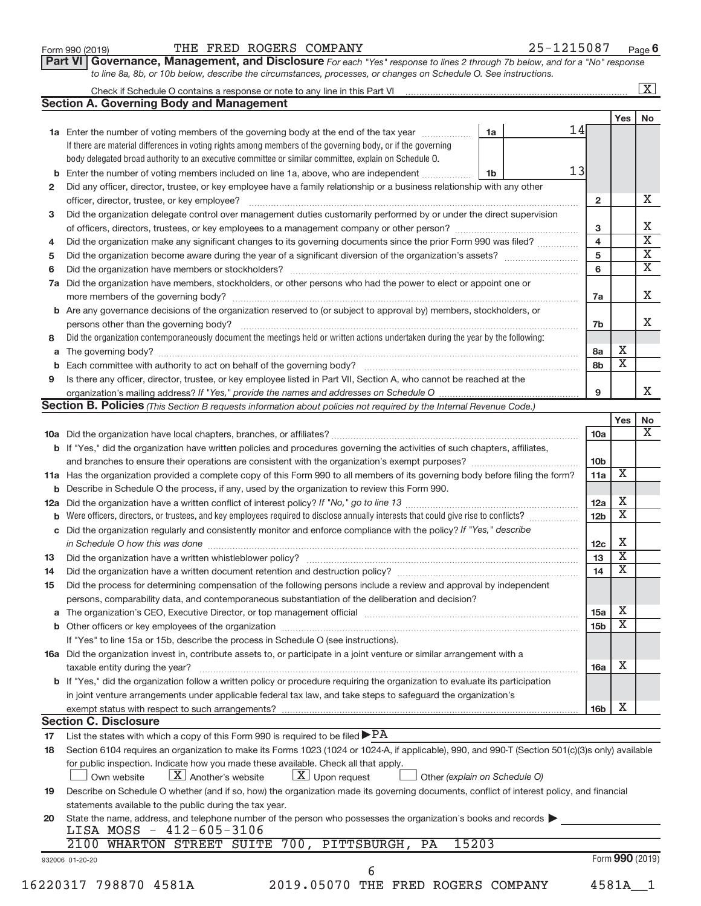| Form 990 (2019) |  |
|-----------------|--|
|-----------------|--|

## Form 990 (2019) Page THE FRED ROGERS COMPANY 25-1215087

**Part VI** Governance, Management, and Disclosure For each "Yes" response to lines 2 through 7b below, and for a "No" response *to line 8a, 8b, or 10b below, describe the circumstances, processes, or changes on Schedule O. See instructions.*

| <b>Section A. Governing Body and Management</b><br>1a<br><b>1a</b> Enter the number of voting members of the governing body at the end of the tax year<br>If there are material differences in voting rights among members of the governing body, or if the governing<br>body delegated broad authority to an executive committee or similar committee, explain on Schedule O.<br>Enter the number of voting members included on line 1a, above, who are independent<br>1b<br>b<br>Did any officer, director, trustee, or key employee have a family relationship or a business relationship with any other<br>2<br>officer, director, trustee, or key employee?<br>Did the organization delegate control over management duties customarily performed by or under the direct supervision<br>3<br>Did the organization make any significant changes to its governing documents since the prior Form 990 was filed?<br>4<br>5<br>6<br>Did the organization have members, stockholders, or other persons who had the power to elect or appoint one or<br>7a<br>Are any governance decisions of the organization reserved to (or subject to approval by) members, stockholders, or<br>b<br>persons other than the governing body?<br>Did the organization contemporaneously document the meetings held or written actions undertaken during the year by the following:<br>8<br>a<br>b<br>Is there any officer, director, trustee, or key employee listed in Part VII, Section A, who cannot be reached at the<br>9<br><b>Section B. Policies</b> (This Section B requests information about policies not required by the Internal Revenue Code.)<br><b>b</b> If "Yes," did the organization have written policies and procedures governing the activities of such chapters, affiliates,<br>11a Has the organization provided a complete copy of this Form 990 to all members of its governing body before filing the form?<br>Describe in Schedule O the process, if any, used by the organization to review this Form 990.<br>12a<br>Did the organization regularly and consistently monitor and enforce compliance with the policy? If "Yes," describe<br>С<br>13<br>14<br>Did the process for determining compensation of the following persons include a review and approval by independent<br>15<br>persons, comparability data, and contemporaneous substantiation of the deliberation and decision?<br>а<br>If "Yes" to line 15a or 15b, describe the process in Schedule O (see instructions).<br>16a Did the organization invest in, contribute assets to, or participate in a joint venture or similar arrangement with a<br>taxable entity during the year?<br>b If "Yes," did the organization follow a written policy or procedure requiring the organization to evaluate its participation<br>in joint venture arrangements under applicable federal tax law, and take steps to safeguard the organization's<br><b>Section C. Disclosure</b><br>List the states with which a copy of this Form 990 is required to be filed $\blacktriangleright$ PA<br>17 |    |                 |                         | $\overline{\mathbf{x}}$ |
|----------------------------------------------------------------------------------------------------------------------------------------------------------------------------------------------------------------------------------------------------------------------------------------------------------------------------------------------------------------------------------------------------------------------------------------------------------------------------------------------------------------------------------------------------------------------------------------------------------------------------------------------------------------------------------------------------------------------------------------------------------------------------------------------------------------------------------------------------------------------------------------------------------------------------------------------------------------------------------------------------------------------------------------------------------------------------------------------------------------------------------------------------------------------------------------------------------------------------------------------------------------------------------------------------------------------------------------------------------------------------------------------------------------------------------------------------------------------------------------------------------------------------------------------------------------------------------------------------------------------------------------------------------------------------------------------------------------------------------------------------------------------------------------------------------------------------------------------------------------------------------------------------------------------------------------------------------------------------------------------------------------------------------------------------------------------------------------------------------------------------------------------------------------------------------------------------------------------------------------------------------------------------------------------------------------------------------------------------------------------------------------------------------------------------------------------------------------------------------------------------------------------------------------------------------------------------------------------------------------------------------------------------------------------------------------------------------------------------------------------------------------------------------------------------------------------------------------------------------------------------------------------------------------------------------------------------------------------------------------------------------------------------------------------------------------------|----|-----------------|-------------------------|-------------------------|
|                                                                                                                                                                                                                                                                                                                                                                                                                                                                                                                                                                                                                                                                                                                                                                                                                                                                                                                                                                                                                                                                                                                                                                                                                                                                                                                                                                                                                                                                                                                                                                                                                                                                                                                                                                                                                                                                                                                                                                                                                                                                                                                                                                                                                                                                                                                                                                                                                                                                                                                                                                                                                                                                                                                                                                                                                                                                                                                                                                                                                                                                      |    |                 |                         |                         |
|                                                                                                                                                                                                                                                                                                                                                                                                                                                                                                                                                                                                                                                                                                                                                                                                                                                                                                                                                                                                                                                                                                                                                                                                                                                                                                                                                                                                                                                                                                                                                                                                                                                                                                                                                                                                                                                                                                                                                                                                                                                                                                                                                                                                                                                                                                                                                                                                                                                                                                                                                                                                                                                                                                                                                                                                                                                                                                                                                                                                                                                                      |    |                 | <b>Yes</b>              | No                      |
|                                                                                                                                                                                                                                                                                                                                                                                                                                                                                                                                                                                                                                                                                                                                                                                                                                                                                                                                                                                                                                                                                                                                                                                                                                                                                                                                                                                                                                                                                                                                                                                                                                                                                                                                                                                                                                                                                                                                                                                                                                                                                                                                                                                                                                                                                                                                                                                                                                                                                                                                                                                                                                                                                                                                                                                                                                                                                                                                                                                                                                                                      | 14 |                 |                         |                         |
|                                                                                                                                                                                                                                                                                                                                                                                                                                                                                                                                                                                                                                                                                                                                                                                                                                                                                                                                                                                                                                                                                                                                                                                                                                                                                                                                                                                                                                                                                                                                                                                                                                                                                                                                                                                                                                                                                                                                                                                                                                                                                                                                                                                                                                                                                                                                                                                                                                                                                                                                                                                                                                                                                                                                                                                                                                                                                                                                                                                                                                                                      |    |                 |                         |                         |
|                                                                                                                                                                                                                                                                                                                                                                                                                                                                                                                                                                                                                                                                                                                                                                                                                                                                                                                                                                                                                                                                                                                                                                                                                                                                                                                                                                                                                                                                                                                                                                                                                                                                                                                                                                                                                                                                                                                                                                                                                                                                                                                                                                                                                                                                                                                                                                                                                                                                                                                                                                                                                                                                                                                                                                                                                                                                                                                                                                                                                                                                      |    |                 |                         |                         |
|                                                                                                                                                                                                                                                                                                                                                                                                                                                                                                                                                                                                                                                                                                                                                                                                                                                                                                                                                                                                                                                                                                                                                                                                                                                                                                                                                                                                                                                                                                                                                                                                                                                                                                                                                                                                                                                                                                                                                                                                                                                                                                                                                                                                                                                                                                                                                                                                                                                                                                                                                                                                                                                                                                                                                                                                                                                                                                                                                                                                                                                                      | 13 |                 |                         |                         |
|                                                                                                                                                                                                                                                                                                                                                                                                                                                                                                                                                                                                                                                                                                                                                                                                                                                                                                                                                                                                                                                                                                                                                                                                                                                                                                                                                                                                                                                                                                                                                                                                                                                                                                                                                                                                                                                                                                                                                                                                                                                                                                                                                                                                                                                                                                                                                                                                                                                                                                                                                                                                                                                                                                                                                                                                                                                                                                                                                                                                                                                                      |    |                 |                         |                         |
|                                                                                                                                                                                                                                                                                                                                                                                                                                                                                                                                                                                                                                                                                                                                                                                                                                                                                                                                                                                                                                                                                                                                                                                                                                                                                                                                                                                                                                                                                                                                                                                                                                                                                                                                                                                                                                                                                                                                                                                                                                                                                                                                                                                                                                                                                                                                                                                                                                                                                                                                                                                                                                                                                                                                                                                                                                                                                                                                                                                                                                                                      |    | $\overline{2}$  |                         | X                       |
|                                                                                                                                                                                                                                                                                                                                                                                                                                                                                                                                                                                                                                                                                                                                                                                                                                                                                                                                                                                                                                                                                                                                                                                                                                                                                                                                                                                                                                                                                                                                                                                                                                                                                                                                                                                                                                                                                                                                                                                                                                                                                                                                                                                                                                                                                                                                                                                                                                                                                                                                                                                                                                                                                                                                                                                                                                                                                                                                                                                                                                                                      |    |                 |                         |                         |
|                                                                                                                                                                                                                                                                                                                                                                                                                                                                                                                                                                                                                                                                                                                                                                                                                                                                                                                                                                                                                                                                                                                                                                                                                                                                                                                                                                                                                                                                                                                                                                                                                                                                                                                                                                                                                                                                                                                                                                                                                                                                                                                                                                                                                                                                                                                                                                                                                                                                                                                                                                                                                                                                                                                                                                                                                                                                                                                                                                                                                                                                      |    | 3               |                         | X                       |
|                                                                                                                                                                                                                                                                                                                                                                                                                                                                                                                                                                                                                                                                                                                                                                                                                                                                                                                                                                                                                                                                                                                                                                                                                                                                                                                                                                                                                                                                                                                                                                                                                                                                                                                                                                                                                                                                                                                                                                                                                                                                                                                                                                                                                                                                                                                                                                                                                                                                                                                                                                                                                                                                                                                                                                                                                                                                                                                                                                                                                                                                      |    | $\overline{4}$  |                         | $\overline{\text{x}}$   |
|                                                                                                                                                                                                                                                                                                                                                                                                                                                                                                                                                                                                                                                                                                                                                                                                                                                                                                                                                                                                                                                                                                                                                                                                                                                                                                                                                                                                                                                                                                                                                                                                                                                                                                                                                                                                                                                                                                                                                                                                                                                                                                                                                                                                                                                                                                                                                                                                                                                                                                                                                                                                                                                                                                                                                                                                                                                                                                                                                                                                                                                                      |    | 5               |                         | $\overline{\textbf{X}}$ |
|                                                                                                                                                                                                                                                                                                                                                                                                                                                                                                                                                                                                                                                                                                                                                                                                                                                                                                                                                                                                                                                                                                                                                                                                                                                                                                                                                                                                                                                                                                                                                                                                                                                                                                                                                                                                                                                                                                                                                                                                                                                                                                                                                                                                                                                                                                                                                                                                                                                                                                                                                                                                                                                                                                                                                                                                                                                                                                                                                                                                                                                                      |    | 6               |                         | $\overline{\text{x}}$   |
|                                                                                                                                                                                                                                                                                                                                                                                                                                                                                                                                                                                                                                                                                                                                                                                                                                                                                                                                                                                                                                                                                                                                                                                                                                                                                                                                                                                                                                                                                                                                                                                                                                                                                                                                                                                                                                                                                                                                                                                                                                                                                                                                                                                                                                                                                                                                                                                                                                                                                                                                                                                                                                                                                                                                                                                                                                                                                                                                                                                                                                                                      |    |                 |                         |                         |
|                                                                                                                                                                                                                                                                                                                                                                                                                                                                                                                                                                                                                                                                                                                                                                                                                                                                                                                                                                                                                                                                                                                                                                                                                                                                                                                                                                                                                                                                                                                                                                                                                                                                                                                                                                                                                                                                                                                                                                                                                                                                                                                                                                                                                                                                                                                                                                                                                                                                                                                                                                                                                                                                                                                                                                                                                                                                                                                                                                                                                                                                      |    | 7a              |                         | X                       |
|                                                                                                                                                                                                                                                                                                                                                                                                                                                                                                                                                                                                                                                                                                                                                                                                                                                                                                                                                                                                                                                                                                                                                                                                                                                                                                                                                                                                                                                                                                                                                                                                                                                                                                                                                                                                                                                                                                                                                                                                                                                                                                                                                                                                                                                                                                                                                                                                                                                                                                                                                                                                                                                                                                                                                                                                                                                                                                                                                                                                                                                                      |    |                 |                         |                         |
|                                                                                                                                                                                                                                                                                                                                                                                                                                                                                                                                                                                                                                                                                                                                                                                                                                                                                                                                                                                                                                                                                                                                                                                                                                                                                                                                                                                                                                                                                                                                                                                                                                                                                                                                                                                                                                                                                                                                                                                                                                                                                                                                                                                                                                                                                                                                                                                                                                                                                                                                                                                                                                                                                                                                                                                                                                                                                                                                                                                                                                                                      |    | 7b              |                         | X                       |
|                                                                                                                                                                                                                                                                                                                                                                                                                                                                                                                                                                                                                                                                                                                                                                                                                                                                                                                                                                                                                                                                                                                                                                                                                                                                                                                                                                                                                                                                                                                                                                                                                                                                                                                                                                                                                                                                                                                                                                                                                                                                                                                                                                                                                                                                                                                                                                                                                                                                                                                                                                                                                                                                                                                                                                                                                                                                                                                                                                                                                                                                      |    |                 |                         |                         |
|                                                                                                                                                                                                                                                                                                                                                                                                                                                                                                                                                                                                                                                                                                                                                                                                                                                                                                                                                                                                                                                                                                                                                                                                                                                                                                                                                                                                                                                                                                                                                                                                                                                                                                                                                                                                                                                                                                                                                                                                                                                                                                                                                                                                                                                                                                                                                                                                                                                                                                                                                                                                                                                                                                                                                                                                                                                                                                                                                                                                                                                                      |    | 8a              | х                       |                         |
|                                                                                                                                                                                                                                                                                                                                                                                                                                                                                                                                                                                                                                                                                                                                                                                                                                                                                                                                                                                                                                                                                                                                                                                                                                                                                                                                                                                                                                                                                                                                                                                                                                                                                                                                                                                                                                                                                                                                                                                                                                                                                                                                                                                                                                                                                                                                                                                                                                                                                                                                                                                                                                                                                                                                                                                                                                                                                                                                                                                                                                                                      |    | 8b              | $\overline{\mathbf{X}}$ |                         |
|                                                                                                                                                                                                                                                                                                                                                                                                                                                                                                                                                                                                                                                                                                                                                                                                                                                                                                                                                                                                                                                                                                                                                                                                                                                                                                                                                                                                                                                                                                                                                                                                                                                                                                                                                                                                                                                                                                                                                                                                                                                                                                                                                                                                                                                                                                                                                                                                                                                                                                                                                                                                                                                                                                                                                                                                                                                                                                                                                                                                                                                                      |    |                 |                         |                         |
|                                                                                                                                                                                                                                                                                                                                                                                                                                                                                                                                                                                                                                                                                                                                                                                                                                                                                                                                                                                                                                                                                                                                                                                                                                                                                                                                                                                                                                                                                                                                                                                                                                                                                                                                                                                                                                                                                                                                                                                                                                                                                                                                                                                                                                                                                                                                                                                                                                                                                                                                                                                                                                                                                                                                                                                                                                                                                                                                                                                                                                                                      |    | 9               |                         |                         |
|                                                                                                                                                                                                                                                                                                                                                                                                                                                                                                                                                                                                                                                                                                                                                                                                                                                                                                                                                                                                                                                                                                                                                                                                                                                                                                                                                                                                                                                                                                                                                                                                                                                                                                                                                                                                                                                                                                                                                                                                                                                                                                                                                                                                                                                                                                                                                                                                                                                                                                                                                                                                                                                                                                                                                                                                                                                                                                                                                                                                                                                                      |    |                 |                         |                         |
|                                                                                                                                                                                                                                                                                                                                                                                                                                                                                                                                                                                                                                                                                                                                                                                                                                                                                                                                                                                                                                                                                                                                                                                                                                                                                                                                                                                                                                                                                                                                                                                                                                                                                                                                                                                                                                                                                                                                                                                                                                                                                                                                                                                                                                                                                                                                                                                                                                                                                                                                                                                                                                                                                                                                                                                                                                                                                                                                                                                                                                                                      |    |                 | Yes                     | No                      |
|                                                                                                                                                                                                                                                                                                                                                                                                                                                                                                                                                                                                                                                                                                                                                                                                                                                                                                                                                                                                                                                                                                                                                                                                                                                                                                                                                                                                                                                                                                                                                                                                                                                                                                                                                                                                                                                                                                                                                                                                                                                                                                                                                                                                                                                                                                                                                                                                                                                                                                                                                                                                                                                                                                                                                                                                                                                                                                                                                                                                                                                                      |    | 10a             |                         |                         |
|                                                                                                                                                                                                                                                                                                                                                                                                                                                                                                                                                                                                                                                                                                                                                                                                                                                                                                                                                                                                                                                                                                                                                                                                                                                                                                                                                                                                                                                                                                                                                                                                                                                                                                                                                                                                                                                                                                                                                                                                                                                                                                                                                                                                                                                                                                                                                                                                                                                                                                                                                                                                                                                                                                                                                                                                                                                                                                                                                                                                                                                                      |    |                 |                         |                         |
|                                                                                                                                                                                                                                                                                                                                                                                                                                                                                                                                                                                                                                                                                                                                                                                                                                                                                                                                                                                                                                                                                                                                                                                                                                                                                                                                                                                                                                                                                                                                                                                                                                                                                                                                                                                                                                                                                                                                                                                                                                                                                                                                                                                                                                                                                                                                                                                                                                                                                                                                                                                                                                                                                                                                                                                                                                                                                                                                                                                                                                                                      |    | 10 <sub>b</sub> |                         |                         |
|                                                                                                                                                                                                                                                                                                                                                                                                                                                                                                                                                                                                                                                                                                                                                                                                                                                                                                                                                                                                                                                                                                                                                                                                                                                                                                                                                                                                                                                                                                                                                                                                                                                                                                                                                                                                                                                                                                                                                                                                                                                                                                                                                                                                                                                                                                                                                                                                                                                                                                                                                                                                                                                                                                                                                                                                                                                                                                                                                                                                                                                                      |    | 11a             | $\overline{\textbf{X}}$ |                         |
|                                                                                                                                                                                                                                                                                                                                                                                                                                                                                                                                                                                                                                                                                                                                                                                                                                                                                                                                                                                                                                                                                                                                                                                                                                                                                                                                                                                                                                                                                                                                                                                                                                                                                                                                                                                                                                                                                                                                                                                                                                                                                                                                                                                                                                                                                                                                                                                                                                                                                                                                                                                                                                                                                                                                                                                                                                                                                                                                                                                                                                                                      |    |                 |                         |                         |
|                                                                                                                                                                                                                                                                                                                                                                                                                                                                                                                                                                                                                                                                                                                                                                                                                                                                                                                                                                                                                                                                                                                                                                                                                                                                                                                                                                                                                                                                                                                                                                                                                                                                                                                                                                                                                                                                                                                                                                                                                                                                                                                                                                                                                                                                                                                                                                                                                                                                                                                                                                                                                                                                                                                                                                                                                                                                                                                                                                                                                                                                      |    | 12a             | х                       |                         |
|                                                                                                                                                                                                                                                                                                                                                                                                                                                                                                                                                                                                                                                                                                                                                                                                                                                                                                                                                                                                                                                                                                                                                                                                                                                                                                                                                                                                                                                                                                                                                                                                                                                                                                                                                                                                                                                                                                                                                                                                                                                                                                                                                                                                                                                                                                                                                                                                                                                                                                                                                                                                                                                                                                                                                                                                                                                                                                                                                                                                                                                                      |    | 12 <sub>b</sub> | $\overline{\textbf{x}}$ |                         |
|                                                                                                                                                                                                                                                                                                                                                                                                                                                                                                                                                                                                                                                                                                                                                                                                                                                                                                                                                                                                                                                                                                                                                                                                                                                                                                                                                                                                                                                                                                                                                                                                                                                                                                                                                                                                                                                                                                                                                                                                                                                                                                                                                                                                                                                                                                                                                                                                                                                                                                                                                                                                                                                                                                                                                                                                                                                                                                                                                                                                                                                                      |    |                 |                         |                         |
|                                                                                                                                                                                                                                                                                                                                                                                                                                                                                                                                                                                                                                                                                                                                                                                                                                                                                                                                                                                                                                                                                                                                                                                                                                                                                                                                                                                                                                                                                                                                                                                                                                                                                                                                                                                                                                                                                                                                                                                                                                                                                                                                                                                                                                                                                                                                                                                                                                                                                                                                                                                                                                                                                                                                                                                                                                                                                                                                                                                                                                                                      |    | 12c             | Х                       |                         |
|                                                                                                                                                                                                                                                                                                                                                                                                                                                                                                                                                                                                                                                                                                                                                                                                                                                                                                                                                                                                                                                                                                                                                                                                                                                                                                                                                                                                                                                                                                                                                                                                                                                                                                                                                                                                                                                                                                                                                                                                                                                                                                                                                                                                                                                                                                                                                                                                                                                                                                                                                                                                                                                                                                                                                                                                                                                                                                                                                                                                                                                                      |    | 13              | $\overline{\textbf{X}}$ |                         |
|                                                                                                                                                                                                                                                                                                                                                                                                                                                                                                                                                                                                                                                                                                                                                                                                                                                                                                                                                                                                                                                                                                                                                                                                                                                                                                                                                                                                                                                                                                                                                                                                                                                                                                                                                                                                                                                                                                                                                                                                                                                                                                                                                                                                                                                                                                                                                                                                                                                                                                                                                                                                                                                                                                                                                                                                                                                                                                                                                                                                                                                                      |    | 14              | $\overline{\textbf{X}}$ |                         |
|                                                                                                                                                                                                                                                                                                                                                                                                                                                                                                                                                                                                                                                                                                                                                                                                                                                                                                                                                                                                                                                                                                                                                                                                                                                                                                                                                                                                                                                                                                                                                                                                                                                                                                                                                                                                                                                                                                                                                                                                                                                                                                                                                                                                                                                                                                                                                                                                                                                                                                                                                                                                                                                                                                                                                                                                                                                                                                                                                                                                                                                                      |    |                 |                         |                         |
|                                                                                                                                                                                                                                                                                                                                                                                                                                                                                                                                                                                                                                                                                                                                                                                                                                                                                                                                                                                                                                                                                                                                                                                                                                                                                                                                                                                                                                                                                                                                                                                                                                                                                                                                                                                                                                                                                                                                                                                                                                                                                                                                                                                                                                                                                                                                                                                                                                                                                                                                                                                                                                                                                                                                                                                                                                                                                                                                                                                                                                                                      |    |                 |                         |                         |
|                                                                                                                                                                                                                                                                                                                                                                                                                                                                                                                                                                                                                                                                                                                                                                                                                                                                                                                                                                                                                                                                                                                                                                                                                                                                                                                                                                                                                                                                                                                                                                                                                                                                                                                                                                                                                                                                                                                                                                                                                                                                                                                                                                                                                                                                                                                                                                                                                                                                                                                                                                                                                                                                                                                                                                                                                                                                                                                                                                                                                                                                      |    | 15a             | х                       |                         |
|                                                                                                                                                                                                                                                                                                                                                                                                                                                                                                                                                                                                                                                                                                                                                                                                                                                                                                                                                                                                                                                                                                                                                                                                                                                                                                                                                                                                                                                                                                                                                                                                                                                                                                                                                                                                                                                                                                                                                                                                                                                                                                                                                                                                                                                                                                                                                                                                                                                                                                                                                                                                                                                                                                                                                                                                                                                                                                                                                                                                                                                                      |    | 15 <sub>b</sub> | $\overline{\textbf{x}}$ |                         |
|                                                                                                                                                                                                                                                                                                                                                                                                                                                                                                                                                                                                                                                                                                                                                                                                                                                                                                                                                                                                                                                                                                                                                                                                                                                                                                                                                                                                                                                                                                                                                                                                                                                                                                                                                                                                                                                                                                                                                                                                                                                                                                                                                                                                                                                                                                                                                                                                                                                                                                                                                                                                                                                                                                                                                                                                                                                                                                                                                                                                                                                                      |    |                 |                         |                         |
|                                                                                                                                                                                                                                                                                                                                                                                                                                                                                                                                                                                                                                                                                                                                                                                                                                                                                                                                                                                                                                                                                                                                                                                                                                                                                                                                                                                                                                                                                                                                                                                                                                                                                                                                                                                                                                                                                                                                                                                                                                                                                                                                                                                                                                                                                                                                                                                                                                                                                                                                                                                                                                                                                                                                                                                                                                                                                                                                                                                                                                                                      |    |                 |                         |                         |
|                                                                                                                                                                                                                                                                                                                                                                                                                                                                                                                                                                                                                                                                                                                                                                                                                                                                                                                                                                                                                                                                                                                                                                                                                                                                                                                                                                                                                                                                                                                                                                                                                                                                                                                                                                                                                                                                                                                                                                                                                                                                                                                                                                                                                                                                                                                                                                                                                                                                                                                                                                                                                                                                                                                                                                                                                                                                                                                                                                                                                                                                      |    | <b>16a</b>      | Х                       |                         |
|                                                                                                                                                                                                                                                                                                                                                                                                                                                                                                                                                                                                                                                                                                                                                                                                                                                                                                                                                                                                                                                                                                                                                                                                                                                                                                                                                                                                                                                                                                                                                                                                                                                                                                                                                                                                                                                                                                                                                                                                                                                                                                                                                                                                                                                                                                                                                                                                                                                                                                                                                                                                                                                                                                                                                                                                                                                                                                                                                                                                                                                                      |    |                 |                         |                         |
|                                                                                                                                                                                                                                                                                                                                                                                                                                                                                                                                                                                                                                                                                                                                                                                                                                                                                                                                                                                                                                                                                                                                                                                                                                                                                                                                                                                                                                                                                                                                                                                                                                                                                                                                                                                                                                                                                                                                                                                                                                                                                                                                                                                                                                                                                                                                                                                                                                                                                                                                                                                                                                                                                                                                                                                                                                                                                                                                                                                                                                                                      |    |                 |                         |                         |
|                                                                                                                                                                                                                                                                                                                                                                                                                                                                                                                                                                                                                                                                                                                                                                                                                                                                                                                                                                                                                                                                                                                                                                                                                                                                                                                                                                                                                                                                                                                                                                                                                                                                                                                                                                                                                                                                                                                                                                                                                                                                                                                                                                                                                                                                                                                                                                                                                                                                                                                                                                                                                                                                                                                                                                                                                                                                                                                                                                                                                                                                      |    | 16 <sub>b</sub> | Х                       |                         |
|                                                                                                                                                                                                                                                                                                                                                                                                                                                                                                                                                                                                                                                                                                                                                                                                                                                                                                                                                                                                                                                                                                                                                                                                                                                                                                                                                                                                                                                                                                                                                                                                                                                                                                                                                                                                                                                                                                                                                                                                                                                                                                                                                                                                                                                                                                                                                                                                                                                                                                                                                                                                                                                                                                                                                                                                                                                                                                                                                                                                                                                                      |    |                 |                         |                         |
|                                                                                                                                                                                                                                                                                                                                                                                                                                                                                                                                                                                                                                                                                                                                                                                                                                                                                                                                                                                                                                                                                                                                                                                                                                                                                                                                                                                                                                                                                                                                                                                                                                                                                                                                                                                                                                                                                                                                                                                                                                                                                                                                                                                                                                                                                                                                                                                                                                                                                                                                                                                                                                                                                                                                                                                                                                                                                                                                                                                                                                                                      |    |                 |                         |                         |
| Section 6104 requires an organization to make its Forms 1023 (1024 or 1024-A, if applicable), 990, and 990-T (Section 501(c)(3)s only) available<br>18                                                                                                                                                                                                                                                                                                                                                                                                                                                                                                                                                                                                                                                                                                                                                                                                                                                                                                                                                                                                                                                                                                                                                                                                                                                                                                                                                                                                                                                                                                                                                                                                                                                                                                                                                                                                                                                                                                                                                                                                                                                                                                                                                                                                                                                                                                                                                                                                                                                                                                                                                                                                                                                                                                                                                                                                                                                                                                               |    |                 |                         |                         |
| for public inspection. Indicate how you made these available. Check all that apply.                                                                                                                                                                                                                                                                                                                                                                                                                                                                                                                                                                                                                                                                                                                                                                                                                                                                                                                                                                                                                                                                                                                                                                                                                                                                                                                                                                                                                                                                                                                                                                                                                                                                                                                                                                                                                                                                                                                                                                                                                                                                                                                                                                                                                                                                                                                                                                                                                                                                                                                                                                                                                                                                                                                                                                                                                                                                                                                                                                                  |    |                 |                         |                         |
| $X$ Another's website<br>$X$ Upon request<br>Other (explain on Schedule O)<br>Own website                                                                                                                                                                                                                                                                                                                                                                                                                                                                                                                                                                                                                                                                                                                                                                                                                                                                                                                                                                                                                                                                                                                                                                                                                                                                                                                                                                                                                                                                                                                                                                                                                                                                                                                                                                                                                                                                                                                                                                                                                                                                                                                                                                                                                                                                                                                                                                                                                                                                                                                                                                                                                                                                                                                                                                                                                                                                                                                                                                            |    |                 |                         |                         |
| Describe on Schedule O whether (and if so, how) the organization made its governing documents, conflict of interest policy, and financial<br>19                                                                                                                                                                                                                                                                                                                                                                                                                                                                                                                                                                                                                                                                                                                                                                                                                                                                                                                                                                                                                                                                                                                                                                                                                                                                                                                                                                                                                                                                                                                                                                                                                                                                                                                                                                                                                                                                                                                                                                                                                                                                                                                                                                                                                                                                                                                                                                                                                                                                                                                                                                                                                                                                                                                                                                                                                                                                                                                      |    |                 |                         |                         |
| statements available to the public during the tax year.                                                                                                                                                                                                                                                                                                                                                                                                                                                                                                                                                                                                                                                                                                                                                                                                                                                                                                                                                                                                                                                                                                                                                                                                                                                                                                                                                                                                                                                                                                                                                                                                                                                                                                                                                                                                                                                                                                                                                                                                                                                                                                                                                                                                                                                                                                                                                                                                                                                                                                                                                                                                                                                                                                                                                                                                                                                                                                                                                                                                              |    |                 |                         |                         |
| State the name, address, and telephone number of the person who possesses the organization's books and records                                                                                                                                                                                                                                                                                                                                                                                                                                                                                                                                                                                                                                                                                                                                                                                                                                                                                                                                                                                                                                                                                                                                                                                                                                                                                                                                                                                                                                                                                                                                                                                                                                                                                                                                                                                                                                                                                                                                                                                                                                                                                                                                                                                                                                                                                                                                                                                                                                                                                                                                                                                                                                                                                                                                                                                                                                                                                                                                                       |    |                 |                         |                         |
| 20<br>LISA MOSS - 412-605-3106                                                                                                                                                                                                                                                                                                                                                                                                                                                                                                                                                                                                                                                                                                                                                                                                                                                                                                                                                                                                                                                                                                                                                                                                                                                                                                                                                                                                                                                                                                                                                                                                                                                                                                                                                                                                                                                                                                                                                                                                                                                                                                                                                                                                                                                                                                                                                                                                                                                                                                                                                                                                                                                                                                                                                                                                                                                                                                                                                                                                                                       |    |                 |                         |                         |
| 15203<br>WHARTON STREET SUITE 700, PITTSBURGH, PA<br>2100                                                                                                                                                                                                                                                                                                                                                                                                                                                                                                                                                                                                                                                                                                                                                                                                                                                                                                                                                                                                                                                                                                                                                                                                                                                                                                                                                                                                                                                                                                                                                                                                                                                                                                                                                                                                                                                                                                                                                                                                                                                                                                                                                                                                                                                                                                                                                                                                                                                                                                                                                                                                                                                                                                                                                                                                                                                                                                                                                                                                            |    |                 |                         |                         |
|                                                                                                                                                                                                                                                                                                                                                                                                                                                                                                                                                                                                                                                                                                                                                                                                                                                                                                                                                                                                                                                                                                                                                                                                                                                                                                                                                                                                                                                                                                                                                                                                                                                                                                                                                                                                                                                                                                                                                                                                                                                                                                                                                                                                                                                                                                                                                                                                                                                                                                                                                                                                                                                                                                                                                                                                                                                                                                                                                                                                                                                                      |    |                 | Form 990 (2019)         |                         |
| 932006 01-20-20<br>6                                                                                                                                                                                                                                                                                                                                                                                                                                                                                                                                                                                                                                                                                                                                                                                                                                                                                                                                                                                                                                                                                                                                                                                                                                                                                                                                                                                                                                                                                                                                                                                                                                                                                                                                                                                                                                                                                                                                                                                                                                                                                                                                                                                                                                                                                                                                                                                                                                                                                                                                                                                                                                                                                                                                                                                                                                                                                                                                                                                                                                                 |    |                 |                         |                         |
| 16220317 798870 4581A<br>2019.05070 THE FRED ROGERS COMPANY                                                                                                                                                                                                                                                                                                                                                                                                                                                                                                                                                                                                                                                                                                                                                                                                                                                                                                                                                                                                                                                                                                                                                                                                                                                                                                                                                                                                                                                                                                                                                                                                                                                                                                                                                                                                                                                                                                                                                                                                                                                                                                                                                                                                                                                                                                                                                                                                                                                                                                                                                                                                                                                                                                                                                                                                                                                                                                                                                                                                          |    |                 | 4581A 1                 |                         |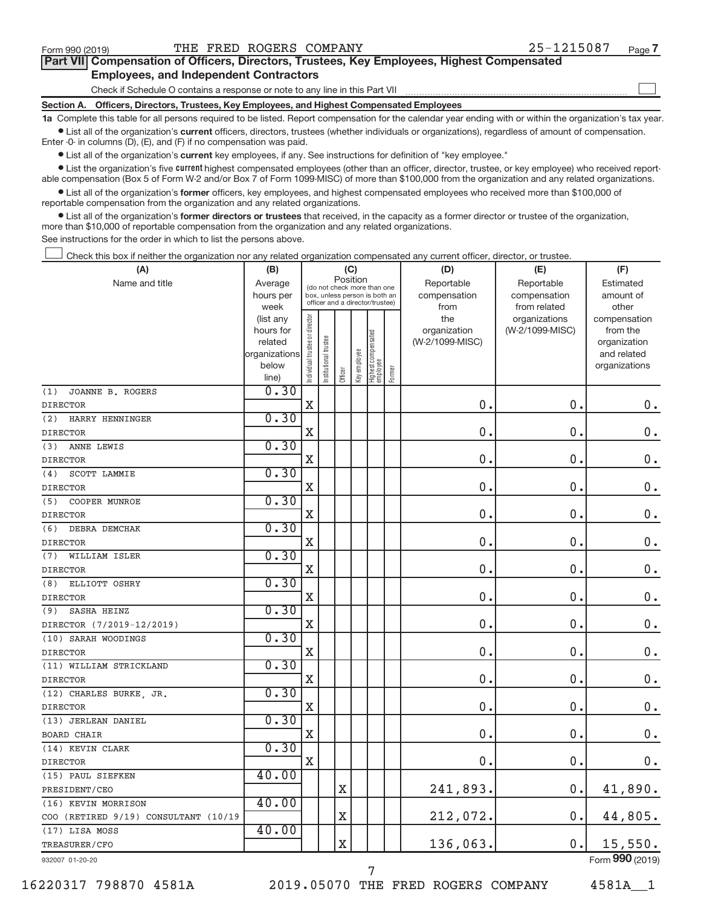$\begin{array}{c} \hline \end{array}$ 

| Part VII Compensation of Officers, Directors, Trustees, Key Employees, Highest Compensated |  |  |
|--------------------------------------------------------------------------------------------|--|--|
| <b>Employees, and Independent Contractors</b>                                              |  |  |

Check if Schedule O contains a response or note to any line in this Part VII

**Section A. Officers, Directors, Trustees, Key Employees, and Highest Compensated Employees**

**1a**  Complete this table for all persons required to be listed. Report compensation for the calendar year ending with or within the organization's tax year.  $\bullet$  List all of the organization's current officers, directors, trustees (whether individuals or organizations), regardless of amount of compensation.

Enter -0- in columns (D), (E), and (F) if no compensation was paid.

**•** List all of the organization's **current** key employees, if any. See instructions for definition of "key employee."

**Examber 1** List the organization's five *current* highest compensated employees (other than an officer, director, trustee, or key employee) who received reportable compensation (Box 5 of Form W-2 and/or Box 7 of Form 1099-MISC) of more than \$100,000 from the organization and any related organizations.

 $\bullet$  List all of the organization's former officers, key employees, and highest compensated employees who received more than \$100,000 of reportable compensation from the organization and any related organizations.

**•** List all of the organization's former directors or trustees that received, in the capacity as a former director or trustee of the organization, more than \$10,000 of reportable compensation from the organization and any related organizations.

See instructions for the order in which to list the persons above.

Check this box if neither the organization nor any related organization compensated any current officer, director, or trustee.  $\overline{\phantom{a}}$ 

| (A)                                  | (B)                  |                                |                                                                  | (C)         |              |                                 |        | (D)                             | (E)             | (F)                      |
|--------------------------------------|----------------------|--------------------------------|------------------------------------------------------------------|-------------|--------------|---------------------------------|--------|---------------------------------|-----------------|--------------------------|
| Name and title                       | Average              |                                | (do not check more than one                                      | Position    |              |                                 |        | Reportable                      | Reportable      | Estimated                |
|                                      | hours per            |                                | box, unless person is both an<br>officer and a director/trustee) |             |              |                                 |        | compensation                    | compensation    | amount of                |
|                                      | week                 |                                |                                                                  |             |              |                                 |        | from                            | from related    | other                    |
|                                      | (list any            |                                |                                                                  |             |              |                                 |        | the                             | organizations   | compensation             |
|                                      | hours for<br>related |                                |                                                                  |             |              |                                 |        | organization<br>(W-2/1099-MISC) | (W-2/1099-MISC) | from the<br>organization |
|                                      | organizations        |                                |                                                                  |             |              |                                 |        |                                 |                 | and related              |
|                                      | below                |                                | nstitutional trustee                                             |             |              |                                 |        |                                 |                 | organizations            |
|                                      | line)                | Individual trustee or director |                                                                  | Officer     | Key employee | Highest compensated<br>employee | Former |                                 |                 |                          |
| (1)<br>JOANNE B. ROGERS              | 0.30                 |                                |                                                                  |             |              |                                 |        |                                 |                 |                          |
| <b>DIRECTOR</b>                      |                      | $\mathbf X$                    |                                                                  |             |              |                                 |        | 0.                              | 0.              | $0$ .                    |
| HARRY HENNINGER<br>(2)               | 0.30                 |                                |                                                                  |             |              |                                 |        |                                 |                 |                          |
| <b>DIRECTOR</b>                      |                      | X                              |                                                                  |             |              |                                 |        | 0.                              | $\mathbf 0$ .   | $\mathbf 0$ .            |
| ANNE LEWIS<br>(3)                    | 0.30                 |                                |                                                                  |             |              |                                 |        |                                 |                 |                          |
| <b>DIRECTOR</b>                      |                      | X                              |                                                                  |             |              |                                 |        | 0.                              | 0.              | $\mathbf 0$ .            |
| SCOTT LAMMIE<br>(4)                  | 0.30                 |                                |                                                                  |             |              |                                 |        |                                 |                 |                          |
| <b>DIRECTOR</b>                      |                      | $\overline{\text{X}}$          |                                                                  |             |              |                                 |        | 0.                              | 0.              | $\mathbf 0$ .            |
| (5)<br>COOPER MUNROE                 | 0.30                 |                                |                                                                  |             |              |                                 |        |                                 |                 |                          |
| <b>DIRECTOR</b>                      |                      | X                              |                                                                  |             |              |                                 |        | $\mathbf 0$                     | $\mathbf 0$     | $0$ .                    |
| (6)<br>DEBRA DEMCHAK                 | 0.30                 |                                |                                                                  |             |              |                                 |        |                                 |                 |                          |
| <b>DIRECTOR</b>                      |                      | $\mathbf X$                    |                                                                  |             |              |                                 |        | 0.                              | 0.              | $\mathbf 0$ .            |
| (7)<br>WILLIAM ISLER                 | 0.30                 |                                |                                                                  |             |              |                                 |        |                                 |                 |                          |
| <b>DIRECTOR</b>                      |                      | $\mathbf x$                    |                                                                  |             |              |                                 |        | 0.                              | 0.              | $0$ .                    |
| ELLIOTT OSHRY<br>(8)                 | 0.30                 |                                |                                                                  |             |              |                                 |        |                                 |                 |                          |
| <b>DIRECTOR</b>                      |                      | $\mathbf X$                    |                                                                  |             |              |                                 |        | 0.                              | 0.              | $0$ .                    |
| <b>SASHA HEINZ</b><br>(9)            | 0.30                 |                                |                                                                  |             |              |                                 |        |                                 |                 |                          |
| DIRECTOR (7/2019-12/2019)            |                      | $\mathbf x$                    |                                                                  |             |              |                                 |        | 0.                              | $\mathbf 0$ .   | 0.                       |
| (10) SARAH WOODINGS                  | 0.30                 |                                |                                                                  |             |              |                                 |        |                                 |                 |                          |
| <b>DIRECTOR</b>                      |                      | $\mathbf X$                    |                                                                  |             |              |                                 |        | 0.                              | 0.              | 0.                       |
| (11) WILLIAM STRICKLAND              | 0.30                 |                                |                                                                  |             |              |                                 |        |                                 |                 |                          |
| <b>DIRECTOR</b>                      |                      | X                              |                                                                  |             |              |                                 |        | 0.                              | $\mathbf 0$ .   | $\mathbf 0$ .            |
| (12) CHARLES BURKE, JR.              | 0.30                 |                                |                                                                  |             |              |                                 |        |                                 |                 |                          |
| <b>DIRECTOR</b>                      |                      | X                              |                                                                  |             |              |                                 |        | 0.                              | $\mathbf 0$ .   | $\mathbf 0$ .            |
| (13) JERLEAN DANIEL                  | 0.30                 |                                |                                                                  |             |              |                                 |        |                                 |                 |                          |
| <b>BOARD CHAIR</b>                   |                      | $\mathbf X$                    |                                                                  |             |              |                                 |        | 0.                              | $\mathbf 0$ .   | $\mathbf 0$ .            |
| (14) KEVIN CLARK                     | 0.30                 |                                |                                                                  |             |              |                                 |        |                                 |                 |                          |
| <b>DIRECTOR</b>                      |                      | X                              |                                                                  |             |              |                                 |        | 0.                              | 0.              | 0.                       |
| (15) PAUL SIEFKEN                    | 40.00                |                                |                                                                  |             |              |                                 |        |                                 |                 |                          |
| PRESIDENT/CEO                        |                      |                                |                                                                  | $\mathbf X$ |              |                                 |        | 241,893.                        | 0.              | 41,890.                  |
| (16) KEVIN MORRISON                  | 40.00                |                                |                                                                  |             |              |                                 |        |                                 |                 |                          |
| COO (RETIRED 9/19) CONSULTANT (10/19 |                      |                                |                                                                  | X           |              |                                 |        | 212,072.                        | 0.              | 44,805.                  |
| (17) LISA MOSS                       | 40.00                |                                |                                                                  |             |              |                                 |        |                                 |                 |                          |
| TREASURER/CFO                        |                      |                                |                                                                  | $\rm X$     |              |                                 |        | 136,063.                        | 0.              | 15,550.                  |
| 932007 01-20-20                      |                      |                                |                                                                  |             |              |                                 |        |                                 |                 | Form 990 (2019)          |

16220317 798870 4581A 2019.05070 THE FRED ROGERS COMPANY 4581A\_\_1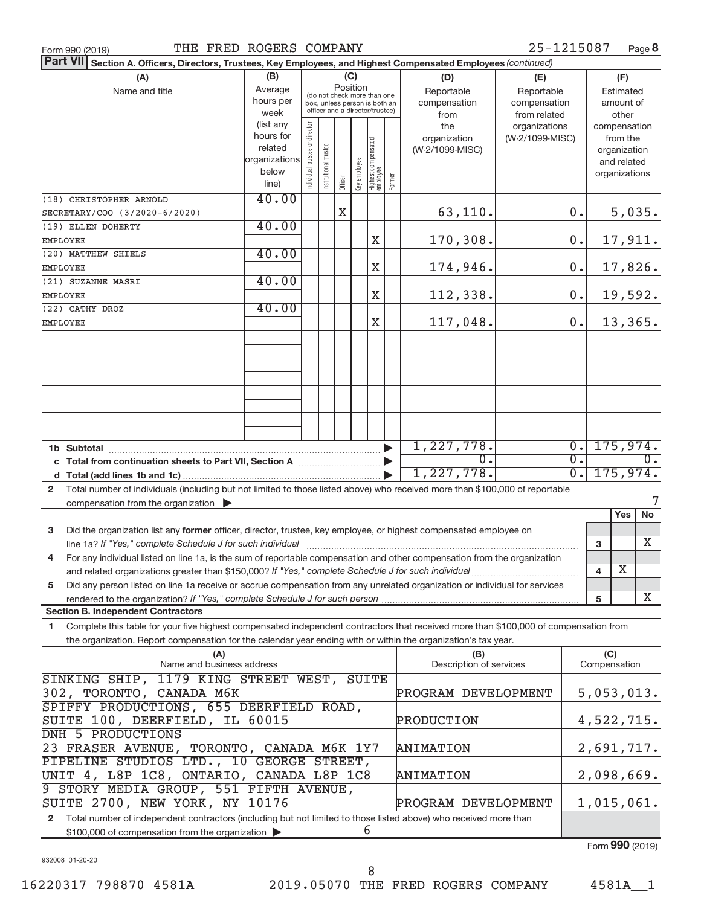| THE FRED ROGERS COMPANY<br>Form 990 (2019)                                                                                                   |                                           |                               |                       |          |              |                                   |                     |                         | 25-1215087      |                  |              | Page 8           |
|----------------------------------------------------------------------------------------------------------------------------------------------|-------------------------------------------|-------------------------------|-----------------------|----------|--------------|-----------------------------------|---------------------|-------------------------|-----------------|------------------|--------------|------------------|
| <b>Part VII</b><br>Section A. Officers, Directors, Trustees, Key Employees, and Highest Compensated Employees (continued)                    |                                           |                               |                       |          |              |                                   |                     |                         |                 |                  |              |                  |
| (A)                                                                                                                                          | (B)                                       |                               |                       | (C)      |              |                                   |                     | (D)                     | (E)             |                  |              | (F)              |
| Name and title                                                                                                                               | Average                                   |                               |                       | Position |              | (do not check more than one       |                     | Reportable              | Reportable      |                  |              | Estimated        |
|                                                                                                                                              | hours per                                 |                               |                       |          |              | box, unless person is both an     |                     | compensation            | compensation    |                  |              | amount of        |
|                                                                                                                                              | week                                      |                               |                       |          |              | officer and a director/trustee)   |                     | from                    | from related    |                  |              | other            |
|                                                                                                                                              | (list any                                 |                               |                       |          |              |                                   |                     | the                     | organizations   |                  |              | compensation     |
|                                                                                                                                              | hours for                                 |                               |                       |          |              |                                   |                     | organization            | (W-2/1099-MISC) |                  |              | from the         |
|                                                                                                                                              | related<br>organizations                  |                               |                       |          |              |                                   |                     | (W-2/1099-MISC)         |                 |                  |              | organization     |
|                                                                                                                                              | below                                     |                               |                       |          |              |                                   |                     |                         |                 |                  |              | and related      |
|                                                                                                                                              | line)                                     | ndividual trustee or director | Institutional trustee | Officer  | Key employee | Highest compensated<br>  employee | Former              |                         |                 |                  |              | organizations    |
| (18) CHRISTOPHER ARNOLD                                                                                                                      | 40.00                                     |                               |                       |          |              |                                   |                     |                         |                 |                  |              |                  |
| SECRETARY/COO (3/2020-6/2020)                                                                                                                |                                           |                               |                       | X        |              |                                   |                     | 63,110.                 |                 | $0$ .            |              | 5,035.           |
| (19) ELLEN DOHERTY                                                                                                                           | 40.00                                     |                               |                       |          |              |                                   |                     |                         |                 |                  |              |                  |
| EMPLOYEE                                                                                                                                     |                                           |                               |                       |          |              | Χ                                 |                     | 170,308.                |                 | 0.               |              | 17,911.          |
| (20) MATTHEW SHIELS                                                                                                                          | 40.00                                     |                               |                       |          |              |                                   |                     |                         |                 |                  |              |                  |
| EMPLOYEE                                                                                                                                     |                                           |                               |                       |          |              | Χ                                 |                     | 174,946.                |                 | $0$ .            |              | 17,826.          |
| (21) SUZANNE MASRI                                                                                                                           | 40.00                                     |                               |                       |          |              |                                   |                     |                         |                 |                  |              |                  |
| <b>EMPLOYEE</b>                                                                                                                              |                                           |                               |                       |          |              | Χ                                 |                     | 112,338.                |                 | $0$ .            |              | 19,592.          |
| (22) CATHY DROZ                                                                                                                              | 40.00                                     |                               |                       |          |              |                                   |                     |                         |                 |                  |              |                  |
| EMPLOYEE                                                                                                                                     |                                           |                               |                       |          |              | Χ                                 |                     | 117,048.                |                 | 0.               |              | 13,365.          |
|                                                                                                                                              |                                           |                               |                       |          |              |                                   |                     |                         |                 |                  |              |                  |
|                                                                                                                                              |                                           |                               |                       |          |              |                                   |                     |                         |                 |                  |              |                  |
|                                                                                                                                              |                                           |                               |                       |          |              |                                   |                     |                         |                 |                  |              |                  |
|                                                                                                                                              |                                           |                               |                       |          |              |                                   |                     |                         |                 |                  |              |                  |
|                                                                                                                                              |                                           |                               |                       |          |              |                                   |                     |                         |                 |                  |              |                  |
|                                                                                                                                              |                                           |                               |                       |          |              |                                   |                     |                         |                 |                  |              |                  |
|                                                                                                                                              |                                           |                               |                       |          |              |                                   |                     |                         |                 |                  |              |                  |
|                                                                                                                                              |                                           |                               |                       |          |              |                                   |                     |                         |                 |                  |              |                  |
|                                                                                                                                              |                                           |                               |                       |          |              |                                   |                     | 1,227,778.              |                 | $\overline{0}$ . |              | 175,974.         |
|                                                                                                                                              |                                           |                               |                       |          |              |                                   |                     | $\overline{0}$ .        |                 | $\overline{0}$ . |              | $\overline{0}$ . |
|                                                                                                                                              |                                           |                               |                       |          |              |                                   |                     | 1,227,778.              |                 | $\overline{0}$ . |              | 175,974.         |
|                                                                                                                                              |                                           |                               |                       |          |              |                                   |                     |                         |                 |                  |              |                  |
| Total number of individuals (including but not limited to those listed above) who received more than \$100,000 of reportable<br>$\mathbf{2}$ |                                           |                               |                       |          |              |                                   |                     |                         |                 |                  |              | 7                |
| compensation from the organization $\blacktriangleright$                                                                                     |                                           |                               |                       |          |              |                                   |                     |                         |                 |                  |              | Yes              |
|                                                                                                                                              |                                           |                               |                       |          |              |                                   |                     |                         |                 |                  |              | No               |
| Did the organization list any former officer, director, trustee, key employee, or highest compensated employee on<br>3                       |                                           |                               |                       |          |              |                                   |                     |                         |                 |                  |              |                  |
|                                                                                                                                              |                                           |                               |                       |          |              |                                   |                     |                         |                 |                  | 3            | Χ                |
| For any individual listed on line 1a, is the sum of reportable compensation and other compensation from the organization                     |                                           |                               |                       |          |              |                                   |                     |                         |                 |                  |              |                  |
| and related organizations greater than \$150,000? If "Yes," complete Schedule J for such individual                                          |                                           |                               |                       |          |              |                                   |                     |                         |                 |                  | 4            | х                |
| Did any person listed on line 1a receive or accrue compensation from any unrelated organization or individual for services<br>5              |                                           |                               |                       |          |              |                                   |                     |                         |                 |                  |              |                  |
|                                                                                                                                              |                                           |                               |                       |          |              |                                   |                     |                         |                 |                  | 5            | X                |
| <b>Section B. Independent Contractors</b>                                                                                                    |                                           |                               |                       |          |              |                                   |                     |                         |                 |                  |              |                  |
| Complete this table for your five highest compensated independent contractors that received more than \$100,000 of compensation from<br>1.   |                                           |                               |                       |          |              |                                   |                     |                         |                 |                  |              |                  |
| the organization. Report compensation for the calendar year ending with or within the organization's tax year.                               |                                           |                               |                       |          |              |                                   |                     |                         |                 |                  |              |                  |
| (A)                                                                                                                                          |                                           |                               |                       |          |              |                                   |                     | (B)                     |                 |                  | (C)          |                  |
| Name and business address                                                                                                                    |                                           |                               |                       |          |              |                                   |                     | Description of services |                 |                  | Compensation |                  |
| 1179 KING STREET WEST,<br>SINKING SHIP,                                                                                                      |                                           |                               |                       |          |              | <b>SUITE</b>                      |                     |                         |                 |                  |              |                  |
| 302, TORONTO, CANADA M6K                                                                                                                     |                                           |                               |                       |          |              |                                   | PROGRAM DEVELOPMENT |                         |                 |                  | 5,053,013.   |                  |
| SPIFFY PRODUCTIONS, 655 DEERFIELD ROAD,                                                                                                      |                                           |                               |                       |          |              |                                   |                     |                         |                 |                  |              |                  |
| SUITE 100, DEERFIELD, IL 60015                                                                                                               |                                           |                               |                       |          |              |                                   |                     | PRODUCTION              |                 |                  |              | 4,522,715.       |
| DNH 5 PRODUCTIONS                                                                                                                            |                                           |                               |                       |          |              |                                   |                     |                         |                 |                  |              |                  |
|                                                                                                                                              | 23 FRASER AVENUE, TORONTO, CANADA M6K 1Y7 |                               |                       |          |              |                                   |                     | ANIMATION               |                 |                  |              | 2,691,717.       |
| PIPELINE STUDIOS LTD., 10 GEORGE STREET,                                                                                                     |                                           |                               |                       |          |              |                                   |                     |                         |                 |                  |              |                  |
| UNIT 4, L8P 1C8, ONTARIO, CANADA L8P 1C8                                                                                                     |                                           |                               |                       |          |              |                                   | ANIMATION           |                         |                 |                  |              | 2,098,669.       |
| 9 STORY MEDIA GROUP, 551 FIFTH AVENUE,                                                                                                       |                                           |                               |                       |          |              |                                   |                     |                         |                 |                  |              |                  |
| SUITE 2700, NEW YORK, NY 10176                                                                                                               |                                           |                               |                       |          |              |                                   | PROGRAM DEVELOPMENT |                         |                 |                  | 1,015,061.   |                  |

**2** Total number of independent contractors (including but not limited to those listed above) who received more than \$100,000 of compensation from the organization 6

932008 01-20-20

Form **990** (2019)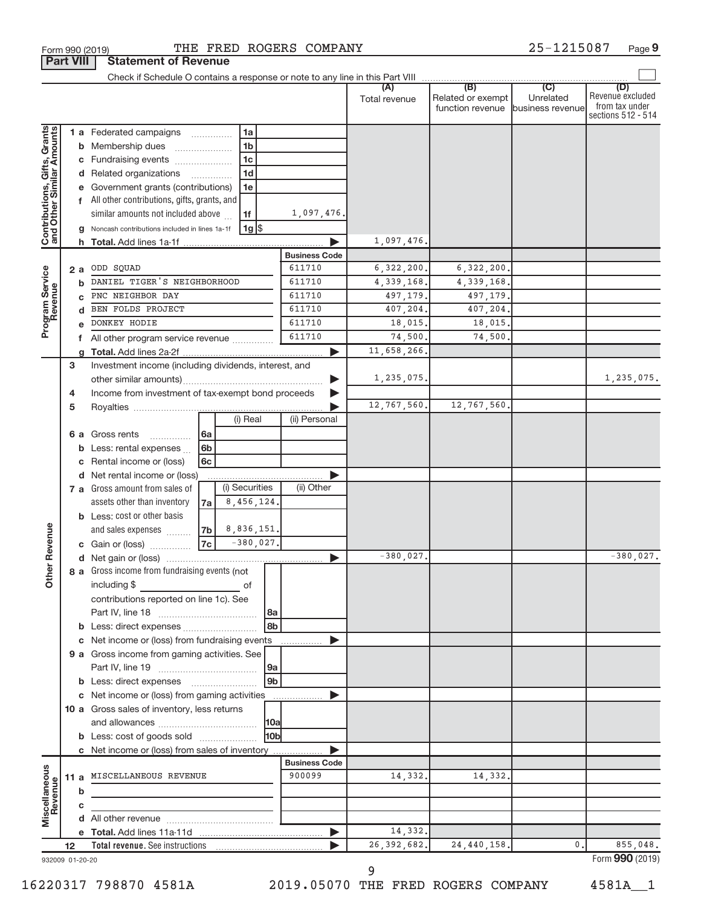|                                                           |    | . <b></b>    | יטוווטווני טו ווט                                     |                |  |                |                       |                      |                                                        |                             |                                                                 |
|-----------------------------------------------------------|----|--------------|-------------------------------------------------------|----------------|--|----------------|-----------------------|----------------------|--------------------------------------------------------|-----------------------------|-----------------------------------------------------------------|
|                                                           |    |              |                                                       |                |  |                |                       | (A)<br>Total revenue | Related or exempt<br>function revenue business revenue | $\overline{C}$<br>Unrelated | (D)<br>Revenue excluded<br>from tax under<br>sections 512 - 514 |
|                                                           |    |              | 1 a Federated campaigns                               |                |  | 1a             |                       |                      |                                                        |                             |                                                                 |
|                                                           |    |              | <b>b</b> Membership dues                              |                |  | 1 <sub>b</sub> |                       |                      |                                                        |                             |                                                                 |
|                                                           |    |              | c Fundraising events                                  |                |  | 1 <sub>c</sub> |                       |                      |                                                        |                             |                                                                 |
|                                                           |    |              | d Related organizations                               |                |  | 1 <sub>d</sub> |                       |                      |                                                        |                             |                                                                 |
|                                                           |    |              | e Government grants (contributions)                   |                |  | 1e             |                       |                      |                                                        |                             |                                                                 |
|                                                           |    |              | f All other contributions, gifts, grants, and         |                |  |                |                       |                      |                                                        |                             |                                                                 |
|                                                           |    |              | similar amounts not included above                    |                |  | 1f             | 1,097,476.            |                      |                                                        |                             |                                                                 |
|                                                           |    |              | Noncash contributions included in lines 1a-1f         |                |  | $1g$ \$        |                       |                      |                                                        |                             |                                                                 |
| Contributions, Gifts, Grants<br>and Other Similar Amounts |    |              |                                                       |                |  |                |                       | 1,097,476.           |                                                        |                             |                                                                 |
|                                                           |    |              |                                                       |                |  |                | <b>Business Code</b>  |                      |                                                        |                             |                                                                 |
|                                                           |    | 2 a          | ODD SQUAD                                             |                |  |                | 611710                | 6, 322, 200.         | 6,322,200.                                             |                             |                                                                 |
|                                                           |    | b            | DANIEL TIGER'S NEIGHBORHOOD                           |                |  |                | 611710                | 4,339,168.           | 4, 339, 168.                                           |                             |                                                                 |
|                                                           |    | $\mathbf{c}$ | PNC NEIGHBOR DAY                                      |                |  |                | 611710                | 497,179.             | 497,179.                                               |                             |                                                                 |
|                                                           |    | d            | BEN FOLDS PROJECT                                     |                |  |                | 611710                | 407,204.             | 407,204.                                               |                             |                                                                 |
| Program Service                                           |    | e            | DONKEY HODIE                                          |                |  |                | 611710                | 18,015.              | 18,015.                                                |                             |                                                                 |
|                                                           |    |              | f All other program service revenue                   |                |  |                | 611710                | 74,500.              | 74,500                                                 |                             |                                                                 |
|                                                           |    |              |                                                       |                |  |                | ▶                     | 11,658,266.          |                                                        |                             |                                                                 |
|                                                           | 3  |              | Investment income (including dividends, interest, and |                |  |                |                       |                      |                                                        |                             |                                                                 |
|                                                           |    |              |                                                       |                |  |                |                       | 1,235,075.           |                                                        |                             | 1,235,075.                                                      |
|                                                           | 4  |              | Income from investment of tax-exempt bond proceeds    |                |  |                |                       |                      |                                                        |                             |                                                                 |
|                                                           | 5  |              |                                                       |                |  |                | ▶                     | 12,767,560.          | 12,767,560.                                            |                             |                                                                 |
|                                                           |    |              |                                                       |                |  | (i) Real       | (ii) Personal         |                      |                                                        |                             |                                                                 |
|                                                           |    | 6а           | Gross rents                                           | 6a             |  |                |                       |                      |                                                        |                             |                                                                 |
|                                                           |    |              | <b>b</b> Less: rental expenses                        | 6 <sub>b</sub> |  |                |                       |                      |                                                        |                             |                                                                 |
|                                                           |    | c            | Rental income or (loss)                               | 6c             |  |                |                       |                      |                                                        |                             |                                                                 |
|                                                           |    |              | d Net rental income or (loss)                         |                |  |                |                       |                      |                                                        |                             |                                                                 |
|                                                           |    |              | 7 a Gross amount from sales of                        |                |  | (i) Securities | (ii) Other            |                      |                                                        |                             |                                                                 |
|                                                           |    |              | assets other than inventory                           | 7a l           |  | 8,456,124.     |                       |                      |                                                        |                             |                                                                 |
|                                                           |    |              | <b>b</b> Less: cost or other basis                    |                |  |                |                       |                      |                                                        |                             |                                                                 |
|                                                           |    |              | and sales expenses                                    | 7 <sub>b</sub> |  | 8,836,151.     |                       |                      |                                                        |                             |                                                                 |
|                                                           |    |              | c Gain or (loss)                                      | 7c             |  | $-380,027.$    |                       |                      |                                                        |                             |                                                                 |
| her Revenue                                               |    |              |                                                       |                |  |                | $\blacktriangleright$ | $-380,027.$          |                                                        |                             | $-380,027.$                                                     |
|                                                           |    |              | 8 a Gross income from fundraising events (not         |                |  |                |                       |                      |                                                        |                             |                                                                 |
| ŏ                                                         |    |              | including \$                                          |                |  | of             |                       |                      |                                                        |                             |                                                                 |
|                                                           |    |              | contributions reported on line 1c). See               |                |  |                |                       |                      |                                                        |                             |                                                                 |
|                                                           |    |              |                                                       |                |  | 8a             |                       |                      |                                                        |                             |                                                                 |
|                                                           |    |              |                                                       |                |  | 8b             |                       |                      |                                                        |                             |                                                                 |
|                                                           |    | c            | Net income or (loss) from fundraising events          |                |  |                |                       |                      |                                                        |                             |                                                                 |
|                                                           |    |              | 9 a Gross income from gaming activities. See          |                |  |                |                       |                      |                                                        |                             |                                                                 |
|                                                           |    |              |                                                       |                |  | 9a             |                       |                      |                                                        |                             |                                                                 |
|                                                           |    |              |                                                       |                |  | 9 <sub>b</sub> |                       |                      |                                                        |                             |                                                                 |
|                                                           |    |              | c Net income or (loss) from gaming activities         |                |  |                |                       |                      |                                                        |                             |                                                                 |
|                                                           |    |              | 10 a Gross sales of inventory, less returns           |                |  |                |                       |                      |                                                        |                             |                                                                 |
|                                                           |    |              |                                                       |                |  | 10a            |                       |                      |                                                        |                             |                                                                 |
|                                                           |    |              | <b>b</b> Less: cost of goods sold                     |                |  | l10b           |                       |                      |                                                        |                             |                                                                 |
|                                                           |    |              | c Net income or (loss) from sales of inventory        |                |  |                | <b>Business Code</b>  |                      |                                                        |                             |                                                                 |
|                                                           |    |              | MISCELLANEOUS REVENUE                                 |                |  |                | 900099                | 14,332.              | 14,332.                                                |                             |                                                                 |
| Miscellaneous<br>Revenue                                  |    | 11 a         |                                                       |                |  |                |                       |                      |                                                        |                             |                                                                 |
|                                                           |    | b            |                                                       |                |  |                |                       |                      |                                                        |                             |                                                                 |
|                                                           |    | c            |                                                       |                |  |                |                       |                      |                                                        |                             |                                                                 |
|                                                           |    |              |                                                       |                |  |                | $\blacktriangleright$ | 14,332.              |                                                        |                             |                                                                 |
|                                                           | 12 |              |                                                       |                |  |                |                       | 26, 392, 682.        | 24, 440, 158.                                          | 0.                          | 855,048.                                                        |
| 932009 01-20-20                                           |    |              |                                                       |                |  |                |                       |                      |                                                        |                             | Form 990 (2019)                                                 |

**Part VIII Statement of Revenue**<br>**Part VIII** | Statement of Revenue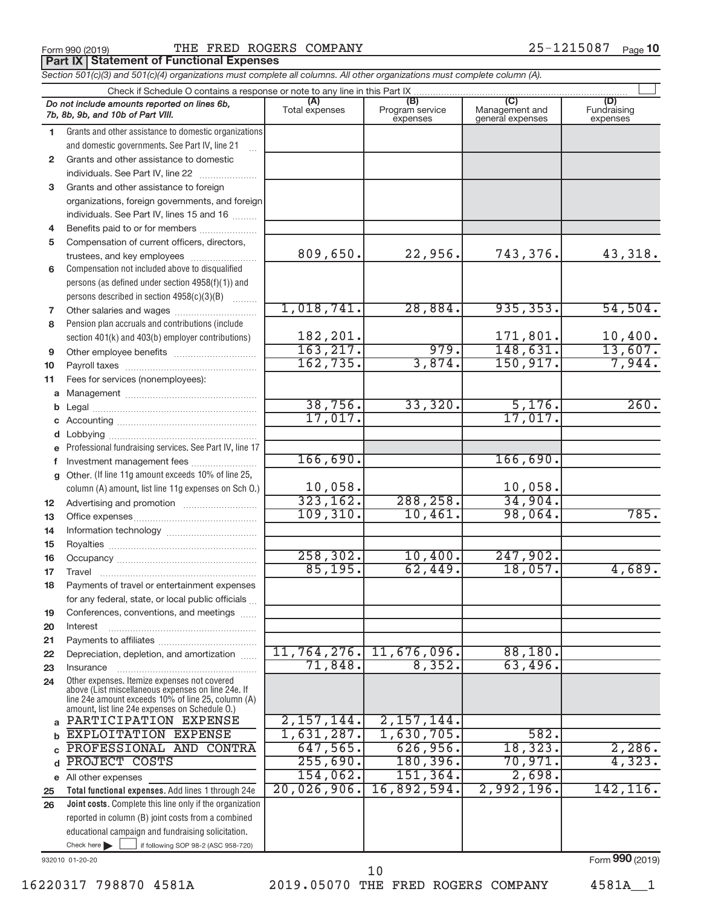**Part IX Statement of Functional Expenses** 

*Section 501(c)(3) and 501(c)(4) organizations must complete all columns. All other organizations must complete column (A).*

|                | Do not include amounts reported on lines 6b,<br>7b, 8b, 9b, and 10b of Part VIII.                        | (A)<br>Total expenses | (B)<br>Program service<br>expenses | Management and<br>general expenses | (D)<br>Fundraising<br>expenses |  |  |  |  |  |
|----------------|----------------------------------------------------------------------------------------------------------|-----------------------|------------------------------------|------------------------------------|--------------------------------|--|--|--|--|--|
| 1.             | Grants and other assistance to domestic organizations                                                    |                       |                                    |                                    |                                |  |  |  |  |  |
|                | and domestic governments. See Part IV, line 21                                                           |                       |                                    |                                    |                                |  |  |  |  |  |
| $\overline{2}$ | Grants and other assistance to domestic                                                                  |                       |                                    |                                    |                                |  |  |  |  |  |
|                | individuals. See Part IV, line 22                                                                        |                       |                                    |                                    |                                |  |  |  |  |  |
| 3              | Grants and other assistance to foreign                                                                   |                       |                                    |                                    |                                |  |  |  |  |  |
|                | organizations, foreign governments, and foreign                                                          |                       |                                    |                                    |                                |  |  |  |  |  |
|                | individuals. See Part IV, lines 15 and 16                                                                |                       |                                    |                                    |                                |  |  |  |  |  |
| 4              | Benefits paid to or for members                                                                          |                       |                                    |                                    |                                |  |  |  |  |  |
| 5              | Compensation of current officers, directors,                                                             |                       |                                    |                                    |                                |  |  |  |  |  |
|                | trustees, and key employees                                                                              | 809,650.              | 22,956.                            | 743,376.                           | 43,318.                        |  |  |  |  |  |
| 6              | Compensation not included above to disqualified                                                          |                       |                                    |                                    |                                |  |  |  |  |  |
|                | persons (as defined under section 4958(f)(1)) and                                                        |                       |                                    |                                    |                                |  |  |  |  |  |
|                | persons described in section 4958(c)(3)(B)                                                               |                       |                                    |                                    |                                |  |  |  |  |  |
| 7              |                                                                                                          | 1,018,741.            | 28,884.                            | 935, 353.                          | 54,504.                        |  |  |  |  |  |
| 8              | Pension plan accruals and contributions (include                                                         |                       |                                    |                                    |                                |  |  |  |  |  |
|                | section 401(k) and 403(b) employer contributions)                                                        | 182,201.              |                                    | 171,801.                           | 10,400.                        |  |  |  |  |  |
| 9              |                                                                                                          | 163, 217.             | 979.                               | 148,631.                           | 13,607.                        |  |  |  |  |  |
| 10             |                                                                                                          | 162, 735.             | 3,874.                             | 150, 917.                          | 7,944.                         |  |  |  |  |  |
| 11             | Fees for services (nonemployees):                                                                        |                       |                                    |                                    |                                |  |  |  |  |  |
| a              |                                                                                                          |                       |                                    |                                    |                                |  |  |  |  |  |
| b              |                                                                                                          | 38,756.               | 33,320.                            | 5,176.                             | 260.                           |  |  |  |  |  |
|                |                                                                                                          | 17,017.               |                                    | 17,017.                            |                                |  |  |  |  |  |
|                |                                                                                                          |                       |                                    |                                    |                                |  |  |  |  |  |
|                | Professional fundraising services. See Part IV, line 17                                                  | 166,690.              |                                    | 166,690.                           |                                |  |  |  |  |  |
| f              | Investment management fees                                                                               |                       |                                    |                                    |                                |  |  |  |  |  |
| g              | Other. (If line 11g amount exceeds 10% of line 25,                                                       | 10,058.               |                                    | 10,058.                            |                                |  |  |  |  |  |
|                | column (A) amount, list line 11g expenses on Sch O.)                                                     | 323,162.              | 288, 258.                          | 34,904.                            |                                |  |  |  |  |  |
| 12             |                                                                                                          | 109, 310.             | 10,461.                            | 98,064.                            | 785.                           |  |  |  |  |  |
| 13             |                                                                                                          |                       |                                    |                                    |                                |  |  |  |  |  |
| 14<br>15       |                                                                                                          |                       |                                    |                                    |                                |  |  |  |  |  |
| 16             |                                                                                                          | 258, 302.             | 10,400.                            | 247,902.                           |                                |  |  |  |  |  |
| 17             |                                                                                                          | 85,195.               | 62,449.                            | 18,057.                            | 4,689.                         |  |  |  |  |  |
| 18             | Payments of travel or entertainment expenses                                                             |                       |                                    |                                    |                                |  |  |  |  |  |
|                | for any federal, state, or local public officials                                                        |                       |                                    |                                    |                                |  |  |  |  |  |
| 19             | Conferences, conventions, and meetings                                                                   |                       |                                    |                                    |                                |  |  |  |  |  |
| 20             | Interest                                                                                                 |                       |                                    |                                    |                                |  |  |  |  |  |
| 21             |                                                                                                          |                       |                                    |                                    |                                |  |  |  |  |  |
| 22             | Depreciation, depletion, and amortization                                                                | 11, 764, 276.         | 11,676,096.                        | 88,180.                            |                                |  |  |  |  |  |
| 23             | Insurance                                                                                                | 71,848.               | 8,352.                             | 63,496.                            |                                |  |  |  |  |  |
| 24             | Other expenses. Itemize expenses not covered                                                             |                       |                                    |                                    |                                |  |  |  |  |  |
|                | above (List miscellaneous expenses on line 24e. If<br>line 24e amount exceeds 10% of line 25, column (A) |                       |                                    |                                    |                                |  |  |  |  |  |
|                | amount, list line 24e expenses on Schedule O.)                                                           |                       |                                    |                                    |                                |  |  |  |  |  |
| a              | PARTICIPATION EXPENSE                                                                                    | 2,157,144.            | 2,157,144.                         |                                    |                                |  |  |  |  |  |
|                | EXPLOITATION EXPENSE                                                                                     | 1,631,287.            | 1,630,705.                         | 582.                               |                                |  |  |  |  |  |
|                | PROFESSIONAL AND CONTRA                                                                                  | 647,565.              | 626,956.                           | 18, 323.                           | 2,286.                         |  |  |  |  |  |
| d              | PROJECT COSTS                                                                                            | 255,690.              | 180, 396.                          | 70,971.                            | 4,323.                         |  |  |  |  |  |
|                | e All other expenses                                                                                     | 154,062.              | 151, 364.                          | 2,698.                             |                                |  |  |  |  |  |
| 25             | Total functional expenses. Add lines 1 through 24e                                                       | 20,026,906.           | 16,892,594.                        | 2,992,196.                         | 142, 116.                      |  |  |  |  |  |
| 26             | Joint costs. Complete this line only if the organization                                                 |                       |                                    |                                    |                                |  |  |  |  |  |
|                | reported in column (B) joint costs from a combined                                                       |                       |                                    |                                    |                                |  |  |  |  |  |
|                | educational campaign and fundraising solicitation.                                                       |                       |                                    |                                    |                                |  |  |  |  |  |
|                | Check here $\blacktriangleright$<br>if following SOP 98-2 (ASC 958-720)                                  |                       |                                    |                                    |                                |  |  |  |  |  |

932010 01-20-20

10

16220317 798870 4581A 2019.05070 THE FRED ROGERS COMPANY 4581A\_\_1

Form (2019) **990**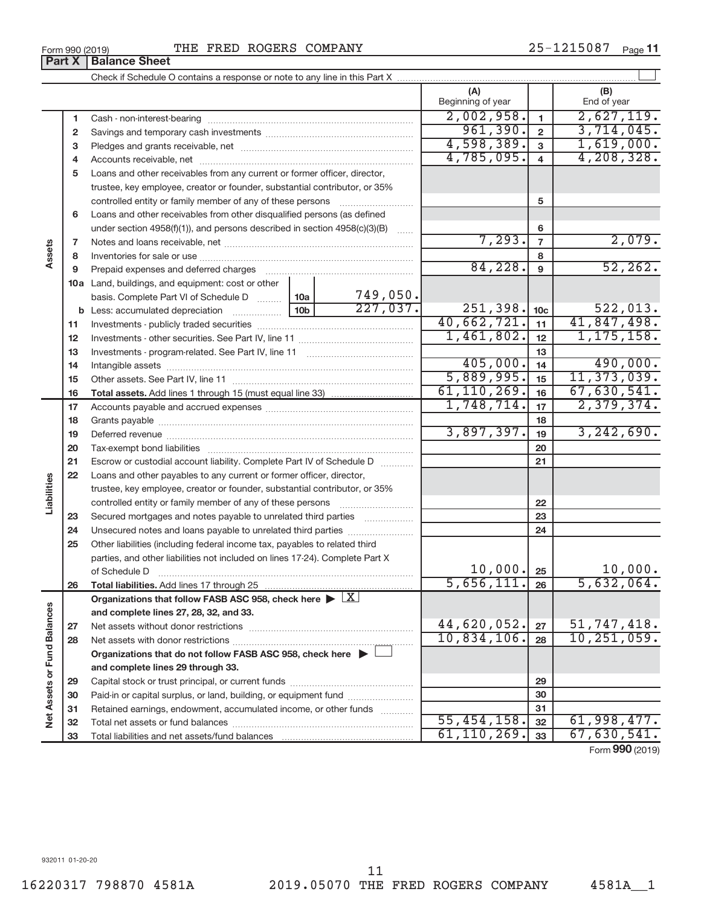932011 01-20-20

|    |                                                                                            |                                                                           |               | (A)<br>Beginning of year |                  | (B)<br>End of year |  |
|----|--------------------------------------------------------------------------------------------|---------------------------------------------------------------------------|---------------|--------------------------|------------------|--------------------|--|
| 1  |                                                                                            |                                                                           |               | 2,002,958.               | $\mathbf{1}$     | 2,627,119.         |  |
| 2  |                                                                                            |                                                                           |               | 961,390.                 | $\overline{2}$   | 3,714,045.         |  |
| 3  |                                                                                            |                                                                           |               | 4,598,389.               | $\overline{3}$   | 1,619,000.         |  |
| 4  |                                                                                            |                                                                           |               | 4,785,095.               | $\overline{4}$   | 4, 208, 328.       |  |
| 5  |                                                                                            | Loans and other receivables from any current or former officer, director, |               |                          |                  |                    |  |
|    | trustee, key employee, creator or founder, substantial contributor, or 35%                 |                                                                           |               |                          |                  |                    |  |
|    | controlled entity or family member of any of these persons                                 |                                                                           |               |                          | 5                |                    |  |
| 6  | Loans and other receivables from other disqualified persons (as defined                    |                                                                           |               |                          |                  |                    |  |
|    | under section $4958(f)(1)$ , and persons described in section $4958(c)(3)(B)$              |                                                                           | $\ldots$      |                          | 6                |                    |  |
| 7  |                                                                                            |                                                                           |               | 7,293.                   | $\overline{7}$   | 2,079.             |  |
| 8  |                                                                                            |                                                                           |               |                          | 8                |                    |  |
| 9  | Prepaid expenses and deferred charges                                                      |                                                                           |               | 84,228.                  | $\boldsymbol{9}$ | 52, 262.           |  |
|    | 10a Land, buildings, and equipment: cost or other                                          |                                                                           |               |                          |                  |                    |  |
|    | basis. Complete Part VI of Schedule D                                                      | 10a $\vert$                                                               | 749,050.      |                          |                  |                    |  |
|    | <b>b</b> Less: accumulated depreciation <i></i>                                            | 10 <sub>b</sub>                                                           | 227,037.      | 251,398.                 | 10 <sub>c</sub>  | 522,013.           |  |
| 11 |                                                                                            |                                                                           |               | 40,662,721.              | 11               | 41,847,498.        |  |
| 12 |                                                                                            |                                                                           |               | 1,461,802.               | 12               | 1, 175, 158.       |  |
| 13 |                                                                                            |                                                                           |               |                          | 13               |                    |  |
| 14 |                                                                                            |                                                                           |               | 405,000.                 | 14               | 490,000.           |  |
| 15 |                                                                                            |                                                                           |               | 5,889,995.               | 15               | 11, 373, 039.      |  |
| 16 |                                                                                            |                                                                           |               | 61, 110, 269.            | 16               | 67,630,541.        |  |
| 17 |                                                                                            |                                                                           |               | 1,748,714.               | 17               | 2,379,374.         |  |
| 18 |                                                                                            |                                                                           |               | 3,897,397.               | 18               | 3, 242, 690.       |  |
| 19 |                                                                                            |                                                                           |               |                          | 19               |                    |  |
| 20 |                                                                                            |                                                                           |               |                          | 20               |                    |  |
| 21 | Escrow or custodial account liability. Complete Part IV of Schedule D                      |                                                                           |               |                          | 21               |                    |  |
| 22 | Loans and other payables to any current or former officer, director,                       |                                                                           |               |                          |                  |                    |  |
|    | trustee, key employee, creator or founder, substantial contributor, or 35%                 |                                                                           |               |                          | 22               |                    |  |
| 23 |                                                                                            |                                                                           |               |                          | 23               |                    |  |
| 24 | Secured mortgages and notes payable to unrelated third parties                             |                                                                           |               |                          | 24               |                    |  |
| 25 | Other liabilities (including federal income tax, payables to related third                 |                                                                           |               |                          |                  |                    |  |
|    | parties, and other liabilities not included on lines 17-24). Complete Part X               |                                                                           |               |                          |                  |                    |  |
|    | of Schedule D                                                                              |                                                                           |               | $10,000$ . $25$          |                  | 10,000.            |  |
| 26 |                                                                                            |                                                                           |               | 5,656,111.               | 26               | 5,632,064.         |  |
|    | Organizations that follow FASB ASC 958, check here $\blacktriangleright \lfloor X \rfloor$ |                                                                           |               |                          |                  |                    |  |
|    | and complete lines 27, 28, 32, and 33.                                                     |                                                                           |               |                          |                  |                    |  |
| 27 |                                                                                            |                                                                           |               | 44,620,052.              | 27               | 51,747,418.        |  |
| 28 |                                                                                            |                                                                           |               | 10,834,106.              | 28               | 10, 251, 059.      |  |
|    | Organizations that do not follow FASB ASC 958, check here $\blacktriangleright$            |                                                                           |               |                          |                  |                    |  |
|    | and complete lines 29 through 33.                                                          |                                                                           |               |                          |                  |                    |  |
| 29 |                                                                                            |                                                                           |               | 29                       |                  |                    |  |
| 30 | Paid-in or capital surplus, or land, building, or equipment fund                           |                                                                           |               |                          | 30               |                    |  |
| 31 | Retained earnings, endowment, accumulated income, or other funds                           |                                                                           |               |                          | 31               |                    |  |
| 32 |                                                                                            |                                                                           |               | 55,454,158.              | 32               | 61,998,477.        |  |
| 33 |                                                                                            |                                                                           | 61, 110, 269. | 33                       | 67,630,541.      |                    |  |

Form (2019) **990**

**Part X Balance Sheet**

**Assets**

**Liabilities**

**Net Assets or Fund Balances**

Net Assets or Fund Balances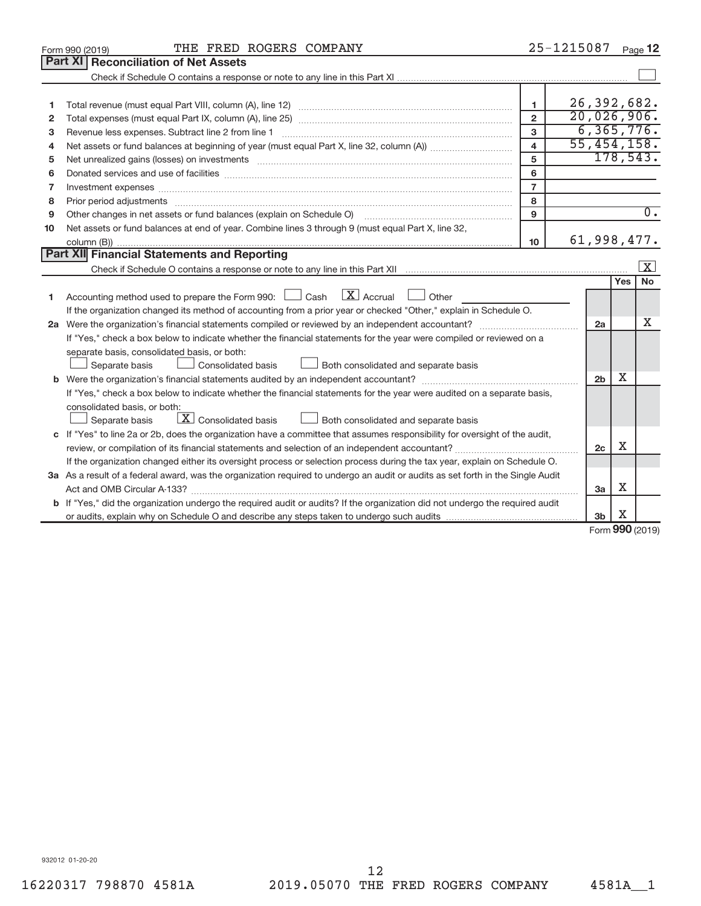|                | THE FRED ROGERS COMPANY<br>Form 990 (2019)                                                                                                                                                                                     |                         | 25-1215087 |                |             | Page 12                 |  |  |
|----------------|--------------------------------------------------------------------------------------------------------------------------------------------------------------------------------------------------------------------------------|-------------------------|------------|----------------|-------------|-------------------------|--|--|
|                | Part XI   Reconciliation of Net Assets                                                                                                                                                                                         |                         |            |                |             |                         |  |  |
|                |                                                                                                                                                                                                                                |                         |            |                |             |                         |  |  |
|                |                                                                                                                                                                                                                                |                         |            |                |             |                         |  |  |
| 1              |                                                                                                                                                                                                                                | $\mathbf{1}$            |            |                |             | 26, 392, 682.           |  |  |
| $\overline{2}$ |                                                                                                                                                                                                                                | $\overline{2}$          |            |                |             | 20,026,906.             |  |  |
| з              | Revenue less expenses. Subtract line 2 from line 1                                                                                                                                                                             | 3                       |            |                |             | 6, 365, 776.            |  |  |
| 4              |                                                                                                                                                                                                                                | $\overline{\mathbf{4}}$ |            |                |             | 55,454,158.             |  |  |
| 5              | Net unrealized gains (losses) on investments [11] matter than the control of the state of the state of the state of the state of the state of the state of the state of the state of the state of the state of the state of th | 5                       |            |                |             | 178,543.                |  |  |
| 6              |                                                                                                                                                                                                                                | 6                       |            |                |             |                         |  |  |
| 7              | Investment expenses www.communication.com/multiple/expenses/communications/communications/communications/                                                                                                                      | $\overline{7}$          |            |                |             |                         |  |  |
| 8              |                                                                                                                                                                                                                                | 8                       |            |                |             |                         |  |  |
| 9              |                                                                                                                                                                                                                                | 9                       |            |                |             | $\overline{0}$ .        |  |  |
| 10             | Net assets or fund balances at end of year. Combine lines 3 through 9 (must equal Part X, line 32,                                                                                                                             |                         |            |                |             |                         |  |  |
|                |                                                                                                                                                                                                                                | 10                      |            |                |             | 61,998,477.             |  |  |
|                | Part XII Financial Statements and Reporting                                                                                                                                                                                    |                         |            |                |             |                         |  |  |
|                |                                                                                                                                                                                                                                |                         |            |                |             | $\overline{\mathbf{x}}$ |  |  |
|                |                                                                                                                                                                                                                                |                         |            |                | <b>Yes</b>  | <b>No</b>               |  |  |
| 1              | Accounting method used to prepare the Form 990: $\Box$ Cash $\Box$ Accrual $\Box$ Other                                                                                                                                        |                         |            |                |             |                         |  |  |
|                | If the organization changed its method of accounting from a prior year or checked "Other," explain in Schedule O.                                                                                                              |                         |            |                |             |                         |  |  |
|                |                                                                                                                                                                                                                                |                         |            | 2a             |             | X                       |  |  |
|                | If "Yes," check a box below to indicate whether the financial statements for the year were compiled or reviewed on a                                                                                                           |                         |            |                |             |                         |  |  |
|                | separate basis, consolidated basis, or both:                                                                                                                                                                                   |                         |            |                |             |                         |  |  |
|                | Both consolidated and separate basis<br>Separate basis<br>Consolidated basis                                                                                                                                                   |                         |            |                |             |                         |  |  |
|                |                                                                                                                                                                                                                                |                         |            | 2 <sub>b</sub> | x           |                         |  |  |
|                | If "Yes," check a box below to indicate whether the financial statements for the year were audited on a separate basis,                                                                                                        |                         |            |                |             |                         |  |  |
|                | consolidated basis, or both:                                                                                                                                                                                                   |                         |            |                |             |                         |  |  |
|                | $\lfloor \mathbf{X} \rfloor$ Consolidated basis<br>Both consolidated and separate basis<br>Separate basis                                                                                                                      |                         |            |                |             |                         |  |  |
|                | c If "Yes" to line 2a or 2b, does the organization have a committee that assumes responsibility for oversight of the audit,                                                                                                    |                         |            | 2 <sub>c</sub> | X           |                         |  |  |
|                |                                                                                                                                                                                                                                |                         |            |                |             |                         |  |  |
|                | If the organization changed either its oversight process or selection process during the tax year, explain on Schedule O.                                                                                                      |                         |            |                |             |                         |  |  |
|                | 3a As a result of a federal award, was the organization required to undergo an audit or audits as set forth in the Single Audit                                                                                                |                         |            |                |             |                         |  |  |
|                |                                                                                                                                                                                                                                |                         |            | 3a             | х           |                         |  |  |
|                | <b>b</b> If "Yes," did the organization undergo the required audit or audits? If the organization did not undergo the required audit                                                                                           |                         |            |                |             |                         |  |  |
|                |                                                                                                                                                                                                                                |                         |            | 3b             | X<br>$\sim$ |                         |  |  |

Form (2019) **990**

932012 01-20-20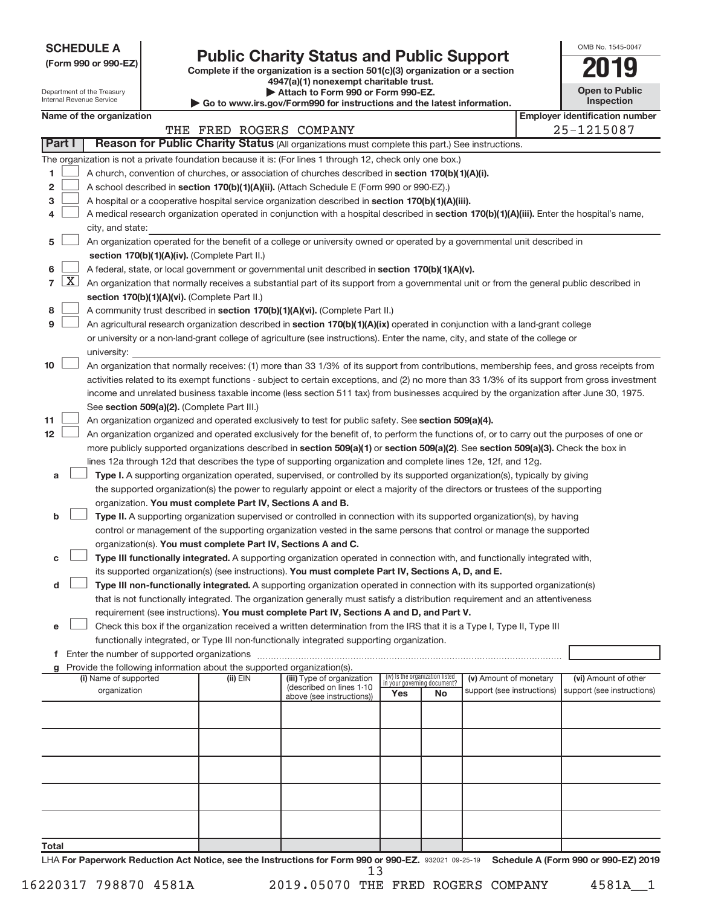**SCHEDULE A**

| (Form 990 or 990-EZ) |  |  |  |  |
|----------------------|--|--|--|--|
|----------------------|--|--|--|--|

Department of the Treasury Internal Revenue Service

# Form 990 or 990-EZ)<br>
Complete if the organization is a section 501(c)(3) organization or a section<br> **2019**

**4947(a)(1) nonexempt charitable trust.**

**| Attach to Form 990 or Form 990-EZ. | Go to www.irs.gov/Form990 for instructions and the latest information.**

| <b>Open to Public</b><br>Inspection |
|-------------------------------------|
| ີ                                   |

OMB No. 1545-0047

|                | Name of the organization<br><b>Employer identification number</b> |                                                                                                                                                                            |                         |                                                       |     |                                                                |                            |  |                            |  |  |
|----------------|-------------------------------------------------------------------|----------------------------------------------------------------------------------------------------------------------------------------------------------------------------|-------------------------|-------------------------------------------------------|-----|----------------------------------------------------------------|----------------------------|--|----------------------------|--|--|
|                |                                                                   |                                                                                                                                                                            | THE FRED ROGERS COMPANY |                                                       |     |                                                                |                            |  | 25-1215087                 |  |  |
|                | Part I                                                            | Reason for Public Charity Status (All organizations must complete this part.) See instructions.                                                                            |                         |                                                       |     |                                                                |                            |  |                            |  |  |
|                |                                                                   | The organization is not a private foundation because it is: (For lines 1 through 12, check only one box.)                                                                  |                         |                                                       |     |                                                                |                            |  |                            |  |  |
| 1              |                                                                   | A church, convention of churches, or association of churches described in section 170(b)(1)(A)(i).                                                                         |                         |                                                       |     |                                                                |                            |  |                            |  |  |
| 2              |                                                                   | A school described in section 170(b)(1)(A)(ii). (Attach Schedule E (Form 990 or 990-EZ).)                                                                                  |                         |                                                       |     |                                                                |                            |  |                            |  |  |
| з              |                                                                   | A hospital or a cooperative hospital service organization described in section 170(b)(1)(A)(iii).                                                                          |                         |                                                       |     |                                                                |                            |  |                            |  |  |
|                |                                                                   | A medical research organization operated in conjunction with a hospital described in section 170(b)(1)(A)(iii). Enter the hospital's name,                                 |                         |                                                       |     |                                                                |                            |  |                            |  |  |
|                |                                                                   | city, and state:                                                                                                                                                           |                         |                                                       |     |                                                                |                            |  |                            |  |  |
| 5              |                                                                   | An organization operated for the benefit of a college or university owned or operated by a governmental unit described in<br>section 170(b)(1)(A)(iv). (Complete Part II.) |                         |                                                       |     |                                                                |                            |  |                            |  |  |
| 6              |                                                                   | A federal, state, or local government or governmental unit described in section 170(b)(1)(A)(v).                                                                           |                         |                                                       |     |                                                                |                            |  |                            |  |  |
| $\overline{7}$ | $\lfloor x \rfloor$                                               | An organization that normally receives a substantial part of its support from a governmental unit or from the general public described in                                  |                         |                                                       |     |                                                                |                            |  |                            |  |  |
|                |                                                                   | section 170(b)(1)(A)(vi). (Complete Part II.)                                                                                                                              |                         |                                                       |     |                                                                |                            |  |                            |  |  |
| 8              |                                                                   | A community trust described in section 170(b)(1)(A)(vi). (Complete Part II.)                                                                                               |                         |                                                       |     |                                                                |                            |  |                            |  |  |
| 9              |                                                                   | An agricultural research organization described in section 170(b)(1)(A)(ix) operated in conjunction with a land-grant college                                              |                         |                                                       |     |                                                                |                            |  |                            |  |  |
|                |                                                                   | or university or a non-land-grant college of agriculture (see instructions). Enter the name, city, and state of the college or                                             |                         |                                                       |     |                                                                |                            |  |                            |  |  |
|                |                                                                   | university:                                                                                                                                                                |                         |                                                       |     |                                                                |                            |  |                            |  |  |
| 10             |                                                                   | An organization that normally receives: (1) more than 33 1/3% of its support from contributions, membership fees, and gross receipts from                                  |                         |                                                       |     |                                                                |                            |  |                            |  |  |
|                |                                                                   | activities related to its exempt functions - subject to certain exceptions, and (2) no more than 33 1/3% of its support from gross investment                              |                         |                                                       |     |                                                                |                            |  |                            |  |  |
|                |                                                                   | income and unrelated business taxable income (less section 511 tax) from businesses acquired by the organization after June 30, 1975.                                      |                         |                                                       |     |                                                                |                            |  |                            |  |  |
|                |                                                                   | See section 509(a)(2). (Complete Part III.)                                                                                                                                |                         |                                                       |     |                                                                |                            |  |                            |  |  |
| 11             |                                                                   | An organization organized and operated exclusively to test for public safety. See section 509(a)(4).                                                                       |                         |                                                       |     |                                                                |                            |  |                            |  |  |
| 12             |                                                                   | An organization organized and operated exclusively for the benefit of, to perform the functions of, or to carry out the purposes of one or                                 |                         |                                                       |     |                                                                |                            |  |                            |  |  |
|                |                                                                   | more publicly supported organizations described in section 509(a)(1) or section 509(a)(2). See section 509(a)(3). Check the box in                                         |                         |                                                       |     |                                                                |                            |  |                            |  |  |
|                |                                                                   | lines 12a through 12d that describes the type of supporting organization and complete lines 12e, 12f, and 12g.                                                             |                         |                                                       |     |                                                                |                            |  |                            |  |  |
| а              |                                                                   | Type I. A supporting organization operated, supervised, or controlled by its supported organization(s), typically by giving                                                |                         |                                                       |     |                                                                |                            |  |                            |  |  |
|                |                                                                   | the supported organization(s) the power to regularly appoint or elect a majority of the directors or trustees of the supporting                                            |                         |                                                       |     |                                                                |                            |  |                            |  |  |
|                |                                                                   | organization. You must complete Part IV, Sections A and B.                                                                                                                 |                         |                                                       |     |                                                                |                            |  |                            |  |  |
| b              |                                                                   | Type II. A supporting organization supervised or controlled in connection with its supported organization(s), by having                                                    |                         |                                                       |     |                                                                |                            |  |                            |  |  |
|                |                                                                   | control or management of the supporting organization vested in the same persons that control or manage the supported                                                       |                         |                                                       |     |                                                                |                            |  |                            |  |  |
|                |                                                                   | organization(s). You must complete Part IV, Sections A and C.                                                                                                              |                         |                                                       |     |                                                                |                            |  |                            |  |  |
| с              |                                                                   | Type III functionally integrated. A supporting organization operated in connection with, and functionally integrated with,                                                 |                         |                                                       |     |                                                                |                            |  |                            |  |  |
|                |                                                                   | its supported organization(s) (see instructions). You must complete Part IV, Sections A, D, and E.                                                                         |                         |                                                       |     |                                                                |                            |  |                            |  |  |
| d              |                                                                   | Type III non-functionally integrated. A supporting organization operated in connection with its supported organization(s)                                                  |                         |                                                       |     |                                                                |                            |  |                            |  |  |
|                |                                                                   | that is not functionally integrated. The organization generally must satisfy a distribution requirement and an attentiveness                                               |                         |                                                       |     |                                                                |                            |  |                            |  |  |
|                |                                                                   | requirement (see instructions). You must complete Part IV, Sections A and D, and Part V.                                                                                   |                         |                                                       |     |                                                                |                            |  |                            |  |  |
| е              |                                                                   | Check this box if the organization received a written determination from the IRS that it is a Type I, Type II, Type III                                                    |                         |                                                       |     |                                                                |                            |  |                            |  |  |
|                |                                                                   | functionally integrated, or Type III non-functionally integrated supporting organization.                                                                                  |                         |                                                       |     |                                                                |                            |  |                            |  |  |
|                |                                                                   | g Provide the following information about the supported organization(s).                                                                                                   |                         |                                                       |     |                                                                |                            |  |                            |  |  |
|                |                                                                   | (i) Name of supported                                                                                                                                                      | (ii) EIN                | (iii) Type of organization                            |     | (iv) Is the organization listed<br>in your governing document? | (v) Amount of monetary     |  | (vi) Amount of other       |  |  |
|                |                                                                   | organization                                                                                                                                                               |                         | (described on lines 1-10<br>above (see instructions)) | Yes | No                                                             | support (see instructions) |  | support (see instructions) |  |  |
|                |                                                                   |                                                                                                                                                                            |                         |                                                       |     |                                                                |                            |  |                            |  |  |
|                |                                                                   |                                                                                                                                                                            |                         |                                                       |     |                                                                |                            |  |                            |  |  |
|                |                                                                   |                                                                                                                                                                            |                         |                                                       |     |                                                                |                            |  |                            |  |  |
|                |                                                                   |                                                                                                                                                                            |                         |                                                       |     |                                                                |                            |  |                            |  |  |
|                |                                                                   |                                                                                                                                                                            |                         |                                                       |     |                                                                |                            |  |                            |  |  |
|                |                                                                   |                                                                                                                                                                            |                         |                                                       |     |                                                                |                            |  |                            |  |  |
|                |                                                                   |                                                                                                                                                                            |                         |                                                       |     |                                                                |                            |  |                            |  |  |
|                |                                                                   |                                                                                                                                                                            |                         |                                                       |     |                                                                |                            |  |                            |  |  |
|                |                                                                   |                                                                                                                                                                            |                         |                                                       |     |                                                                |                            |  |                            |  |  |

LHA For Paperwork Reduction Act Notice, see the Instructions for Form 990 or 990-EZ. 932021 09-25-19 Schedule A (Form 990 or 990-EZ) 2019 13

**Total**

16220317 798870 4581A 2019.05070 THE FRED ROGERS COMPANY 4581A\_\_1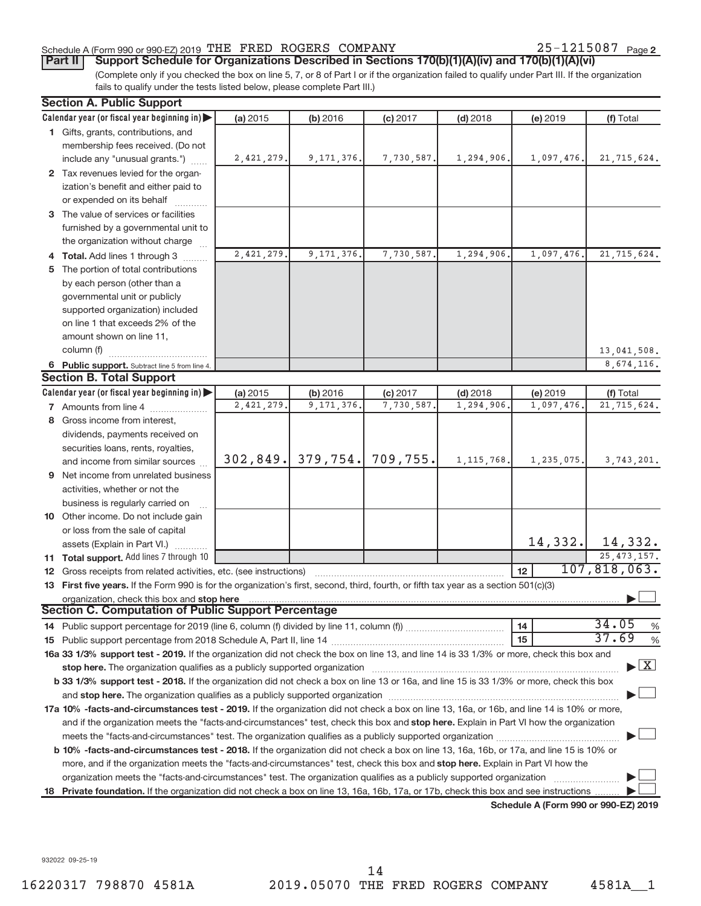## Schedule A (Form 990 or 990-EZ) 2019 THE FRED ROGERS COMPANY  $25-1215087$  Page

25-1215087 Page 2

(Complete only if you checked the box on line 5, 7, or 8 of Part I or if the organization failed to qualify under Part III. If the organization fails to qualify under the tests listed below, please complete Part III.) **Part II** | Support Schedule for Organizations Described in Sections 170(b)(1)(A)(iv) and 170(b)(1)(A)(vi)

|   | <b>Section A. Public Support</b>                                                                                                                                                                                                                                                      |            |                       |            |              |                  |                                    |  |
|---|---------------------------------------------------------------------------------------------------------------------------------------------------------------------------------------------------------------------------------------------------------------------------------------|------------|-----------------------|------------|--------------|------------------|------------------------------------|--|
|   | Calendar year (or fiscal year beginning in)                                                                                                                                                                                                                                           | (a) 2015   | (b) 2016              | (c) 2017   | $(d)$ 2018   | (e) 2019         | (f) Total                          |  |
|   | 1 Gifts, grants, contributions, and                                                                                                                                                                                                                                                   |            |                       |            |              |                  |                                    |  |
|   | membership fees received. (Do not                                                                                                                                                                                                                                                     |            |                       |            |              |                  |                                    |  |
|   | include any "unusual grants.")                                                                                                                                                                                                                                                        | 2,421,279. | 9, 171, 376.          | 7,730,587. | 1,294,906.   | 1,097,476.       | 21,715,624.                        |  |
|   | 2 Tax revenues levied for the organ-                                                                                                                                                                                                                                                  |            |                       |            |              |                  |                                    |  |
|   | ization's benefit and either paid to                                                                                                                                                                                                                                                  |            |                       |            |              |                  |                                    |  |
|   | or expended on its behalf                                                                                                                                                                                                                                                             |            |                       |            |              |                  |                                    |  |
|   | 3 The value of services or facilities                                                                                                                                                                                                                                                 |            |                       |            |              |                  |                                    |  |
|   | furnished by a governmental unit to                                                                                                                                                                                                                                                   |            |                       |            |              |                  |                                    |  |
|   | the organization without charge                                                                                                                                                                                                                                                       |            |                       |            |              |                  |                                    |  |
|   | 4 Total. Add lines 1 through 3                                                                                                                                                                                                                                                        | 2,421,279. | 9, 171, 376.          | 7,730,587. | 1,294,906.   | 1,097,476.       | 21,715,624.                        |  |
|   | 5 The portion of total contributions                                                                                                                                                                                                                                                  |            |                       |            |              |                  |                                    |  |
|   | by each person (other than a                                                                                                                                                                                                                                                          |            |                       |            |              |                  |                                    |  |
|   | governmental unit or publicly                                                                                                                                                                                                                                                         |            |                       |            |              |                  |                                    |  |
|   | supported organization) included                                                                                                                                                                                                                                                      |            |                       |            |              |                  |                                    |  |
|   | on line 1 that exceeds 2% of the                                                                                                                                                                                                                                                      |            |                       |            |              |                  |                                    |  |
|   | amount shown on line 11,                                                                                                                                                                                                                                                              |            |                       |            |              |                  |                                    |  |
|   | column (f)                                                                                                                                                                                                                                                                            |            |                       |            |              |                  | 13,041,508.                        |  |
|   | 6 Public support. Subtract line 5 from line 4.                                                                                                                                                                                                                                        |            |                       |            |              |                  | 8,674,116.                         |  |
|   | <b>Section B. Total Support</b>                                                                                                                                                                                                                                                       |            |                       |            |              |                  |                                    |  |
|   | Calendar year (or fiscal year beginning in)                                                                                                                                                                                                                                           | (a) 2015   | (b) 2016              | $(c)$ 2017 | $(d)$ 2018   | (e) 2019         | (f) Total                          |  |
|   | 7 Amounts from line 4                                                                                                                                                                                                                                                                 | 2,421,279. | 9, 171, 376.          | 7,730,587. | 1,294,906    | 1,097,476.       | 21,715,624.                        |  |
|   | 8 Gross income from interest,                                                                                                                                                                                                                                                         |            |                       |            |              |                  |                                    |  |
|   | dividends, payments received on                                                                                                                                                                                                                                                       |            |                       |            |              |                  |                                    |  |
|   | securities loans, rents, royalties,                                                                                                                                                                                                                                                   |            |                       |            |              |                  |                                    |  |
|   | and income from similar sources                                                                                                                                                                                                                                                       |            | $302, 849.$ 379, 754. | 709, 755.  | 1, 115, 768. | 1,235,075.       | 3,743,201.                         |  |
| 9 | Net income from unrelated business                                                                                                                                                                                                                                                    |            |                       |            |              |                  |                                    |  |
|   | activities, whether or not the                                                                                                                                                                                                                                                        |            |                       |            |              |                  |                                    |  |
|   | business is regularly carried on                                                                                                                                                                                                                                                      |            |                       |            |              |                  |                                    |  |
|   | 10 Other income. Do not include gain                                                                                                                                                                                                                                                  |            |                       |            |              |                  |                                    |  |
|   | or loss from the sale of capital                                                                                                                                                                                                                                                      |            |                       |            |              |                  |                                    |  |
|   | assets (Explain in Part VI.)                                                                                                                                                                                                                                                          |            |                       |            |              |                  | $14,332.$ 14,332.                  |  |
|   | <b>11 Total support.</b> Add lines 7 through 10                                                                                                                                                                                                                                       |            |                       |            |              |                  | 25, 473, 157.                      |  |
|   | 12 Gross receipts from related activities, etc. (see instructions)                                                                                                                                                                                                                    |            |                       |            |              | 12 <sup>12</sup> | 107,818,063.                       |  |
|   | 13 First five years. If the Form 990 is for the organization's first, second, third, fourth, or fifth tax year as a section 501(c)(3)                                                                                                                                                 |            |                       |            |              |                  |                                    |  |
|   | organization, check this box and stop here material content and the content of the state of the content of the content of the content of the content of the content of the content of the content of the content of the conten                                                        |            |                       |            |              |                  |                                    |  |
|   | Section C. Computation of Public Support Percentage                                                                                                                                                                                                                                   |            |                       |            |              |                  |                                    |  |
|   |                                                                                                                                                                                                                                                                                       |            |                       |            |              | 14               | 34.05<br>%                         |  |
|   |                                                                                                                                                                                                                                                                                       |            |                       |            |              | 15               | 37.69<br>%                         |  |
|   | 16a 33 1/3% support test - 2019. If the organization did not check the box on line 13, and line 14 is 33 1/3% or more, check this box and                                                                                                                                             |            |                       |            |              |                  |                                    |  |
|   |                                                                                                                                                                                                                                                                                       |            |                       |            |              |                  | $\blacktriangleright$ $\mathbf{X}$ |  |
|   | b 33 1/3% support test - 2018. If the organization did not check a box on line 13 or 16a, and line 15 is 33 1/3% or more, check this box                                                                                                                                              |            |                       |            |              |                  |                                    |  |
|   |                                                                                                                                                                                                                                                                                       |            |                       |            |              |                  |                                    |  |
|   |                                                                                                                                                                                                                                                                                       |            |                       |            |              |                  |                                    |  |
|   | 17a 10% -facts-and-circumstances test - 2019. If the organization did not check a box on line 13, 16a, or 16b, and line 14 is 10% or more,<br>and if the organization meets the "facts-and-circumstances" test, check this box and stop here. Explain in Part VI how the organization |            |                       |            |              |                  |                                    |  |
|   |                                                                                                                                                                                                                                                                                       |            |                       |            |              |                  |                                    |  |
|   | <b>b 10%</b> -facts-and-circumstances test - 2018. If the organization did not check a box on line 13, 16a, 16b, or 17a, and line 15 is 10% or                                                                                                                                        |            |                       |            |              |                  |                                    |  |
|   | more, and if the organization meets the "facts-and-circumstances" test, check this box and stop here. Explain in Part VI how the                                                                                                                                                      |            |                       |            |              |                  |                                    |  |
|   |                                                                                                                                                                                                                                                                                       |            |                       |            |              |                  |                                    |  |
|   |                                                                                                                                                                                                                                                                                       |            |                       |            |              |                  |                                    |  |
|   | 18 Private foundation. If the organization did not check a box on line 13, 16a, 16b, 17a, or 17b, check this box and see instructions<br>Schodule A (Form 000 or 000 F7) 2010                                                                                                         |            |                       |            |              |                  |                                    |  |

**Schedule A (Form 990 or 990-EZ) 2019**

932022 09-25-19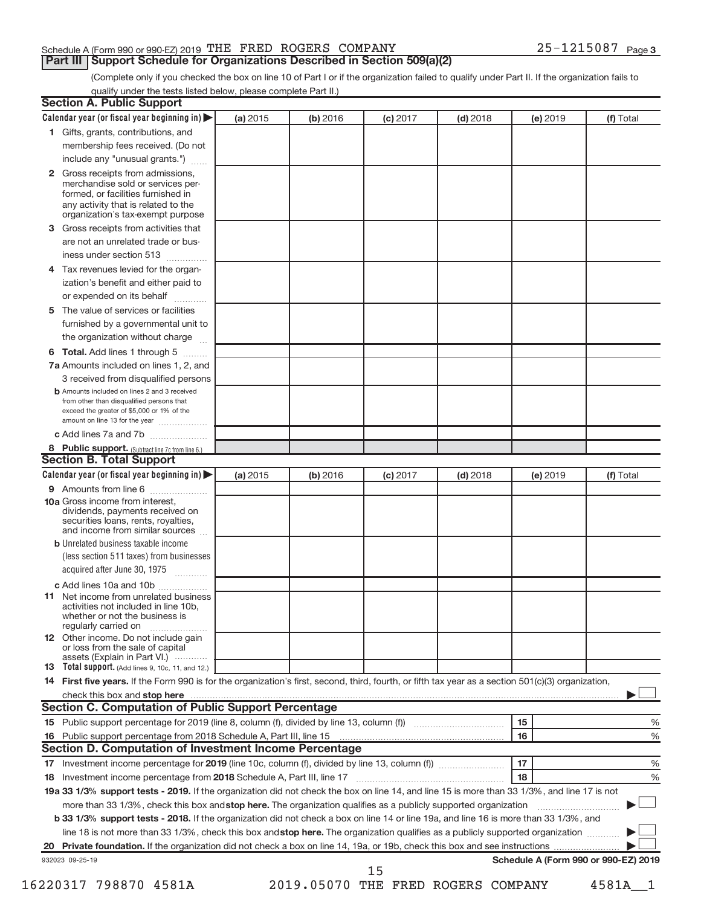## Schedule A (Form 990 or 990-EZ) 2019 THE FRED ROGERS COMPANY  $25-1215087$  Page

**Part III | Support Schedule for Organizations Described in Section 509(a)(2)** 

(Complete only if you checked the box on line 10 of Part I or if the organization failed to qualify under Part II. If the organization fails to qualify under the tests listed below, please complete Part II.)

|              | Calendar year (or fiscal year beginning in)                                                                                                         | (a) 2015 | (b) 2016 | $(c)$ 2017 | $(d)$ 2018                         | (e) 2019 | (f) Total                            |
|--------------|-----------------------------------------------------------------------------------------------------------------------------------------------------|----------|----------|------------|------------------------------------|----------|--------------------------------------|
|              | 1 Gifts, grants, contributions, and                                                                                                                 |          |          |            |                                    |          |                                      |
|              | membership fees received. (Do not                                                                                                                   |          |          |            |                                    |          |                                      |
|              | include any "unusual grants.")                                                                                                                      |          |          |            |                                    |          |                                      |
| $\mathbf{2}$ | Gross receipts from admissions,<br>merchandise sold or services per-<br>formed, or facilities furnished in                                          |          |          |            |                                    |          |                                      |
|              | any activity that is related to the<br>organization's tax-exempt purpose                                                                            |          |          |            |                                    |          |                                      |
| 3            | Gross receipts from activities that                                                                                                                 |          |          |            |                                    |          |                                      |
|              | are not an unrelated trade or bus-                                                                                                                  |          |          |            |                                    |          |                                      |
|              | iness under section 513                                                                                                                             |          |          |            |                                    |          |                                      |
| 4            | Tax revenues levied for the organ-                                                                                                                  |          |          |            |                                    |          |                                      |
|              | ization's benefit and either paid to<br>or expended on its behalf<br>.                                                                              |          |          |            |                                    |          |                                      |
| 5            | The value of services or facilities                                                                                                                 |          |          |            |                                    |          |                                      |
|              | furnished by a governmental unit to<br>the organization without charge                                                                              |          |          |            |                                    |          |                                      |
| 6            | Total. Add lines 1 through 5                                                                                                                        |          |          |            |                                    |          |                                      |
|              | 7a Amounts included on lines 1, 2, and                                                                                                              |          |          |            |                                    |          |                                      |
|              | 3 received from disqualified persons                                                                                                                |          |          |            |                                    |          |                                      |
|              | <b>b</b> Amounts included on lines 2 and 3 received                                                                                                 |          |          |            |                                    |          |                                      |
|              | from other than disqualified persons that<br>exceed the greater of \$5,000 or 1% of the<br>amount on line 13 for the year                           |          |          |            |                                    |          |                                      |
|              | c Add lines 7a and 7b                                                                                                                               |          |          |            |                                    |          |                                      |
|              | 8 Public support. (Subtract line 7c from line 6.)                                                                                                   |          |          |            |                                    |          |                                      |
|              | <b>Section B. Total Support</b>                                                                                                                     |          |          |            |                                    |          |                                      |
|              | Calendar year (or fiscal year beginning in)                                                                                                         | (a) 2015 | (b) 2016 | $(c)$ 2017 | $(d)$ 2018                         | (e) 2019 | (f) Total                            |
|              | 9 Amounts from line 6                                                                                                                               |          |          |            |                                    |          |                                      |
|              | <b>10a</b> Gross income from interest,<br>dividends, payments received on<br>securities loans, rents, royalties,<br>and income from similar sources |          |          |            |                                    |          |                                      |
|              | <b>b</b> Unrelated business taxable income                                                                                                          |          |          |            |                                    |          |                                      |
|              | (less section 511 taxes) from businesses<br>acquired after June 30, 1975                                                                            |          |          |            |                                    |          |                                      |
|              | c Add lines 10a and 10b                                                                                                                             |          |          |            |                                    |          |                                      |
|              | 11 Net income from unrelated business<br>activities not included in line 10b.<br>whether or not the business is<br>regularly carried on             |          |          |            |                                    |          |                                      |
|              | 12 Other income. Do not include gain<br>or loss from the sale of capital                                                                            |          |          |            |                                    |          |                                      |
|              | assets (Explain in Part VI.)<br><b>13</b> Total support. (Add lines 9, 10c, 11, and 12.)                                                            |          |          |            |                                    |          |                                      |
|              | 14 First five years. If the Form 990 is for the organization's first, second, third, fourth, or fifth tax year as a section 501(c)(3) organization, |          |          |            |                                    |          |                                      |
|              |                                                                                                                                                     |          |          |            |                                    |          |                                      |
|              | <b>Section C. Computation of Public Support Percentage</b>                                                                                          |          |          |            |                                    |          |                                      |
|              |                                                                                                                                                     |          |          |            |                                    | 15       | %                                    |
|              |                                                                                                                                                     |          |          |            |                                    | 16       | %                                    |
|              | Section D. Computation of Investment Income Percentage                                                                                              |          |          |            |                                    |          |                                      |
|              |                                                                                                                                                     |          |          |            |                                    | 17       |                                      |
|              |                                                                                                                                                     |          |          |            |                                    | 18       | %                                    |
|              |                                                                                                                                                     |          |          |            |                                    |          | %                                    |
|              | 19a 33 1/3% support tests - 2019. If the organization did not check the box on line 14, and line 15 is more than 33 1/3%, and line 17 is not        |          |          |            |                                    |          |                                      |
|              | more than 33 1/3%, check this box and stop here. The organization qualifies as a publicly supported organization                                    |          |          |            |                                    |          |                                      |
|              | b 33 1/3% support tests - 2018. If the organization did not check a box on line 14 or line 19a, and line 16 is more than 33 1/3%, and               |          |          |            |                                    |          |                                      |
|              | line 18 is not more than 33 1/3%, check this box and stop here. The organization qualifies as a publicly supported organization                     |          |          |            |                                    |          |                                      |
|              |                                                                                                                                                     |          |          |            |                                    |          |                                      |
|              | 932023 09-25-19                                                                                                                                     |          |          |            |                                    |          | Schedule A (Form 990 or 990-EZ) 2019 |
|              |                                                                                                                                                     |          |          | 15         |                                    |          |                                      |
|              | 16220317 798870 4581A                                                                                                                               |          |          |            | 2019.05070 THE FRED ROGERS COMPANY |          | 4581A 1                              |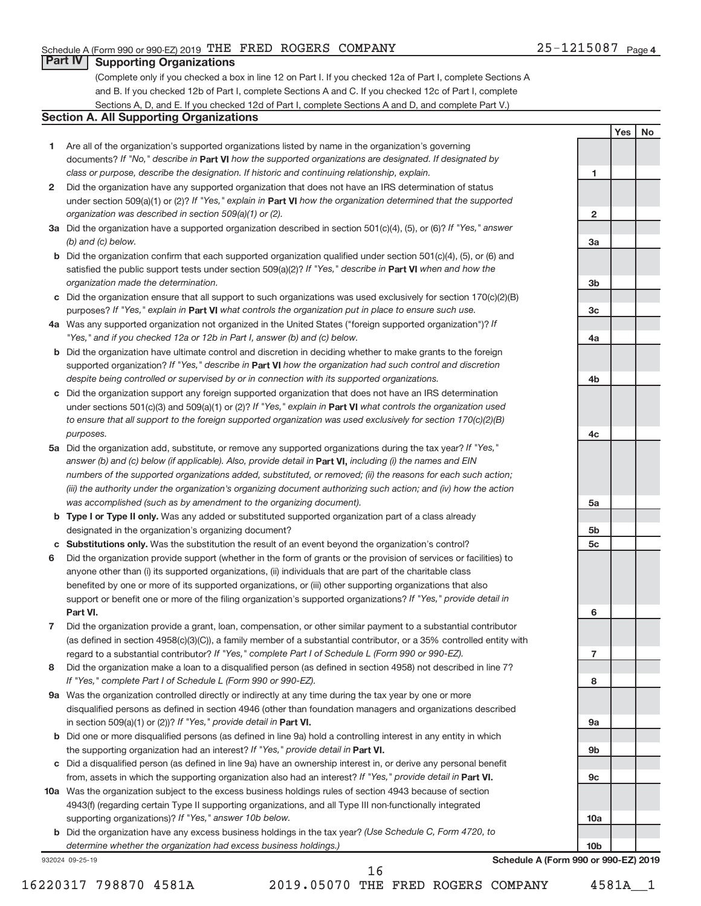**1**

**2**

**3a**

**3b**

**3c**

**4a**

**4b**

**4c**

**5a**

**5b 5c**

**6**

**7**

**8**

**9a**

**9b**

**9c**

**10a**

**10b**

**Yes No**

## **Part IV Supporting Organizations**

(Complete only if you checked a box in line 12 on Part I. If you checked 12a of Part I, complete Sections A and B. If you checked 12b of Part I, complete Sections A and C. If you checked 12c of Part I, complete Sections A, D, and E. If you checked 12d of Part I, complete Sections A and D, and complete Part V.)

### **Section A. All Supporting Organizations**

- **1** Are all of the organization's supported organizations listed by name in the organization's governing documents? If "No," describe in Part VI how the supported organizations are designated. If designated by *class or purpose, describe the designation. If historic and continuing relationship, explain.*
- **2** Did the organization have any supported organization that does not have an IRS determination of status under section 509(a)(1) or (2)? If "Yes," explain in Part VI how the organization determined that the supported *organization was described in section 509(a)(1) or (2).*
- **3a** Did the organization have a supported organization described in section 501(c)(4), (5), or (6)? If "Yes," answer *(b) and (c) below.*
- **b** Did the organization confirm that each supported organization qualified under section 501(c)(4), (5), or (6) and satisfied the public support tests under section 509(a)(2)? If "Yes," describe in Part VI when and how the *organization made the determination.*
- **c** Did the organization ensure that all support to such organizations was used exclusively for section 170(c)(2)(B) purposes? If "Yes," explain in Part VI what controls the organization put in place to ensure such use.
- **4 a** *If* Was any supported organization not organized in the United States ("foreign supported organization")? *"Yes," and if you checked 12a or 12b in Part I, answer (b) and (c) below.*
- **b** Did the organization have ultimate control and discretion in deciding whether to make grants to the foreign supported organization? If "Yes," describe in Part VI how the organization had such control and discretion *despite being controlled or supervised by or in connection with its supported organizations.*
- **c** Did the organization support any foreign supported organization that does not have an IRS determination under sections 501(c)(3) and 509(a)(1) or (2)? If "Yes," explain in Part VI what controls the organization used *to ensure that all support to the foreign supported organization was used exclusively for section 170(c)(2)(B) purposes.*
- **5a** Did the organization add, substitute, or remove any supported organizations during the tax year? If "Yes," answer (b) and (c) below (if applicable). Also, provide detail in **Part VI,** including (i) the names and EIN *numbers of the supported organizations added, substituted, or removed; (ii) the reasons for each such action; (iii) the authority under the organization's organizing document authorizing such action; and (iv) how the action was accomplished (such as by amendment to the organizing document).*
- **b** Type I or Type II only. Was any added or substituted supported organization part of a class already designated in the organization's organizing document?
- **c Substitutions only.**  Was the substitution the result of an event beyond the organization's control?
- **6** Did the organization provide support (whether in the form of grants or the provision of services or facilities) to **Part VI.** support or benefit one or more of the filing organization's supported organizations? If "Yes," provide detail in anyone other than (i) its supported organizations, (ii) individuals that are part of the charitable class benefited by one or more of its supported organizations, or (iii) other supporting organizations that also
- **7** Did the organization provide a grant, loan, compensation, or other similar payment to a substantial contributor regard to a substantial contributor? If "Yes," complete Part I of Schedule L (Form 990 or 990-EZ). (as defined in section 4958(c)(3)(C)), a family member of a substantial contributor, or a 35% controlled entity with
- **8** Did the organization make a loan to a disqualified person (as defined in section 4958) not described in line 7? *If "Yes," complete Part I of Schedule L (Form 990 or 990-EZ).*
- **9 a** Was the organization controlled directly or indirectly at any time during the tax year by one or more in section 509(a)(1) or (2))? If "Yes," provide detail in **Part VI.** disqualified persons as defined in section 4946 (other than foundation managers and organizations described
- **b** Did one or more disqualified persons (as defined in line 9a) hold a controlling interest in any entity in which the supporting organization had an interest? If "Yes," provide detail in Part VI.
- **c** Did a disqualified person (as defined in line 9a) have an ownership interest in, or derive any personal benefit from, assets in which the supporting organization also had an interest? If "Yes," provide detail in Part VI.
- **10 a** Was the organization subject to the excess business holdings rules of section 4943 because of section supporting organizations)? If "Yes," answer 10b below. 4943(f) (regarding certain Type II supporting organizations, and all Type III non-functionally integrated
	- **b** Did the organization have any excess business holdings in the tax year? (Use Schedule C, Form 4720, to *determine whether the organization had excess business holdings.)*

932024 09-25-19

**Schedule A (Form 990 or 990-EZ) 2019**

16

16220317 798870 4581A 2019.05070 THE FRED ROGERS COMPANY 4581A\_\_1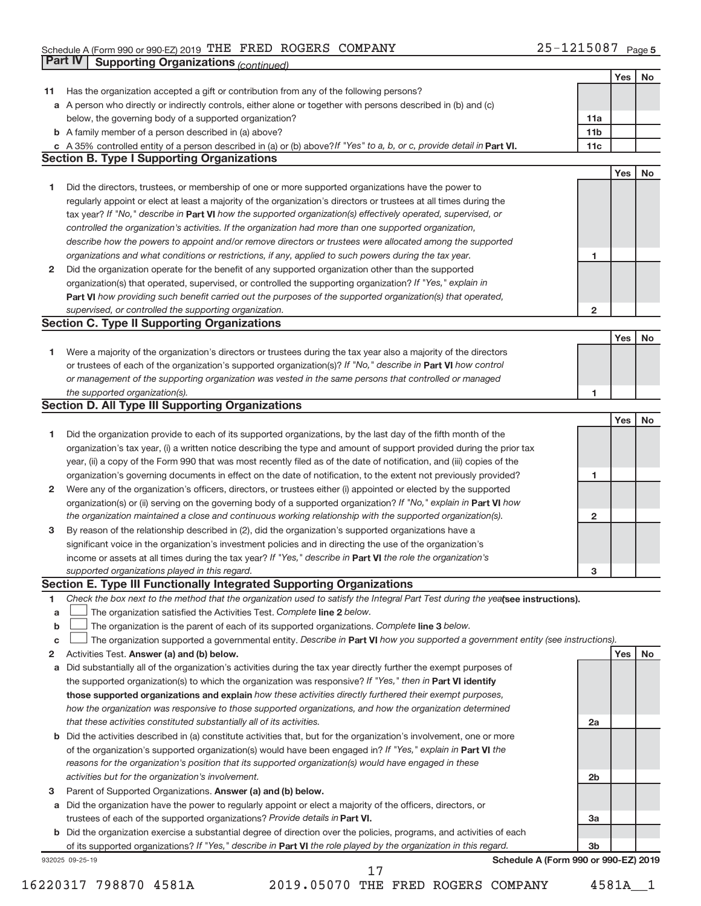### Schedule A (Form 990 or 990-EZ) 2019 Page THE FRED ROGERS COMPANY 25-1215087

|    | Part IV         | <b>Supporting Organizations (continued)</b>                                                                                     |                 |     |           |
|----|-----------------|---------------------------------------------------------------------------------------------------------------------------------|-----------------|-----|-----------|
|    |                 |                                                                                                                                 |                 | Yes | <b>No</b> |
| 11 |                 | Has the organization accepted a gift or contribution from any of the following persons?                                         |                 |     |           |
|    |                 | a A person who directly or indirectly controls, either alone or together with persons described in (b) and (c)                  |                 |     |           |
|    |                 | below, the governing body of a supported organization?                                                                          | 11a             |     |           |
|    |                 | <b>b</b> A family member of a person described in (a) above?                                                                    | 11 <sub>b</sub> |     |           |
|    |                 | c A 35% controlled entity of a person described in (a) or (b) above? If "Yes" to a, b, or c, provide detail in Part VI.         | 11c             |     |           |
|    |                 | <b>Section B. Type I Supporting Organizations</b>                                                                               |                 |     |           |
|    |                 |                                                                                                                                 |                 | Yes | <b>No</b> |
| 1  |                 | Did the directors, trustees, or membership of one or more supported organizations have the power to                             |                 |     |           |
|    |                 | regularly appoint or elect at least a majority of the organization's directors or trustees at all times during the              |                 |     |           |
|    |                 |                                                                                                                                 |                 |     |           |
|    |                 | tax year? If "No," describe in Part VI how the supported organization(s) effectively operated, supervised, or                   |                 |     |           |
|    |                 | controlled the organization's activities. If the organization had more than one supported organization,                         |                 |     |           |
|    |                 | describe how the powers to appoint and/or remove directors or trustees were allocated among the supported                       |                 |     |           |
|    |                 | organizations and what conditions or restrictions, if any, applied to such powers during the tax year.                          | 1               |     |           |
| 2  |                 | Did the organization operate for the benefit of any supported organization other than the supported                             |                 |     |           |
|    |                 | organization(s) that operated, supervised, or controlled the supporting organization? If "Yes," explain in                      |                 |     |           |
|    |                 | Part VI how providing such benefit carried out the purposes of the supported organization(s) that operated,                     |                 |     |           |
|    |                 | supervised, or controlled the supporting organization.                                                                          | $\mathbf{2}$    |     |           |
|    |                 | <b>Section C. Type II Supporting Organizations</b>                                                                              |                 |     |           |
|    |                 |                                                                                                                                 |                 | Yes | <b>No</b> |
| 1  |                 | Were a majority of the organization's directors or trustees during the tax year also a majority of the directors                |                 |     |           |
|    |                 | or trustees of each of the organization's supported organization(s)? If "No," describe in Part VI how control                   |                 |     |           |
|    |                 | or management of the supporting organization was vested in the same persons that controlled or managed                          |                 |     |           |
|    |                 | the supported organization(s).                                                                                                  | 1               |     |           |
|    |                 | <b>Section D. All Type III Supporting Organizations</b>                                                                         |                 |     |           |
|    |                 |                                                                                                                                 |                 | Yes | <b>No</b> |
| 1  |                 | Did the organization provide to each of its supported organizations, by the last day of the fifth month of the                  |                 |     |           |
|    |                 | organization's tax year, (i) a written notice describing the type and amount of support provided during the prior tax           |                 |     |           |
|    |                 | year, (ii) a copy of the Form 990 that was most recently filed as of the date of notification, and (iii) copies of the          |                 |     |           |
|    |                 | organization's governing documents in effect on the date of notification, to the extent not previously provided?                | 1               |     |           |
| 2  |                 | Were any of the organization's officers, directors, or trustees either (i) appointed or elected by the supported                |                 |     |           |
|    |                 | organization(s) or (ii) serving on the governing body of a supported organization? If "No," explain in Part VI how              |                 |     |           |
|    |                 | the organization maintained a close and continuous working relationship with the supported organization(s).                     | $\mathbf{2}$    |     |           |
| 3  |                 | By reason of the relationship described in (2), did the organization's supported organizations have a                           |                 |     |           |
|    |                 | significant voice in the organization's investment policies and in directing the use of the organization's                      |                 |     |           |
|    |                 | income or assets at all times during the tax year? If "Yes," describe in Part VI the role the organization's                    |                 |     |           |
|    |                 | supported organizations played in this regard.                                                                                  | з               |     |           |
|    |                 | Section E. Type III Functionally Integrated Supporting Organizations                                                            |                 |     |           |
| 1  |                 | Check the box next to the method that the organization used to satisfy the Integral Part Test during the yealsee instructions). |                 |     |           |
|    |                 | The organization satisfied the Activities Test. Complete line 2 below.                                                          |                 |     |           |
| a  |                 |                                                                                                                                 |                 |     |           |
| b  |                 | The organization is the parent of each of its supported organizations. Complete line 3 below.                                   |                 |     |           |
| с  |                 | The organization supported a governmental entity. Describe in Part VI how you supported a government entity (see instructions). |                 |     |           |
| 2  |                 | Activities Test. Answer (a) and (b) below.                                                                                      |                 | Yes | No        |
| а  |                 | Did substantially all of the organization's activities during the tax year directly further the exempt purposes of              |                 |     |           |
|    |                 | the supported organization(s) to which the organization was responsive? If "Yes," then in Part VI identify                      |                 |     |           |
|    |                 | those supported organizations and explain how these activities directly furthered their exempt purposes,                        |                 |     |           |
|    |                 | how the organization was responsive to those supported organizations, and how the organization determined                       |                 |     |           |
|    |                 | that these activities constituted substantially all of its activities.                                                          | 2a              |     |           |
| b  |                 | Did the activities described in (a) constitute activities that, but for the organization's involvement, one or more             |                 |     |           |
|    |                 | of the organization's supported organization(s) would have been engaged in? If "Yes," explain in Part VI the                    |                 |     |           |
|    |                 | reasons for the organization's position that its supported organization(s) would have engaged in these                          |                 |     |           |
|    |                 | activities but for the organization's involvement.                                                                              | 2 <sub>b</sub>  |     |           |
| з  |                 | Parent of Supported Organizations. Answer (a) and (b) below.                                                                    |                 |     |           |
| а  |                 | Did the organization have the power to regularly appoint or elect a majority of the officers, directors, or                     |                 |     |           |
|    |                 | trustees of each of the supported organizations? Provide details in Part VI.                                                    | За              |     |           |
|    |                 | <b>b</b> Did the organization exercise a substantial degree of direction over the policies, programs, and activities of each    |                 |     |           |
|    |                 | of its supported organizations? If "Yes," describe in Part VI the role played by the organization in this regard.               | 3 <sub>b</sub>  |     |           |
|    | 932025 09-25-19 | Schedule A (Form 990 or 990-EZ) 2019                                                                                            |                 |     |           |
|    |                 | 17                                                                                                                              |                 |     |           |

16220317 798870 4581A 2019.05070 THE FRED ROGERS COMPANY 4581A\_\_1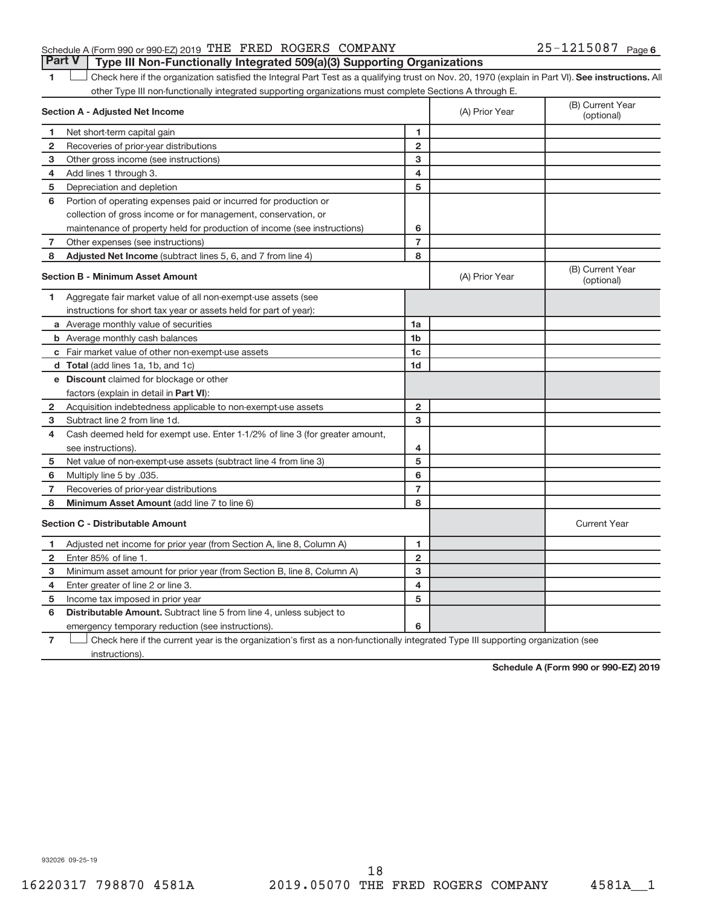## Schedule A (Form 990 or 990-EZ) 2019 THE FRED ROGERS COMPANY  $25-1215087$  Page **Part V Type III Non-Functionally Integrated 509(a)(3) Supporting Organizations**

1 **Letter here if the organization satisfied the Integral Part Test as a qualifying trust on Nov. 20, 1970 (explain in Part VI). See instructions. All** other Type III non-functionally integrated supporting organizations must complete Sections A through E.

|                | <b>Section A - Adjusted Net Income</b>                                       |                | (A) Prior Year | (B) Current Year<br>(optional) |
|----------------|------------------------------------------------------------------------------|----------------|----------------|--------------------------------|
| 1              | Net short-term capital gain                                                  | 1              |                |                                |
| $\overline{2}$ | Recoveries of prior-year distributions                                       | $\overline{2}$ |                |                                |
| з              | Other gross income (see instructions)                                        | 3              |                |                                |
| 4              | Add lines 1 through 3.                                                       | 4              |                |                                |
| 5              | Depreciation and depletion                                                   | 5              |                |                                |
| 6              | Portion of operating expenses paid or incurred for production or             |                |                |                                |
|                | collection of gross income or for management, conservation, or               |                |                |                                |
|                | maintenance of property held for production of income (see instructions)     | 6              |                |                                |
| 7              | Other expenses (see instructions)                                            | $\overline{7}$ |                |                                |
| 8              | Adjusted Net Income (subtract lines 5, 6, and 7 from line 4)                 | 8              |                |                                |
|                | <b>Section B - Minimum Asset Amount</b>                                      |                | (A) Prior Year | (B) Current Year<br>(optional) |
| 1              | Aggregate fair market value of all non-exempt-use assets (see                |                |                |                                |
|                | instructions for short tax year or assets held for part of year):            |                |                |                                |
|                | a Average monthly value of securities                                        | 1a             |                |                                |
|                | <b>b</b> Average monthly cash balances                                       | 1 <sub>b</sub> |                |                                |
|                | c Fair market value of other non-exempt-use assets                           | 1c             |                |                                |
|                | <b>d</b> Total (add lines 1a, 1b, and 1c)                                    | 1 <sub>d</sub> |                |                                |
|                | e Discount claimed for blockage or other                                     |                |                |                                |
|                | factors (explain in detail in Part VI):                                      |                |                |                                |
| 2              | Acquisition indebtedness applicable to non-exempt-use assets                 | $\overline{2}$ |                |                                |
| 3              | Subtract line 2 from line 1d.                                                | 3              |                |                                |
| 4              | Cash deemed held for exempt use. Enter 1-1/2% of line 3 (for greater amount, |                |                |                                |
|                | see instructions).                                                           | 4              |                |                                |
| 5              | Net value of non-exempt-use assets (subtract line 4 from line 3)             | 5              |                |                                |
| 6              | Multiply line 5 by .035.                                                     | 6              |                |                                |
| 7              | Recoveries of prior-year distributions                                       | $\overline{7}$ |                |                                |
| 8              | Minimum Asset Amount (add line 7 to line 6)                                  | 8              |                |                                |
|                | <b>Section C - Distributable Amount</b>                                      |                |                | <b>Current Year</b>            |
| 1              | Adjusted net income for prior year (from Section A, line 8, Column A)        | 1              |                |                                |
| $\mathbf{2}$   | Enter 85% of line 1.                                                         | $\overline{2}$ |                |                                |
| 3              | Minimum asset amount for prior year (from Section B, line 8, Column A)       | 3              |                |                                |
| 4              | Enter greater of line 2 or line 3.                                           | 4              |                |                                |
| 5              | Income tax imposed in prior year                                             | 5              |                |                                |
| 6              | <b>Distributable Amount.</b> Subtract line 5 from line 4, unless subject to  |                |                |                                |
|                | emergency temporary reduction (see instructions).                            | 6              |                |                                |
| -              | and the second control of the second                                         |                |                |                                |

**7** Check here if the current year is the organization's first as a non-functionally integrated Type III supporting organization (see instructions).

**Schedule A (Form 990 or 990-EZ) 2019**

932026 09-25-19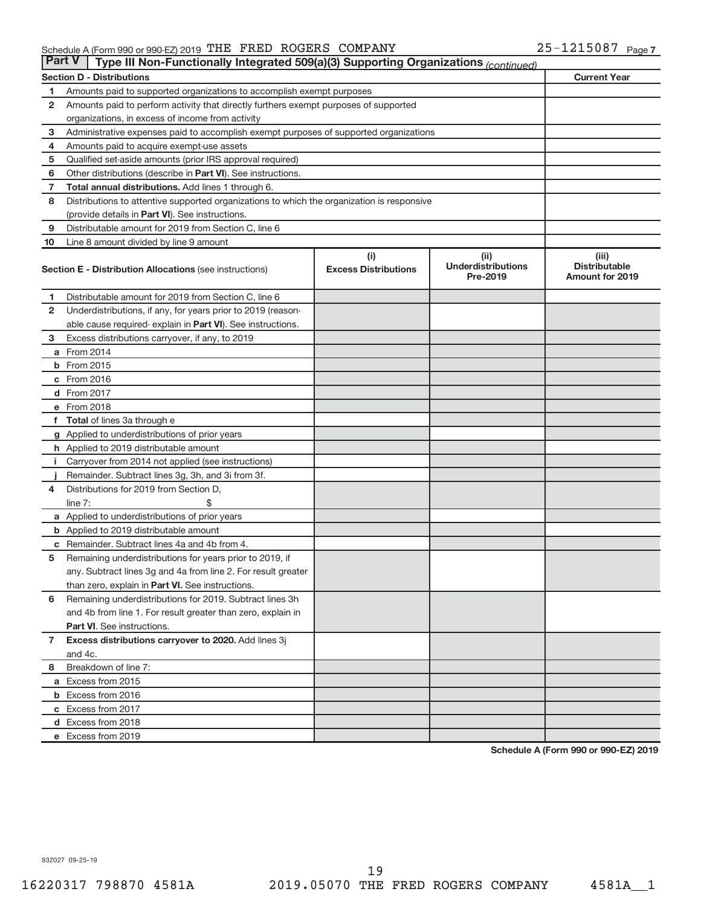## Schedule A (Form 990 or 990-EZ) 2019 THE FRED ROGERS COMPANY  $25-1215087$  Page

| <b>Part V</b>  | Type III Non-Functionally Integrated 509(a)(3) Supporting Organizations (continued)                                                           |                             |                                       |                                                |  |  |  |  |
|----------------|-----------------------------------------------------------------------------------------------------------------------------------------------|-----------------------------|---------------------------------------|------------------------------------------------|--|--|--|--|
|                | <b>Section D - Distributions</b>                                                                                                              |                             |                                       | <b>Current Year</b>                            |  |  |  |  |
| 1              | Amounts paid to supported organizations to accomplish exempt purposes                                                                         |                             |                                       |                                                |  |  |  |  |
| $\mathbf{2}$   | Amounts paid to perform activity that directly furthers exempt purposes of supported                                                          |                             |                                       |                                                |  |  |  |  |
|                | organizations, in excess of income from activity                                                                                              |                             |                                       |                                                |  |  |  |  |
| 3              | Administrative expenses paid to accomplish exempt purposes of supported organizations                                                         |                             |                                       |                                                |  |  |  |  |
| 4              | Amounts paid to acquire exempt-use assets                                                                                                     |                             |                                       |                                                |  |  |  |  |
| 5              | Qualified set-aside amounts (prior IRS approval required)                                                                                     |                             |                                       |                                                |  |  |  |  |
| 6              | Other distributions (describe in <b>Part VI</b> ). See instructions.                                                                          |                             |                                       |                                                |  |  |  |  |
| 7              | Total annual distributions. Add lines 1 through 6.                                                                                            |                             |                                       |                                                |  |  |  |  |
| 8              |                                                                                                                                               |                             |                                       |                                                |  |  |  |  |
|                | Distributions to attentive supported organizations to which the organization is responsive<br>(provide details in Part VI). See instructions. |                             |                                       |                                                |  |  |  |  |
| 9              | Distributable amount for 2019 from Section C, line 6                                                                                          |                             |                                       |                                                |  |  |  |  |
| 10             | Line 8 amount divided by line 9 amount                                                                                                        |                             |                                       |                                                |  |  |  |  |
|                |                                                                                                                                               | (i)                         | (ii)                                  | (iii)                                          |  |  |  |  |
|                | <b>Section E - Distribution Allocations (see instructions)</b>                                                                                | <b>Excess Distributions</b> | <b>Underdistributions</b><br>Pre-2019 | <b>Distributable</b><br><b>Amount for 2019</b> |  |  |  |  |
| 1              | Distributable amount for 2019 from Section C, line 6                                                                                          |                             |                                       |                                                |  |  |  |  |
| $\mathbf{2}$   | Underdistributions, if any, for years prior to 2019 (reason-                                                                                  |                             |                                       |                                                |  |  |  |  |
|                | able cause required- explain in Part VI). See instructions.                                                                                   |                             |                                       |                                                |  |  |  |  |
| 3              | Excess distributions carryover, if any, to 2019                                                                                               |                             |                                       |                                                |  |  |  |  |
|                | a From 2014                                                                                                                                   |                             |                                       |                                                |  |  |  |  |
|                | <b>b</b> From 2015                                                                                                                            |                             |                                       |                                                |  |  |  |  |
|                | c From 2016                                                                                                                                   |                             |                                       |                                                |  |  |  |  |
|                | d From 2017                                                                                                                                   |                             |                                       |                                                |  |  |  |  |
|                | e From 2018                                                                                                                                   |                             |                                       |                                                |  |  |  |  |
|                | f Total of lines 3a through e                                                                                                                 |                             |                                       |                                                |  |  |  |  |
|                | g Applied to underdistributions of prior years                                                                                                |                             |                                       |                                                |  |  |  |  |
|                | <b>h</b> Applied to 2019 distributable amount                                                                                                 |                             |                                       |                                                |  |  |  |  |
| Ť.             | Carryover from 2014 not applied (see instructions)                                                                                            |                             |                                       |                                                |  |  |  |  |
|                | Remainder. Subtract lines 3g, 3h, and 3i from 3f.                                                                                             |                             |                                       |                                                |  |  |  |  |
| 4              | Distributions for 2019 from Section D,                                                                                                        |                             |                                       |                                                |  |  |  |  |
|                | line $7:$                                                                                                                                     |                             |                                       |                                                |  |  |  |  |
|                | a Applied to underdistributions of prior years                                                                                                |                             |                                       |                                                |  |  |  |  |
|                | <b>b</b> Applied to 2019 distributable amount                                                                                                 |                             |                                       |                                                |  |  |  |  |
|                | c Remainder. Subtract lines 4a and 4b from 4.                                                                                                 |                             |                                       |                                                |  |  |  |  |
| 5              | Remaining underdistributions for years prior to 2019, if                                                                                      |                             |                                       |                                                |  |  |  |  |
|                | any. Subtract lines 3g and 4a from line 2. For result greater                                                                                 |                             |                                       |                                                |  |  |  |  |
|                | than zero, explain in Part VI. See instructions.                                                                                              |                             |                                       |                                                |  |  |  |  |
| 6              | Remaining underdistributions for 2019. Subtract lines 3h                                                                                      |                             |                                       |                                                |  |  |  |  |
|                | and 4b from line 1. For result greater than zero, explain in                                                                                  |                             |                                       |                                                |  |  |  |  |
|                | <b>Part VI.</b> See instructions.                                                                                                             |                             |                                       |                                                |  |  |  |  |
| $\overline{7}$ | Excess distributions carryover to 2020. Add lines 3j                                                                                          |                             |                                       |                                                |  |  |  |  |
|                | and 4c.                                                                                                                                       |                             |                                       |                                                |  |  |  |  |
| 8              | Breakdown of line 7:                                                                                                                          |                             |                                       |                                                |  |  |  |  |
|                | a Excess from 2015                                                                                                                            |                             |                                       |                                                |  |  |  |  |
|                | <b>b</b> Excess from 2016                                                                                                                     |                             |                                       |                                                |  |  |  |  |
|                | c Excess from 2017                                                                                                                            |                             |                                       |                                                |  |  |  |  |
|                | d Excess from 2018                                                                                                                            |                             |                                       |                                                |  |  |  |  |
|                | e Excess from 2019                                                                                                                            |                             |                                       |                                                |  |  |  |  |

**Schedule A (Form 990 or 990-EZ) 2019**

932027 09-25-19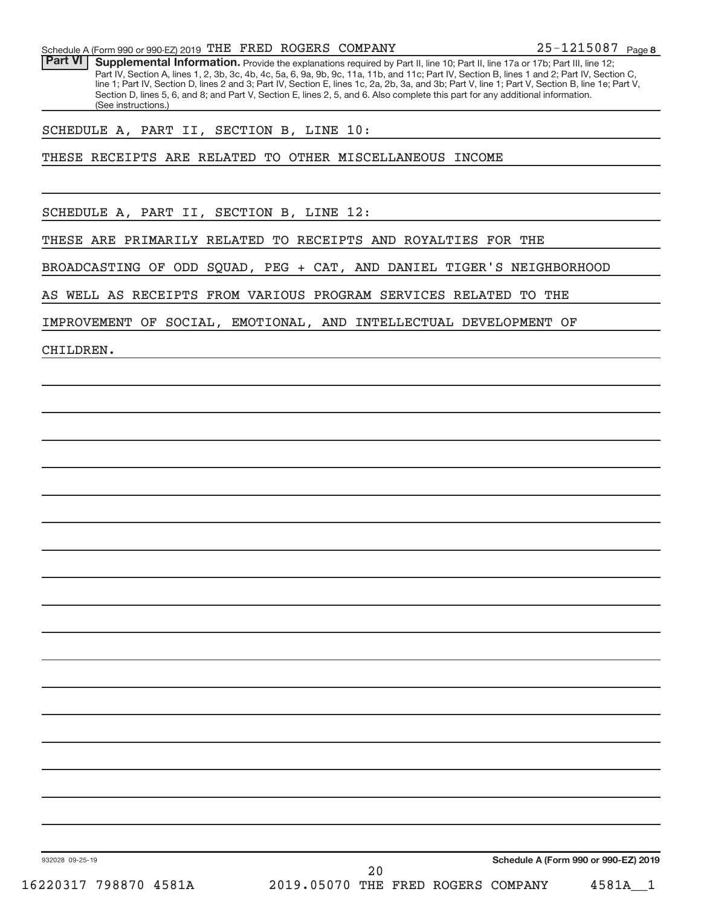Part VI | Supplemental Information. Provide the explanations required by Part II, line 10; Part II, line 17a or 17b; Part III, line 12; Part IV, Section A, lines 1, 2, 3b, 3c, 4b, 4c, 5a, 6, 9a, 9b, 9c, 11a, 11b, and 11c; Part IV, Section B, lines 1 and 2; Part IV, Section C, line 1; Part IV, Section D, lines 2 and 3; Part IV, Section E, lines 1c, 2a, 2b, 3a, and 3b; Part V, line 1; Part V, Section B, line 1e; Part V, Section D, lines 5, 6, and 8; and Part V, Section E, lines 2, 5, and 6. Also complete this part for any additional information. (See instructions.)

## SCHEDULE A, PART II, SECTION B, LINE 10:

THESE RECEIPTS ARE RELATED TO OTHER MISCELLANEOUS INCOME

SCHEDULE A, PART II, SECTION B, LINE 12:

THESE ARE PRIMARILY RELATED TO RECEIPTS AND ROYALTIES FOR THE

BROADCASTING OF ODD SQUAD, PEG + CAT, AND DANIEL TIGER'S NEIGHBORHOOD

AS WELL AS RECEIPTS FROM VARIOUS PROGRAM SERVICES RELATED TO THE

IMPROVEMENT OF SOCIAL, EMOTIONAL, AND INTELLECTUAL DEVELOPMENT OF

CHILDREN.

**Schedule A (Form 990 or 990-EZ) 2019**

932028 09-25-19

16220317 798870 4581A 2019.05070 THE FRED ROGERS COMPANY 4581A\_\_1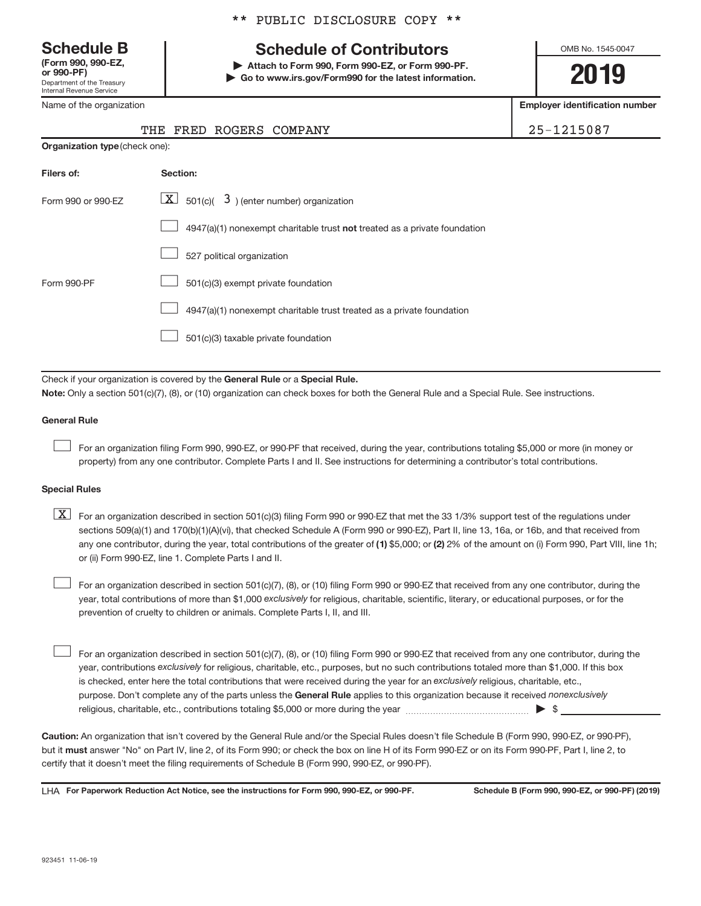Department of the Treasury Internal Revenue Service **(Form 990, 990-EZ,**

Name of the organization

## \*\* PUBLIC DISCLOSURE COPY \*\*

## **Schedule B Schedule of Contributors**

**or 990-PF) | Attach to Form 990, Form 990-EZ, or Form 990-PF. | Go to www.irs.gov/Form990 for the latest information.** OMB No. 1545-0047

**2019**

**Employer identification number**

|  | THE FRED ROGERS COMPANY | 25-1215087 |
|--|-------------------------|------------|
|  |                         |            |

| <b>Organization type (check one):</b> |                                                                           |  |  |  |  |
|---------------------------------------|---------------------------------------------------------------------------|--|--|--|--|
| Filers of:                            | Section:                                                                  |  |  |  |  |
| Form 990 or 990-EZ                    | $\lfloor x \rfloor$ 501(c)( 3) (enter number) organization                |  |  |  |  |
|                                       | 4947(a)(1) nonexempt charitable trust not treated as a private foundation |  |  |  |  |
|                                       | 527 political organization                                                |  |  |  |  |
| Form 990-PF                           | 501(c)(3) exempt private foundation                                       |  |  |  |  |
|                                       | 4947(a)(1) nonexempt charitable trust treated as a private foundation     |  |  |  |  |
|                                       | 501(c)(3) taxable private foundation                                      |  |  |  |  |
|                                       |                                                                           |  |  |  |  |

Check if your organization is covered by the General Rule or a Special Rule. **Note:**  Only a section 501(c)(7), (8), or (10) organization can check boxes for both the General Rule and a Special Rule. See instructions.

### **General Rule**

 $\begin{array}{c} \hline \end{array}$ 

For an organization filing Form 990, 990-EZ, or 990-PF that received, during the year, contributions totaling \$5,000 or more (in money or property) from any one contributor. Complete Parts I and II. See instructions for determining a contributor's total contributions.

### **Special Rules**

any one contributor, during the year, total contributions of the greater of (1) \$5,000; or (2) 2% of the amount on (i) Form 990, Part VIII, line 1h;  $\boxed{\text{X}}$  For an organization described in section 501(c)(3) filing Form 990 or 990-EZ that met the 33 1/3% support test of the regulations under sections 509(a)(1) and 170(b)(1)(A)(vi), that checked Schedule A (Form 990 or 990-EZ), Part II, line 13, 16a, or 16b, and that received from or (ii) Form 990-EZ, line 1. Complete Parts I and II.

year, total contributions of more than \$1,000 exclusively for religious, charitable, scientific, literary, or educational purposes, or for the For an organization described in section 501(c)(7), (8), or (10) filing Form 990 or 990-EZ that received from any one contributor, during the prevention of cruelty to children or animals. Complete Parts I, II, and III.  $\begin{array}{c} \hline \end{array}$ 

purpose. Don't complete any of the parts unless the General Rule applies to this organization because it received nonexclusively year, contributions exclusively for religious, charitable, etc., purposes, but no such contributions totaled more than \$1,000. If this box is checked, enter here the total contributions that were received during the year for an exclusively religious, charitable, etc., For an organization described in section 501(c)(7), (8), or (10) filing Form 990 or 990-EZ that received from any one contributor, during the religious, charitable, etc., contributions totaling \$5,000 or more during the year  $\ldots$  $\ldots$  $\ldots$  $\ldots$  $\ldots$  $\ldots$  $\begin{array}{c} \hline \end{array}$ 

**Caution:**  An organization that isn't covered by the General Rule and/or the Special Rules doesn't file Schedule B (Form 990, 990-EZ, or 990-PF),  **must** but it answer "No" on Part IV, line 2, of its Form 990; or check the box on line H of its Form 990-EZ or on its Form 990-PF, Part I, line 2, to certify that it doesn't meet the filing requirements of Schedule B (Form 990, 990-EZ, or 990-PF).

LHA For Paperwork Reduction Act Notice, see the instructions for Form 990, 990-EZ, or 990-PF. Schedule B (Form 990, 990-EZ, or 990-PF) (2019)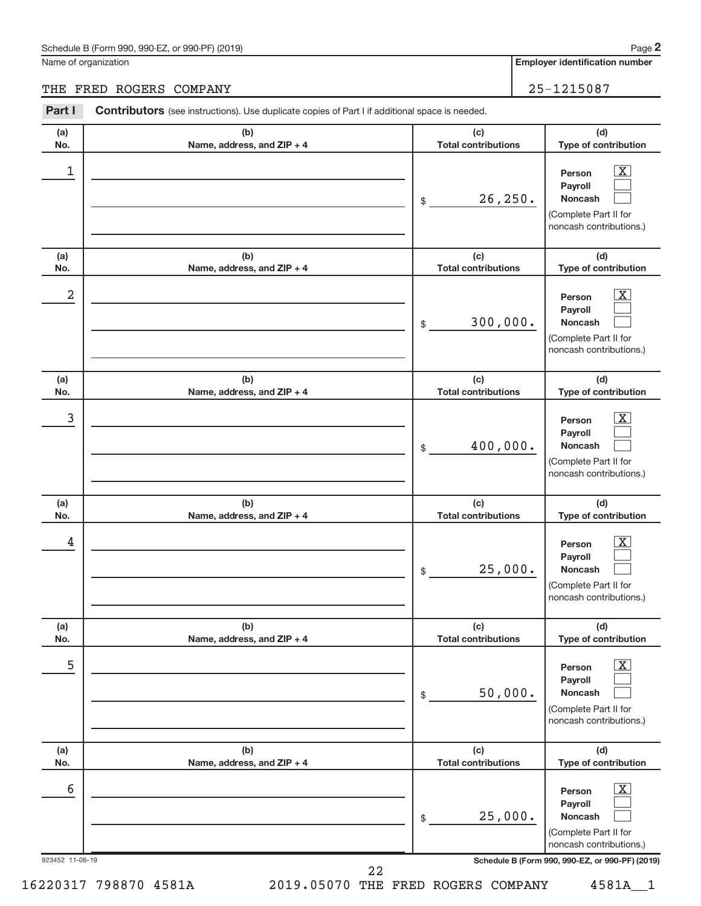## Schedule B (Form 990, 990-EZ, or 990-PF) (2019)

Name of organization

**Employer identification number**

## THE FRED ROGERS COMPANY 25-1215087

| Part I          | <b>Contributors</b> (see instructions). Use duplicate copies of Part I if additional space is needed. |                                              |                                                                                                                                 |
|-----------------|-------------------------------------------------------------------------------------------------------|----------------------------------------------|---------------------------------------------------------------------------------------------------------------------------------|
| (a)             | (b)                                                                                                   | (c)                                          | (d)                                                                                                                             |
| No.<br>1        | Name, address, and ZIP + 4                                                                            | <b>Total contributions</b><br>26, 250.<br>\$ | Type of contribution<br>$\mathbf{X}$<br>Person<br>Payroll<br><b>Noncash</b><br>(Complete Part II for<br>noncash contributions.) |
| (a)<br>No.      | (b)<br>Name, address, and ZIP + 4                                                                     | (c)<br><b>Total contributions</b>            | (d)<br>Type of contribution                                                                                                     |
| 2               |                                                                                                       | 300,000.<br>\$                               | $\mathbf{X}$<br>Person<br>Payroll<br><b>Noncash</b><br>(Complete Part II for<br>noncash contributions.)                         |
| (a)<br>No.      | (b)<br>Name, address, and ZIP + 4                                                                     | (c)<br><b>Total contributions</b>            | (d)<br>Type of contribution                                                                                                     |
| 3               |                                                                                                       | 400,000.<br>\$                               | $\mathbf{X}$<br>Person<br>Payroll<br><b>Noncash</b><br>(Complete Part II for<br>noncash contributions.)                         |
| (a)<br>No.      | (b)<br>Name, address, and ZIP + 4                                                                     | (c)<br><b>Total contributions</b>            | (d)<br>Type of contribution                                                                                                     |
| 4               |                                                                                                       | 25,000.<br>\$                                | $\mathbf{X}$<br>Person<br>Payroll<br><b>Noncash</b><br>(Complete Part II for<br>noncash contributions.)                         |
| (a)<br>No.      | (b)<br>Name, address, and ZIP + 4                                                                     | (c)<br><b>Total contributions</b>            | (d)<br>Type of contribution                                                                                                     |
| 5               |                                                                                                       | 50,000.<br>\$                                | $\overline{\mathbf{X}}$<br>Person<br>Payroll<br><b>Noncash</b><br>(Complete Part II for<br>noncash contributions.)              |
| (a)<br>No.      | (b)<br>Name, address, and ZIP + 4                                                                     | (c)<br><b>Total contributions</b>            | (d)<br>Type of contribution                                                                                                     |
| 6               |                                                                                                       | 25,000.<br>\$                                | $\overline{\mathbf{X}}$<br>Person<br>Payroll<br>Noncash<br>(Complete Part II for<br>noncash contributions.)                     |
| 923452 11-06-19 | 22                                                                                                    |                                              | Schedule B (Form 990, 990-EZ, or 990-PF) (2019)                                                                                 |

16220317 798870 4581A 2019.05070 THE FRED ROGERS COMPANY 4581A\_\_1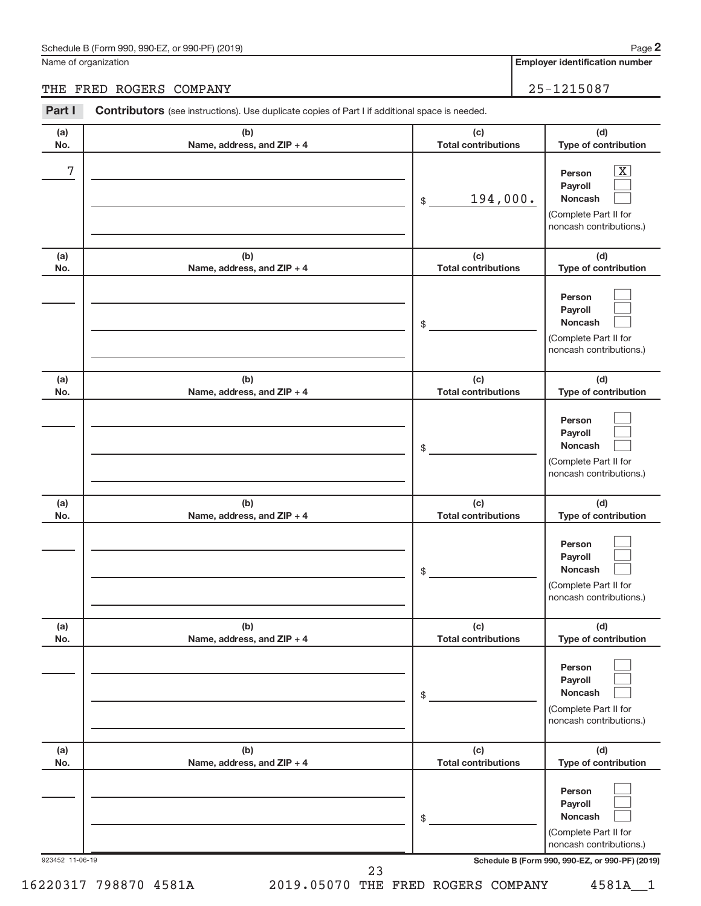## Schedule B (Form 990, 990-EZ, or 990-PF) (2019)

Name of organization

**Employer identification number**

## THE FRED ROGERS COMPANY 25-1215087

| Part I          | <b>Contributors</b> (see instructions). Use duplicate copies of Part I if additional space is needed. |                                   |                                                                                                         |
|-----------------|-------------------------------------------------------------------------------------------------------|-----------------------------------|---------------------------------------------------------------------------------------------------------|
| (a)<br>No.      | (b)<br>Name, address, and ZIP + 4                                                                     | (c)<br><b>Total contributions</b> | (d)<br>Type of contribution                                                                             |
| 7               |                                                                                                       | 194,000.<br>\$                    | $\mathbf{X}$<br>Person<br>Payroll<br><b>Noncash</b><br>(Complete Part II for<br>noncash contributions.) |
| (a)<br>No.      | (b)<br>Name, address, and ZIP + 4                                                                     | (c)<br><b>Total contributions</b> | (d)<br>Type of contribution                                                                             |
|                 |                                                                                                       | \$                                | Person<br>Payroll<br><b>Noncash</b><br>(Complete Part II for<br>noncash contributions.)                 |
| (a)<br>No.      | (b)<br>Name, address, and ZIP + 4                                                                     | (c)<br><b>Total contributions</b> | (d)<br>Type of contribution                                                                             |
|                 |                                                                                                       | \$                                | Person<br>Payroll<br><b>Noncash</b><br>(Complete Part II for<br>noncash contributions.)                 |
| (a)<br>No.      | (b)<br>Name, address, and ZIP + 4                                                                     | (c)<br><b>Total contributions</b> | (d)<br>Type of contribution                                                                             |
|                 |                                                                                                       | \$                                | Person<br>Payroll<br>Noncash<br>(Complete Part II for<br>noncash contributions.)                        |
| (a)<br>No.      | (b)<br>Name, address, and ZIP + 4                                                                     | (c)<br><b>Total contributions</b> | (d)<br>Type of contribution                                                                             |
|                 |                                                                                                       | \$                                | Person<br>Payroll<br>Noncash<br>(Complete Part II for<br>noncash contributions.)                        |
| (a)<br>No.      | (b)<br>Name, address, and ZIP + 4                                                                     | (c)<br><b>Total contributions</b> | (d)<br>Type of contribution                                                                             |
|                 |                                                                                                       | \$                                | Person<br>Payroll<br>Noncash<br>(Complete Part II for<br>noncash contributions.)                        |
| 923452 11-06-19 |                                                                                                       | 23                                | Schedule B (Form 990, 990-EZ, or 990-PF) (2019)                                                         |

16220317 798870 4581A 2019.05070 THE FRED ROGERS COMPANY 4581A\_\_1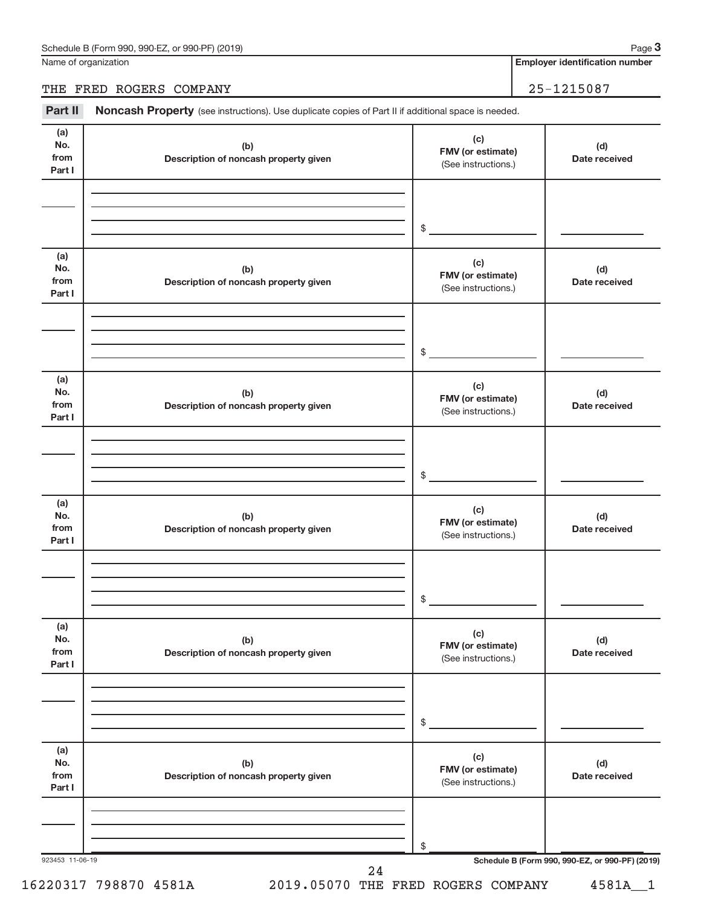Name of organization

## THE FRED ROGERS COMPANY 25-1215087

Part II Noncash Property (see instructions). Use duplicate copies of Part II if additional space is needed.

| No.<br>from<br>Part I        | (b)<br>Description of noncash property given | (c)<br>FMV (or estimate)<br>(See instructions.) | (d)<br>Date received                            |
|------------------------------|----------------------------------------------|-------------------------------------------------|-------------------------------------------------|
|                              |                                              | \$                                              |                                                 |
| (a)<br>No.<br>from<br>Part I | (b)<br>Description of noncash property given | (c)<br>FMV (or estimate)<br>(See instructions.) | (d)<br>Date received                            |
|                              |                                              | \$                                              |                                                 |
| (a)<br>No.<br>from<br>Part I | (b)<br>Description of noncash property given | (c)<br>FMV (or estimate)<br>(See instructions.) | (d)<br>Date received                            |
|                              |                                              | \$                                              |                                                 |
| (a)<br>No.<br>from<br>Part I | (b)<br>Description of noncash property given | (c)<br>FMV (or estimate)<br>(See instructions.) | (d)<br>Date received                            |
|                              |                                              | \$                                              |                                                 |
| (a)<br>No.<br>from<br>Part I | (b)<br>Description of noncash property given | (c)<br>FMV (or estimate)<br>(See instructions.) | (d)<br>Date received                            |
|                              |                                              | \$                                              |                                                 |
| (a)<br>No.<br>from<br>Part I | (b)<br>Description of noncash property given | (c)<br>FMV (or estimate)<br>(See instructions.) | (d)<br>Date received                            |
|                              |                                              | \$                                              | Schedule B (Form 990, 990-EZ, or 990-PF) (2019) |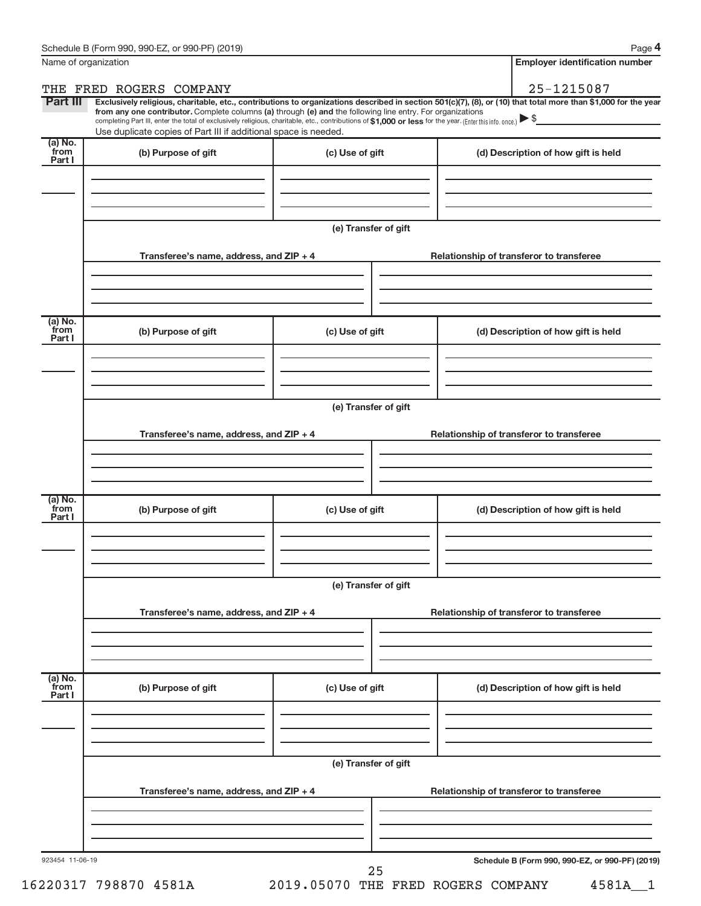**4**

| Name of organization        |                                                                                                                                                                                                                                                                                                                                                                                                                                                                                                                  |                      |  | <b>Employer identification number</b>           |
|-----------------------------|------------------------------------------------------------------------------------------------------------------------------------------------------------------------------------------------------------------------------------------------------------------------------------------------------------------------------------------------------------------------------------------------------------------------------------------------------------------------------------------------------------------|----------------------|--|-------------------------------------------------|
| THE                         | FRED ROGERS COMPANY                                                                                                                                                                                                                                                                                                                                                                                                                                                                                              |                      |  | 25-1215087                                      |
| Part III                    | Exclusively religious, charitable, etc., contributions to organizations described in section 501(c)(7), (8), or (10) that total more than \$1,000 for the year<br>from any one contributor. Complete columns (a) through (e) and the following line entry. For organizations<br>completing Part III, enter the total of exclusively religious, charitable, etc., contributions of \$1,000 or less for the year. (Enter this info. once.) ▶ \$<br>Use duplicate copies of Part III if additional space is needed. |                      |  | <u> 1980 - John Stein, amerikansk politiker</u> |
| (a) No.<br>from<br>Part I   | (b) Purpose of gift                                                                                                                                                                                                                                                                                                                                                                                                                                                                                              | (c) Use of gift      |  | (d) Description of how gift is held             |
|                             |                                                                                                                                                                                                                                                                                                                                                                                                                                                                                                                  | (e) Transfer of gift |  |                                                 |
|                             | Transferee's name, address, and ZIP + 4                                                                                                                                                                                                                                                                                                                                                                                                                                                                          |                      |  | Relationship of transferor to transferee        |
| $(a)$ No.<br>from<br>Part I | (b) Purpose of gift                                                                                                                                                                                                                                                                                                                                                                                                                                                                                              | (c) Use of gift      |  | (d) Description of how gift is held             |
|                             |                                                                                                                                                                                                                                                                                                                                                                                                                                                                                                                  | (e) Transfer of gift |  |                                                 |
|                             | Transferee's name, address, and ZIP + 4                                                                                                                                                                                                                                                                                                                                                                                                                                                                          |                      |  | Relationship of transferor to transferee        |
| $(a)$ No.<br>from<br>Part I | (b) Purpose of gift                                                                                                                                                                                                                                                                                                                                                                                                                                                                                              | (c) Use of gift      |  | (d) Description of how gift is held             |
|                             | (e) Transfer of gift<br>Transferee's name, address, and ZIP + 4                                                                                                                                                                                                                                                                                                                                                                                                                                                  |                      |  | Relationship of transferor to transferee        |
| (a) No.<br>from<br>Part I   | (b) Purpose of gift                                                                                                                                                                                                                                                                                                                                                                                                                                                                                              | (c) Use of gift      |  | (d) Description of how gift is held             |
|                             | (e) Transfer of gift<br>Transferee's name, address, and ZIP + 4<br>Relationship of transferor to transferee                                                                                                                                                                                                                                                                                                                                                                                                      |                      |  |                                                 |
|                             |                                                                                                                                                                                                                                                                                                                                                                                                                                                                                                                  |                      |  |                                                 |
| 923454 11-06-19             |                                                                                                                                                                                                                                                                                                                                                                                                                                                                                                                  | 25                   |  | Schedule B (Form 990, 990-EZ, or 990-PF) (2019) |

16220317 798870 4581A 2019.05070 THE FRED ROGERS COMPANY 4581A\_\_1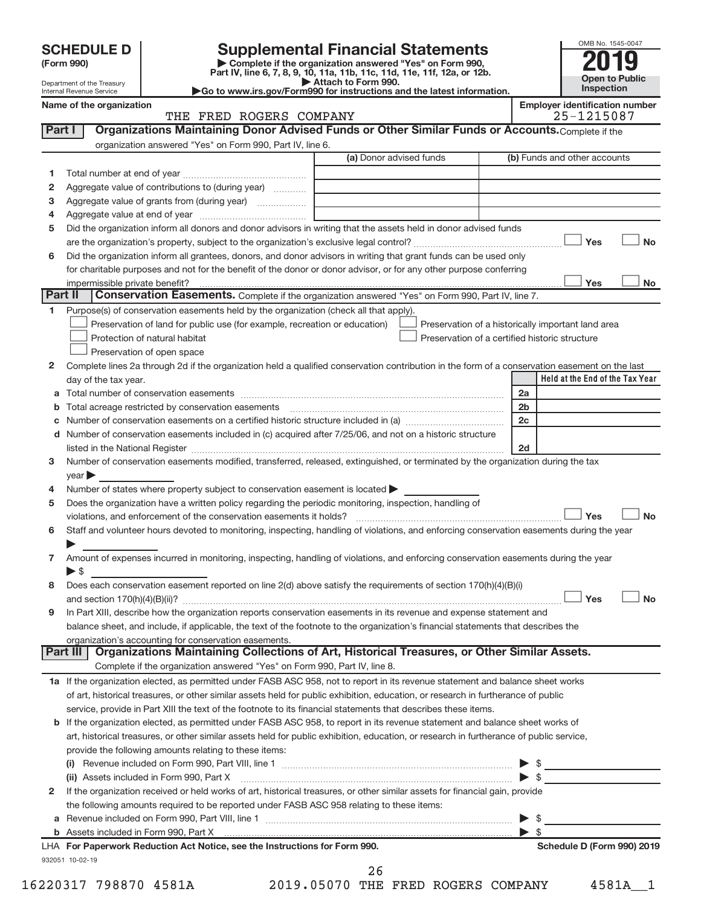| <b>SCHEDULE D</b> |  |
|-------------------|--|
|-------------------|--|

| (Form 990) |  |
|------------|--|
|------------|--|

**(Form 990) | Complete if the organization answered "Yes" on Form 990, Part IV, line 6, 7, 8, 9, 10, 11a, 11b, 11c, 11d, 11e, 11f, 12a, or 12b. SCHEDULE D Supplemental Financial Statements**<br> **Form 990 2019**<br>
Part IV line 6.7.8.9.10, 11a, 11b, 11d, 11d, 11d, 11d, 11d, 20, 07, 12b

**| Attach to Form 990. |Go to www.irs.gov/Form990 for instructions and the latest information.**



| Name of the organizati     |  |
|----------------------------|--|
| Internal Revenue Service   |  |
| Department of the Treasury |  |

ion<br> **Name of the organization of the organization of the organization of the organization of the organization of the organization of the organization of the organization of the organization of the organization of the org** 

|              | THE FRED ROGERS COMPANY                                                                                                                                                                                                        | 25-1215087              |                                                                                                      |
|--------------|--------------------------------------------------------------------------------------------------------------------------------------------------------------------------------------------------------------------------------|-------------------------|------------------------------------------------------------------------------------------------------|
| Part I       | Organizations Maintaining Donor Advised Funds or Other Similar Funds or Accounts. Complete if the                                                                                                                              |                         |                                                                                                      |
|              | organization answered "Yes" on Form 990, Part IV, line 6.                                                                                                                                                                      |                         |                                                                                                      |
|              |                                                                                                                                                                                                                                | (a) Donor advised funds | (b) Funds and other accounts                                                                         |
| 1            |                                                                                                                                                                                                                                |                         |                                                                                                      |
| $\mathbf{2}$ | Aggregate value of contributions to (during year)                                                                                                                                                                              |                         |                                                                                                      |
| 3            | Aggregate value of grants from (during year)                                                                                                                                                                                   |                         |                                                                                                      |
| 4            |                                                                                                                                                                                                                                |                         |                                                                                                      |
| 5            | Did the organization inform all donors and donor advisors in writing that the assets held in donor advised funds                                                                                                               |                         |                                                                                                      |
|              |                                                                                                                                                                                                                                |                         | Yes<br><b>No</b>                                                                                     |
| 6            | Did the organization inform all grantees, donors, and donor advisors in writing that grant funds can be used only                                                                                                              |                         |                                                                                                      |
|              | for charitable purposes and not for the benefit of the donor or donor advisor, or for any other purpose conferring                                                                                                             |                         |                                                                                                      |
|              | impermissible private benefit?                                                                                                                                                                                                 |                         | Yes<br>No                                                                                            |
| Part II      | Conservation Easements. Complete if the organization answered "Yes" on Form 990, Part IV, line 7.                                                                                                                              |                         |                                                                                                      |
| 1.           |                                                                                                                                                                                                                                |                         |                                                                                                      |
|              | Purpose(s) of conservation easements held by the organization (check all that apply).                                                                                                                                          |                         |                                                                                                      |
|              | Preservation of land for public use (for example, recreation or education)<br>Protection of natural habitat                                                                                                                    |                         | Preservation of a historically important land area<br>Preservation of a certified historic structure |
|              |                                                                                                                                                                                                                                |                         |                                                                                                      |
|              | Preservation of open space                                                                                                                                                                                                     |                         |                                                                                                      |
| 2            | Complete lines 2a through 2d if the organization held a qualified conservation contribution in the form of a conservation easement on the last                                                                                 |                         | Held at the End of the Tax Year                                                                      |
|              | day of the tax year.                                                                                                                                                                                                           |                         |                                                                                                      |
|              |                                                                                                                                                                                                                                |                         | 2a                                                                                                   |
|              | <b>b</b> Total acreage restricted by conservation easements                                                                                                                                                                    |                         | 2 <sub>b</sub>                                                                                       |
| С            | Number of conservation easements on a certified historic structure included in (a) <i>manumanomeron</i> conservation                                                                                                           |                         | 2c                                                                                                   |
|              | d Number of conservation easements included in (c) acquired after 7/25/06, and not on a historic structure                                                                                                                     |                         |                                                                                                      |
|              | listed in the National Register [11, 2008] The Materian Contract in the National Register [11, 2018] The Materian American Contract in the National Register [11, 2018] The Material American Contract in the National Registe |                         | 2d                                                                                                   |
| 3            | Number of conservation easements modified, transferred, released, extinguished, or terminated by the organization during the tax                                                                                               |                         |                                                                                                      |
|              | $\vee$ ear                                                                                                                                                                                                                     |                         |                                                                                                      |
| 4            | Number of states where property subject to conservation easement is located >                                                                                                                                                  |                         |                                                                                                      |
| 5            | Does the organization have a written policy regarding the periodic monitoring, inspection, handling of                                                                                                                         |                         |                                                                                                      |
|              | violations, and enforcement of the conservation easements it holds?                                                                                                                                                            |                         | Yes<br><b>No</b>                                                                                     |
| 6            | Staff and volunteer hours devoted to monitoring, inspecting, handling of violations, and enforcing conservation easements during the year                                                                                      |                         |                                                                                                      |
|              |                                                                                                                                                                                                                                |                         |                                                                                                      |
| 7            | Amount of expenses incurred in monitoring, inspecting, handling of violations, and enforcing conservation easements during the year                                                                                            |                         |                                                                                                      |
|              | $\blacktriangleright$ s                                                                                                                                                                                                        |                         |                                                                                                      |
| 8            | Does each conservation easement reported on line 2(d) above satisfy the requirements of section 170(h)(4)(B)(i)                                                                                                                |                         |                                                                                                      |
|              |                                                                                                                                                                                                                                |                         | Yes<br><b>No</b>                                                                                     |
| 9            | In Part XIII, describe how the organization reports conservation easements in its revenue and expense statement and                                                                                                            |                         |                                                                                                      |
|              | balance sheet, and include, if applicable, the text of the footnote to the organization's financial statements that describes the                                                                                              |                         |                                                                                                      |
|              | organization's accounting for conservation easements.                                                                                                                                                                          |                         |                                                                                                      |
|              | Organizations Maintaining Collections of Art, Historical Treasures, or Other Similar Assets.<br>Part III                                                                                                                       |                         |                                                                                                      |
|              | Complete if the organization answered "Yes" on Form 990, Part IV, line 8.                                                                                                                                                      |                         |                                                                                                      |
|              | 1a If the organization elected, as permitted under FASB ASC 958, not to report in its revenue statement and balance sheet works                                                                                                |                         |                                                                                                      |
|              | of art, historical treasures, or other similar assets held for public exhibition, education, or research in furtherance of public                                                                                              |                         |                                                                                                      |
|              | service, provide in Part XIII the text of the footnote to its financial statements that describes these items.                                                                                                                 |                         |                                                                                                      |
|              | <b>b</b> If the organization elected, as permitted under FASB ASC 958, to report in its revenue statement and balance sheet works of                                                                                           |                         |                                                                                                      |
|              | art, historical treasures, or other similar assets held for public exhibition, education, or research in furtherance of public service,                                                                                        |                         |                                                                                                      |
|              | provide the following amounts relating to these items:                                                                                                                                                                         |                         |                                                                                                      |
|              |                                                                                                                                                                                                                                |                         |                                                                                                      |
|              | (ii) Assets included in Form 990, Part X                                                                                                                                                                                       |                         | $\blacktriangleright$ s                                                                              |
| 2            | If the organization received or held works of art, historical treasures, or other similar assets for financial gain, provide                                                                                                   |                         |                                                                                                      |
|              | the following amounts required to be reported under FASB ASC 958 relating to these items:                                                                                                                                      |                         |                                                                                                      |
| а            |                                                                                                                                                                                                                                |                         | \$                                                                                                   |
|              |                                                                                                                                                                                                                                |                         | \$                                                                                                   |
|              | LHA For Paperwork Reduction Act Notice, see the Instructions for Form 990.                                                                                                                                                     |                         | Schedule D (Form 990) 2019                                                                           |
|              | 932051 10-02-19                                                                                                                                                                                                                |                         |                                                                                                      |

16220317 798870 4581A 2019.05070 THE FRED ROGERS COMPANY 4581A\_\_1

| .05070 THE | FRED |  |
|------------|------|--|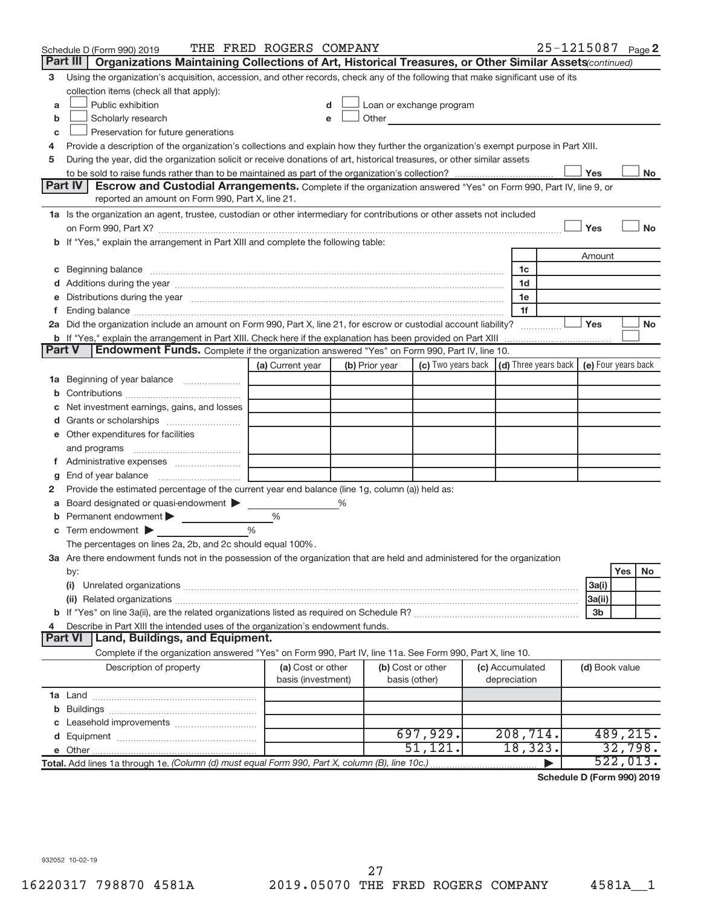|               | Schedule D (Form 990) 2019                                                                                                                                                                                                                                                                                                                           | THE FRED ROGERS COMPANY                 |   |                |                                                                             |  |                                 | 25-1215087 Page 2 |                |           |           |
|---------------|------------------------------------------------------------------------------------------------------------------------------------------------------------------------------------------------------------------------------------------------------------------------------------------------------------------------------------------------------|-----------------------------------------|---|----------------|-----------------------------------------------------------------------------|--|---------------------------------|-------------------|----------------|-----------|-----------|
|               | Part III  <br>Organizations Maintaining Collections of Art, Historical Treasures, or Other Similar Assets (continued)                                                                                                                                                                                                                                |                                         |   |                |                                                                             |  |                                 |                   |                |           |           |
| з             | Using the organization's acquisition, accession, and other records, check any of the following that make significant use of its                                                                                                                                                                                                                      |                                         |   |                |                                                                             |  |                                 |                   |                |           |           |
|               | collection items (check all that apply):                                                                                                                                                                                                                                                                                                             |                                         |   |                |                                                                             |  |                                 |                   |                |           |           |
| a             | Public exhibition                                                                                                                                                                                                                                                                                                                                    |                                         |   |                | Loan or exchange program                                                    |  |                                 |                   |                |           |           |
| b             | Other and the control of the control of the control of the control of the control of the control of the control of the control of the control of the control of the control of the control of the control of the control of th<br>Scholarly research                                                                                                 |                                         |   |                |                                                                             |  |                                 |                   |                |           |           |
| с             | Preservation for future generations                                                                                                                                                                                                                                                                                                                  |                                         |   |                |                                                                             |  |                                 |                   |                |           |           |
| 4             | Provide a description of the organization's collections and explain how they further the organization's exempt purpose in Part XIII.                                                                                                                                                                                                                 |                                         |   |                |                                                                             |  |                                 |                   |                |           |           |
| 5             | During the year, did the organization solicit or receive donations of art, historical treasures, or other similar assets                                                                                                                                                                                                                             |                                         |   |                |                                                                             |  |                                 |                   |                |           |           |
|               |                                                                                                                                                                                                                                                                                                                                                      |                                         |   |                |                                                                             |  |                                 |                   | Yes            |           | No        |
|               | Part IV<br><b>Escrow and Custodial Arrangements.</b> Complete if the organization answered "Yes" on Form 990, Part IV, line 9, or                                                                                                                                                                                                                    |                                         |   |                |                                                                             |  |                                 |                   |                |           |           |
|               | reported an amount on Form 990, Part X, line 21.                                                                                                                                                                                                                                                                                                     |                                         |   |                |                                                                             |  |                                 |                   |                |           |           |
|               | 1a Is the organization an agent, trustee, custodian or other intermediary for contributions or other assets not included                                                                                                                                                                                                                             |                                         |   |                |                                                                             |  |                                 |                   |                |           |           |
|               | on Form 990, Part X? [11] matter continuum matter contract to the contract of the contract of the contract of the contract of the contract of the contract of the contract of the contract of the contract of the contract of                                                                                                                        |                                         |   |                |                                                                             |  |                                 |                   | Yes            |           | <b>No</b> |
|               | b If "Yes," explain the arrangement in Part XIII and complete the following table:                                                                                                                                                                                                                                                                   |                                         |   |                |                                                                             |  |                                 |                   |                |           |           |
|               |                                                                                                                                                                                                                                                                                                                                                      |                                         |   |                |                                                                             |  |                                 |                   | Amount         |           |           |
|               | c Beginning balance measurements and the contract of the contract of the contract of the contract of the contract of the contract of the contract of the contract of the contract of the contract of the contract of the contr                                                                                                                       |                                         |   |                |                                                                             |  | 1c                              |                   |                |           |           |
|               |                                                                                                                                                                                                                                                                                                                                                      |                                         |   |                |                                                                             |  | 1d                              |                   |                |           |           |
|               | e Distributions during the year manufactured and continuum control of the control of the control of the state of the control of the control of the control of the control of the control of the control of the control of the                                                                                                                        |                                         |   |                |                                                                             |  | 1e                              |                   |                |           |           |
|               | f Ending balance measurements and the contract of the contract of the contract of the contract of the contract of the contract of the contract of the contract of the contract of the contract of the contract of the contract<br>2a Did the organization include an amount on Form 990, Part X, line 21, for escrow or custodial account liability? |                                         |   |                |                                                                             |  | 1f                              |                   | Yes            |           | <b>No</b> |
|               | <b>b</b> If "Yes," explain the arrangement in Part XIII. Check here if the explanation has been provided on Part XIII                                                                                                                                                                                                                                |                                         |   |                |                                                                             |  |                                 |                   |                |           |           |
| <b>Part V</b> | Endowment Funds. Complete if the organization answered "Yes" on Form 990, Part IV, line 10.                                                                                                                                                                                                                                                          |                                         |   |                |                                                                             |  |                                 |                   |                |           |           |
|               |                                                                                                                                                                                                                                                                                                                                                      | (a) Current year                        |   | (b) Prior year | (c) Two years back $\vert$ (d) Three years back $\vert$ (e) Four years back |  |                                 |                   |                |           |           |
|               | <b>1a</b> Beginning of year balance <i>manumum</i>                                                                                                                                                                                                                                                                                                   |                                         |   |                |                                                                             |  |                                 |                   |                |           |           |
|               |                                                                                                                                                                                                                                                                                                                                                      |                                         |   |                |                                                                             |  |                                 |                   |                |           |           |
|               | Net investment earnings, gains, and losses                                                                                                                                                                                                                                                                                                           |                                         |   |                |                                                                             |  |                                 |                   |                |           |           |
|               |                                                                                                                                                                                                                                                                                                                                                      |                                         |   |                |                                                                             |  |                                 |                   |                |           |           |
|               | e Other expenditures for facilities                                                                                                                                                                                                                                                                                                                  |                                         |   |                |                                                                             |  |                                 |                   |                |           |           |
|               |                                                                                                                                                                                                                                                                                                                                                      |                                         |   |                |                                                                             |  |                                 |                   |                |           |           |
|               |                                                                                                                                                                                                                                                                                                                                                      |                                         |   |                |                                                                             |  |                                 |                   |                |           |           |
| g             |                                                                                                                                                                                                                                                                                                                                                      |                                         |   |                |                                                                             |  |                                 |                   |                |           |           |
| 2             | Provide the estimated percentage of the current year end balance (line 1g, column (a)) held as:                                                                                                                                                                                                                                                      |                                         |   |                |                                                                             |  |                                 |                   |                |           |           |
| а             | Board designated or quasi-endowment                                                                                                                                                                                                                                                                                                                  |                                         | % |                |                                                                             |  |                                 |                   |                |           |           |
|               | <b>b</b> Permanent endowment $\blacktriangleright$                                                                                                                                                                                                                                                                                                   | %                                       |   |                |                                                                             |  |                                 |                   |                |           |           |
|               | $\mathbf c$ Term endowment $\blacktriangleright$                                                                                                                                                                                                                                                                                                     | $\frac{0}{0}$                           |   |                |                                                                             |  |                                 |                   |                |           |           |
|               | The percentages on lines 2a, 2b, and 2c should equal 100%.                                                                                                                                                                                                                                                                                           |                                         |   |                |                                                                             |  |                                 |                   |                |           |           |
|               | 3a Are there endowment funds not in the possession of the organization that are held and administered for the organization                                                                                                                                                                                                                           |                                         |   |                |                                                                             |  |                                 |                   |                |           |           |
|               | by:                                                                                                                                                                                                                                                                                                                                                  |                                         |   |                |                                                                             |  |                                 |                   |                | Yes       | No        |
|               | (i)                                                                                                                                                                                                                                                                                                                                                  |                                         |   |                |                                                                             |  |                                 |                   | 3a(i)          |           |           |
|               |                                                                                                                                                                                                                                                                                                                                                      |                                         |   |                |                                                                             |  |                                 |                   | 3a(ii)         |           |           |
|               |                                                                                                                                                                                                                                                                                                                                                      |                                         |   |                |                                                                             |  |                                 |                   | 3b             |           |           |
| 4             | Describe in Part XIII the intended uses of the organization's endowment funds.                                                                                                                                                                                                                                                                       |                                         |   |                |                                                                             |  |                                 |                   |                |           |           |
|               | Land, Buildings, and Equipment.<br><b>Part VI</b>                                                                                                                                                                                                                                                                                                    |                                         |   |                |                                                                             |  |                                 |                   |                |           |           |
|               | Complete if the organization answered "Yes" on Form 990, Part IV, line 11a. See Form 990, Part X, line 10.                                                                                                                                                                                                                                           |                                         |   |                |                                                                             |  |                                 |                   |                |           |           |
|               | Description of property                                                                                                                                                                                                                                                                                                                              | (a) Cost or other<br>basis (investment) |   |                | (b) Cost or other<br>basis (other)                                          |  | (c) Accumulated<br>depreciation |                   | (d) Book value |           |           |
|               |                                                                                                                                                                                                                                                                                                                                                      |                                         |   |                |                                                                             |  |                                 |                   |                |           |           |
|               |                                                                                                                                                                                                                                                                                                                                                      |                                         |   |                |                                                                             |  |                                 |                   |                |           |           |
|               |                                                                                                                                                                                                                                                                                                                                                      |                                         |   |                |                                                                             |  |                                 |                   |                |           |           |
|               |                                                                                                                                                                                                                                                                                                                                                      |                                         |   |                | 697,929.                                                                    |  | 208,714.                        |                   |                | 489, 215. |           |
|               |                                                                                                                                                                                                                                                                                                                                                      |                                         |   |                | 51,121.                                                                     |  | 18,323.                         |                   |                | 32,798.   |           |
|               | Total. Add lines 1a through 1e. (Column (d) must equal Form 990, Part X, column (B), line 10c.)                                                                                                                                                                                                                                                      |                                         |   |                |                                                                             |  |                                 |                   |                | 522,013.  |           |

**Schedule D (Form 990) 2019**

932052 10-02-19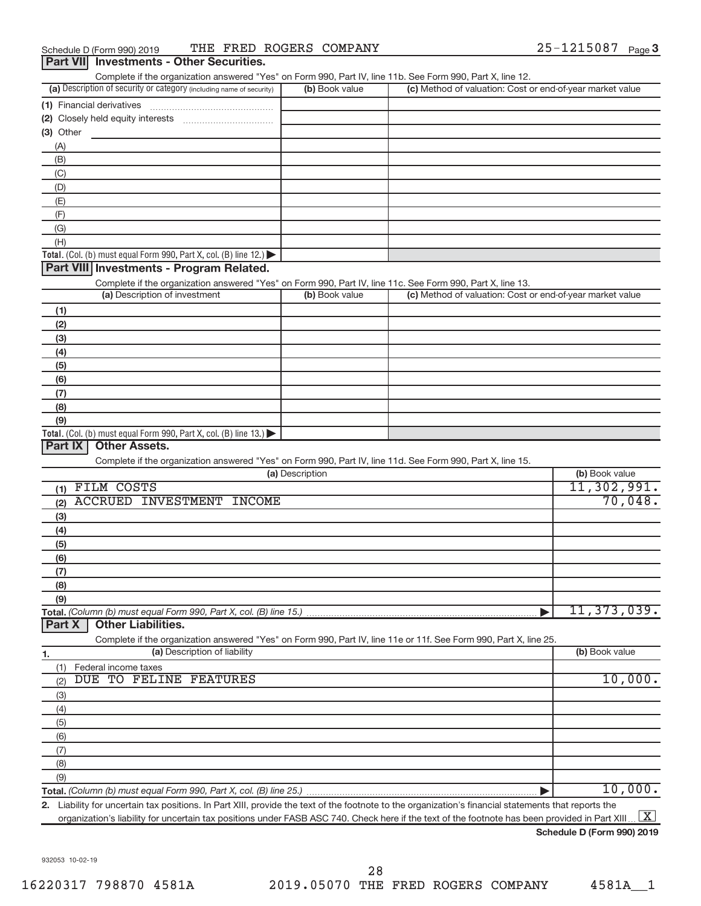| Complete if the organization answered "Yes" on Form 990, Part IV, line 11b. See Form 990, Part X, line 12. |                |                                                           |  |  |  |  |  |  |  |  |
|------------------------------------------------------------------------------------------------------------|----------------|-----------------------------------------------------------|--|--|--|--|--|--|--|--|
| (a) Description of security or category (including name of security)                                       | (b) Book value | (c) Method of valuation: Cost or end-of-year market value |  |  |  |  |  |  |  |  |
| (1) Financial derivatives                                                                                  |                |                                                           |  |  |  |  |  |  |  |  |
| (2) Closely held equity interests                                                                          |                |                                                           |  |  |  |  |  |  |  |  |
| (3) Other                                                                                                  |                |                                                           |  |  |  |  |  |  |  |  |
| (A)                                                                                                        |                |                                                           |  |  |  |  |  |  |  |  |
| (B)                                                                                                        |                |                                                           |  |  |  |  |  |  |  |  |
| (C)                                                                                                        |                |                                                           |  |  |  |  |  |  |  |  |
| (D)                                                                                                        |                |                                                           |  |  |  |  |  |  |  |  |
| (E)                                                                                                        |                |                                                           |  |  |  |  |  |  |  |  |
| (F)                                                                                                        |                |                                                           |  |  |  |  |  |  |  |  |
| (G)                                                                                                        |                |                                                           |  |  |  |  |  |  |  |  |
| (H)                                                                                                        |                |                                                           |  |  |  |  |  |  |  |  |
| Total. (Col. (b) must equal Form 990, Part X, col. (B) line $12$ .)                                        |                |                                                           |  |  |  |  |  |  |  |  |

## **Part VIII Investments - Program Related.**

Complete if the organization answered "Yes" on Form 990, Part IV, line 11c. See Form 990, Part X, line 13.

| (a) Description of investment                                                           | (b) Book value | (c) Method of valuation: Cost or end-of-year market value |
|-----------------------------------------------------------------------------------------|----------------|-----------------------------------------------------------|
| (1)                                                                                     |                |                                                           |
| (2)                                                                                     |                |                                                           |
| (3)                                                                                     |                |                                                           |
| (4)                                                                                     |                |                                                           |
| (5)                                                                                     |                |                                                           |
| (6)                                                                                     |                |                                                           |
| (7)                                                                                     |                |                                                           |
| (8)                                                                                     |                |                                                           |
| (9)                                                                                     |                |                                                           |
| Total. (Col. (b) must equal Form 990, Part X, col. (B) line $13.$ $\blacktriangleright$ |                |                                                           |

## **Part IX Other Assets.**

Complete if the organization answered "Yes" on Form 990, Part IV, line 11d. See Form 990, Part X, line 15.

| (a) Description                  | (b) Book value |
|----------------------------------|----------------|
| FILM COSTS                       | 11,302,991.    |
| ACCRUED INVESTMENT INCOME<br>(2) | 70,048.        |
| (3)                              |                |
| (4)                              |                |
| (5)                              |                |
| (6)                              |                |
| (7)                              |                |
| (8)                              |                |
| (9)                              |                |
|                                  | 11, 373, 039.  |
| <b>Part X</b> Other Liabilities. |                |

Complete if the organization answered "Yes" on Form 990, Part IV, line 11e or 11f. See Form 990, Part X, line 25.

| 1.  | (a) Description of liability |  |                        |         |  |  |
|-----|------------------------------|--|------------------------|---------|--|--|
|     | Federal income taxes         |  |                        |         |  |  |
| (2) |                              |  | DUE TO FELINE FEATURES | 10,000. |  |  |
| (3) |                              |  |                        |         |  |  |
| (4) |                              |  |                        |         |  |  |
| (5) |                              |  |                        |         |  |  |
| (6) |                              |  |                        |         |  |  |
| (7) |                              |  |                        |         |  |  |
| (8) |                              |  |                        |         |  |  |
| (9) |                              |  |                        |         |  |  |
|     |                              |  |                        | ΊU      |  |  |

**2.** Liability for uncertain tax positions. In Part XIII, provide the text of the footnote to the organization's financial statements that reports the organization's liability for uncertain tax positions under FASB ASC 740. Check here if the text of the footnote has been provided in Part XIII.  $\boxed{\text{X}}$ 

**Schedule D (Form 990) 2019**

932053 10-02-19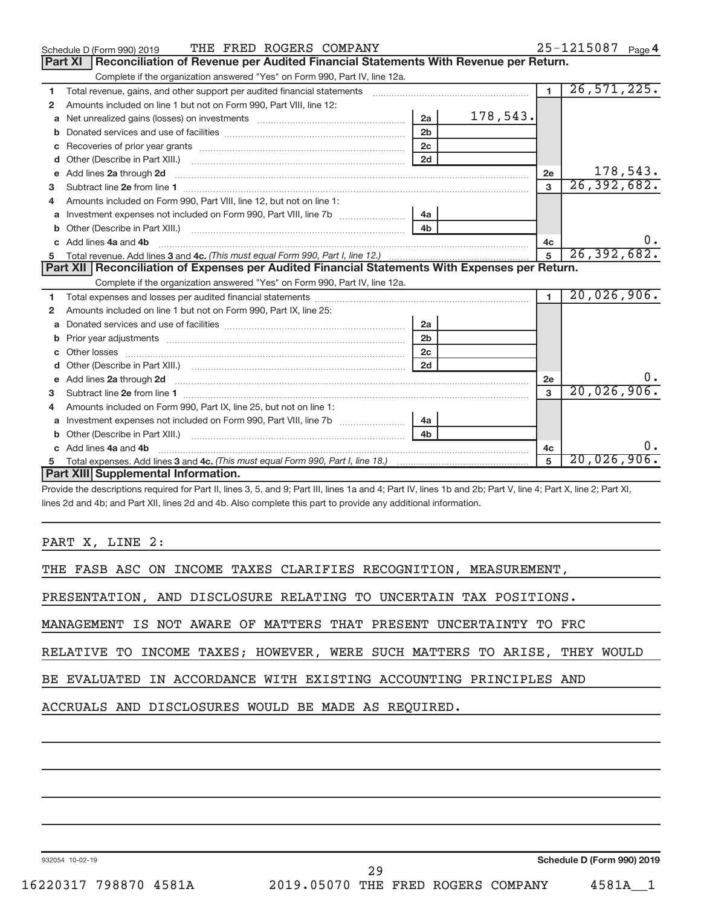|              | THE FRED ROGERS COMPANY<br>Schedule D (Form 990) 2019                                                                                                                                                                              |                |          |                | 25-1215087 Page 4 |
|--------------|------------------------------------------------------------------------------------------------------------------------------------------------------------------------------------------------------------------------------------|----------------|----------|----------------|-------------------|
|              | Reconciliation of Revenue per Audited Financial Statements With Revenue per Return.<br><b>Part XI</b>                                                                                                                              |                |          |                |                   |
|              | Complete if the organization answered "Yes" on Form 990, Part IV, line 12a.                                                                                                                                                        |                |          |                |                   |
| 1            | Total revenue, gains, and other support per audited financial statements [111] [11] Total revenue, gains, and other support per audited financial statements                                                                       |                |          | $\blacksquare$ | 26, 571, 225.     |
| 2            | Amounts included on line 1 but not on Form 990, Part VIII, line 12:                                                                                                                                                                |                |          |                |                   |
| a            | Net unrealized gains (losses) on investments [11] [11] Net unrealized gains (losses) on investments [11] [12]                                                                                                                      | 2a             | 178,543. |                |                   |
| b            |                                                                                                                                                                                                                                    | 2 <sub>b</sub> |          |                |                   |
| c            |                                                                                                                                                                                                                                    | 2c             |          |                |                   |
| d            |                                                                                                                                                                                                                                    | 2d             |          |                |                   |
| e            | Add lines 2a through 2d <b>must be a constructed as a constructed</b> into a construction of the state of the state of the state of the state of the state of the state of the state of the state of the state of the state of the |                |          | 2e             | 178,543.          |
| 3            |                                                                                                                                                                                                                                    |                |          | 3              | 26, 392, 682.     |
|              | Amounts included on Form 990. Part VIII. line 12, but not on line 1:                                                                                                                                                               |                |          |                |                   |
| a            | Investment expenses not included on Form 990, Part VIII, line 7b                                                                                                                                                                   | 4а             |          |                |                   |
| b            |                                                                                                                                                                                                                                    | 4 <sub>b</sub> |          |                |                   |
|              | Add lines 4a and 4b                                                                                                                                                                                                                |                |          | 4c             | υ.                |
| 5            |                                                                                                                                                                                                                                    |                |          | 5              | 26, 392, 682.     |
|              | Part XII   Reconciliation of Expenses per Audited Financial Statements With Expenses per Return.                                                                                                                                   |                |          |                |                   |
|              |                                                                                                                                                                                                                                    |                |          |                |                   |
|              | Complete if the organization answered "Yes" on Form 990, Part IV, line 12a.                                                                                                                                                        |                |          |                |                   |
| 1            |                                                                                                                                                                                                                                    |                |          | $\blacksquare$ | 20,026,906.       |
| $\mathbf{2}$ | Amounts included on line 1 but not on Form 990, Part IX, line 25:                                                                                                                                                                  |                |          |                |                   |
| a            |                                                                                                                                                                                                                                    | 2a             |          |                |                   |
| b            |                                                                                                                                                                                                                                    | 2 <sub>b</sub> |          |                |                   |
|              |                                                                                                                                                                                                                                    | 2 <sub>c</sub> |          |                |                   |
|              |                                                                                                                                                                                                                                    | 2d             |          |                |                   |
|              |                                                                                                                                                                                                                                    |                |          | 2e             |                   |
| 3            |                                                                                                                                                                                                                                    |                |          | $\mathbf{3}$   | 20,026,906.       |
| 4            | Amounts included on Form 990, Part IX, line 25, but not on line 1:                                                                                                                                                                 |                |          |                |                   |
| a            | Investment expenses not included on Form 990, Part VIII, line 7b [11, 11, 11, 11, 11]                                                                                                                                              | 4a             |          |                |                   |
| b            |                                                                                                                                                                                                                                    | 4 <sub>b</sub> |          |                |                   |
|              | Add lines 4a and 4b                                                                                                                                                                                                                |                |          | 4c             |                   |
|              | Part XIII Supplemental Information.                                                                                                                                                                                                |                |          | 5              | 20,026,906.       |

Provide the descriptions required for Part II, lines 3, 5, and 9; Part III, lines 1a and 4; Part IV, lines 1b and 2b; Part V, line 4; Part X, line 2; Part XI, lines 2d and 4b; and Part XII, lines 2d and 4b. Also complete this part to provide any additional information.

PART X, LINE 2:

THE FASB ASC ON INCOME TAXES CLARIFIES RECOGNITION, MEASUREMENT,

PRESENTATION, AND DISCLOSURE RELATING TO UNCERTAIN TAX POSITIONS.

MANAGEMENT IS NOT AWARE OF MATTERS THAT PRESENT UNCERTAINTY TO FRC

RELATIVE TO INCOME TAXES; HOWEVER, WERE SUCH MATTERS TO ARISE, THEY WOULD

BE EVALUATED IN ACCORDANCE WITH EXISTING ACCOUNTING PRINCIPLES AND

ACCRUALS AND DISCLOSURES WOULD BE MADE AS REQUIRED.

932054 10-02-19

**Schedule D (Form 990) 2019**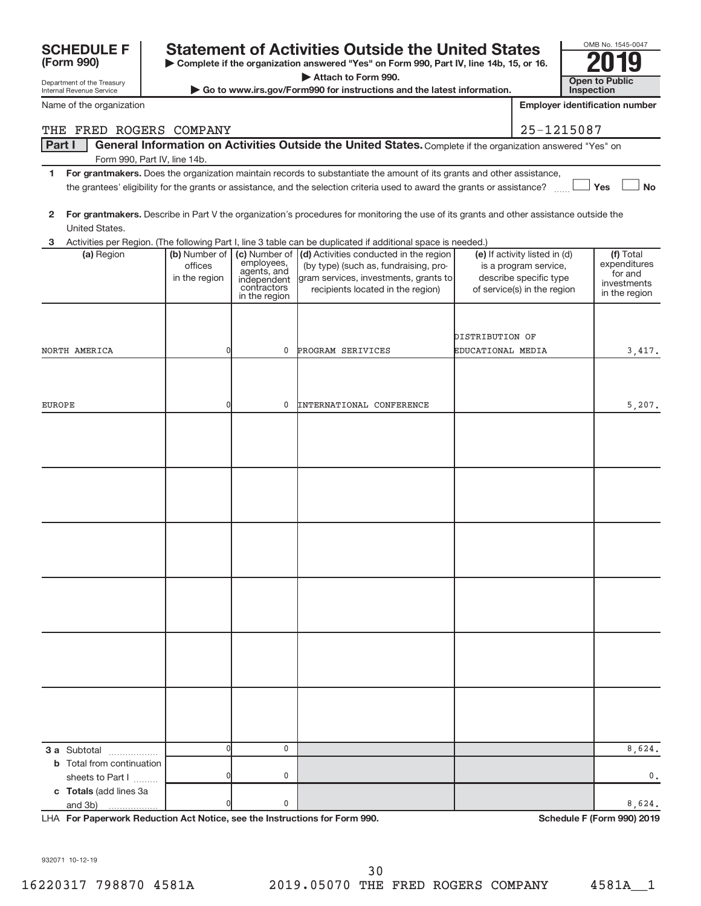|                                                        |                                           | <b>Open to Public</b>                                                                     |                                                                                                                                                               |                   |                                                                                                                 |                                                                      |           |
|--------------------------------------------------------|-------------------------------------------|-------------------------------------------------------------------------------------------|---------------------------------------------------------------------------------------------------------------------------------------------------------------|-------------------|-----------------------------------------------------------------------------------------------------------------|----------------------------------------------------------------------|-----------|
| Department of the Treasury<br>Internal Revenue Service |                                           |                                                                                           | Go to www.irs.gov/Form990 for instructions and the latest information.                                                                                        |                   |                                                                                                                 | Inspection                                                           |           |
| Name of the organization                               |                                           |                                                                                           |                                                                                                                                                               |                   |                                                                                                                 | <b>Employer identification number</b>                                |           |
| THE FRED ROGERS COMPANY                                |                                           |                                                                                           |                                                                                                                                                               |                   | 25-1215087                                                                                                      |                                                                      |           |
| <b>Part I</b><br>Form 990, Part IV, line 14b.          |                                           |                                                                                           | General Information on Activities Outside the United States. Complete if the organization answered "Yes" on                                                   |                   |                                                                                                                 |                                                                      |           |
| 1                                                      |                                           |                                                                                           | For grantmakers. Does the organization maintain records to substantiate the amount of its grants and other assistance,                                        |                   |                                                                                                                 |                                                                      |           |
|                                                        |                                           |                                                                                           | the grantees' eligibility for the grants or assistance, and the selection criteria used to award the grants or assistance?                                    |                   |                                                                                                                 | <b>」Yes</b>                                                          | <b>No</b> |
| 2<br>United States.                                    |                                           |                                                                                           | For grantmakers. Describe in Part V the organization's procedures for monitoring the use of its grants and other assistance outside the                       |                   |                                                                                                                 |                                                                      |           |
| 3                                                      |                                           |                                                                                           | Activities per Region. (The following Part I, line 3 table can be duplicated if additional space is needed.)                                                  |                   |                                                                                                                 |                                                                      |           |
| (a) Region                                             | (b) Number of<br>offices<br>in the region | (c) Number of<br>employees,<br>agents, and<br>independent<br>contractors<br>in the region | (d) Activities conducted in the region<br>(by type) (such as, fundraising, pro-<br>gram services, investments, grants to<br>recipients located in the region) |                   | (e) If activity listed in (d)<br>is a program service,<br>describe specific type<br>of service(s) in the region | (f) Total<br>expenditures<br>for and<br>investments<br>in the region |           |
|                                                        |                                           |                                                                                           |                                                                                                                                                               | DISTRIBUTION OF   |                                                                                                                 |                                                                      |           |
| NORTH AMERICA                                          | 0                                         | 0                                                                                         | PROGRAM SERIVICES                                                                                                                                             | EDUCATIONAL MEDIA |                                                                                                                 | 3,417.                                                               |           |
|                                                        |                                           |                                                                                           |                                                                                                                                                               |                   |                                                                                                                 |                                                                      |           |
| EUROPE                                                 | 0                                         | 0                                                                                         | <b>INTERNATIONAL CONFERENCE</b>                                                                                                                               |                   |                                                                                                                 | 5,207.                                                               |           |
|                                                        |                                           |                                                                                           |                                                                                                                                                               |                   |                                                                                                                 |                                                                      |           |
|                                                        |                                           |                                                                                           |                                                                                                                                                               |                   |                                                                                                                 |                                                                      |           |
|                                                        |                                           |                                                                                           |                                                                                                                                                               |                   |                                                                                                                 |                                                                      |           |
|                                                        |                                           |                                                                                           |                                                                                                                                                               |                   |                                                                                                                 |                                                                      |           |
|                                                        |                                           |                                                                                           |                                                                                                                                                               |                   |                                                                                                                 |                                                                      |           |
|                                                        |                                           |                                                                                           |                                                                                                                                                               |                   |                                                                                                                 |                                                                      |           |
| <b>3 a</b> Subtotal<br>.                               | $\overline{0}$                            | 0                                                                                         |                                                                                                                                                               |                   |                                                                                                                 | 8,624.                                                               |           |
| <b>b</b> Total from continuation<br>sheets to Part I   | 0                                         | 0                                                                                         |                                                                                                                                                               |                   |                                                                                                                 |                                                                      | 0.        |
| c Totals (add lines 3a<br>and 3b)<br>.                 | U                                         | 0                                                                                         |                                                                                                                                                               |                   |                                                                                                                 | 8,624.                                                               |           |

**| Complete if the organization answered "Yes" on Form 990, Part IV, line 14b, 15, or 16. | Attach to Form 990.**

**SCHEDULE F** Statement of Activities Outside the United States  $\frac{1000 \text{ N}}{20110}$ 

LHA For Paperwork Reduction Act Notice, see the Instructions for Form 990. Shand the Schedule F (Form 990) 2019 L

OMB No. 1545-0047

932071 10-12-19

**(Form 990)**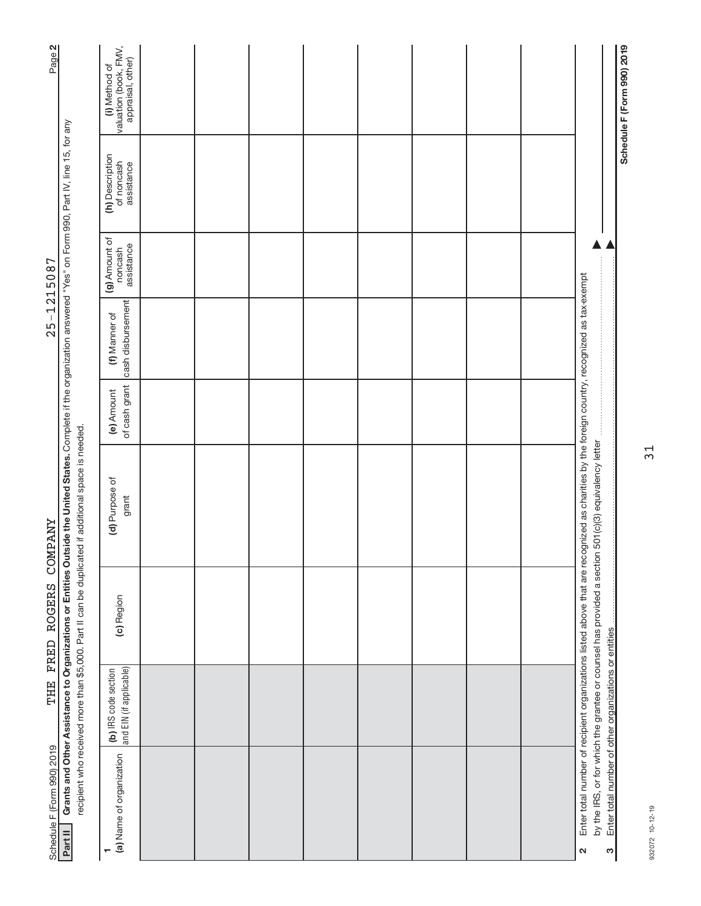| Page 2                     |                                                                                                                                                                                                                                                                              | (i) Method of<br>valuation (book, FMV,<br>appraisal, other) |  |  |  |  |                                                                                                                                                                                                                                                     | Schedule F (Form 990) 2019 |
|----------------------------|------------------------------------------------------------------------------------------------------------------------------------------------------------------------------------------------------------------------------------------------------------------------------|-------------------------------------------------------------|--|--|--|--|-----------------------------------------------------------------------------------------------------------------------------------------------------------------------------------------------------------------------------------------------------|----------------------------|
|                            |                                                                                                                                                                                                                                                                              | (h) Description<br>of noncash<br>assistance                 |  |  |  |  |                                                                                                                                                                                                                                                     |                            |
| $25 - 1215087$             |                                                                                                                                                                                                                                                                              | (g) Amount of<br>assistance<br>noncash                      |  |  |  |  |                                                                                                                                                                                                                                                     |                            |
|                            |                                                                                                                                                                                                                                                                              | cash disbursement<br>(f) Manner of                          |  |  |  |  |                                                                                                                                                                                                                                                     |                            |
|                            |                                                                                                                                                                                                                                                                              | of cash grant<br>(e) Amount                                 |  |  |  |  |                                                                                                                                                                                                                                                     |                            |
| <b><i>COMPANY</i></b>      | Grants and Other Assistance to Organizations or Entities Outside the United States. Complete if the organization answered "Yes" on Form 990, Part IV, line 15, for any<br>recipient who received more than \$5,000. Part II can be duplicated if additional space is needed. | (d) Purpose of<br>grant                                     |  |  |  |  | Enter total number of recipient organizations listed above that are recognized as charities by the foreign country, recognized as tax-exempt<br>by the IRS, or for which the grantee or counsel has provided a section 501(c)(3) equivalency letter |                            |
| FRED ROGERS                |                                                                                                                                                                                                                                                                              | (c) Region                                                  |  |  |  |  |                                                                                                                                                                                                                                                     |                            |
| THE                        |                                                                                                                                                                                                                                                                              | and EIN (if applicable)<br>(b) IRS code section             |  |  |  |  |                                                                                                                                                                                                                                                     |                            |
| Schedule F (Form 990) 2019 | Part II                                                                                                                                                                                                                                                                      | (a) Name of organization                                    |  |  |  |  | Enter total number of other organizations or entities<br>S<br>$\mathbf{\Omega}$                                                                                                                                                                     |                            |

932072 10-12-19 932072 10-12-19

31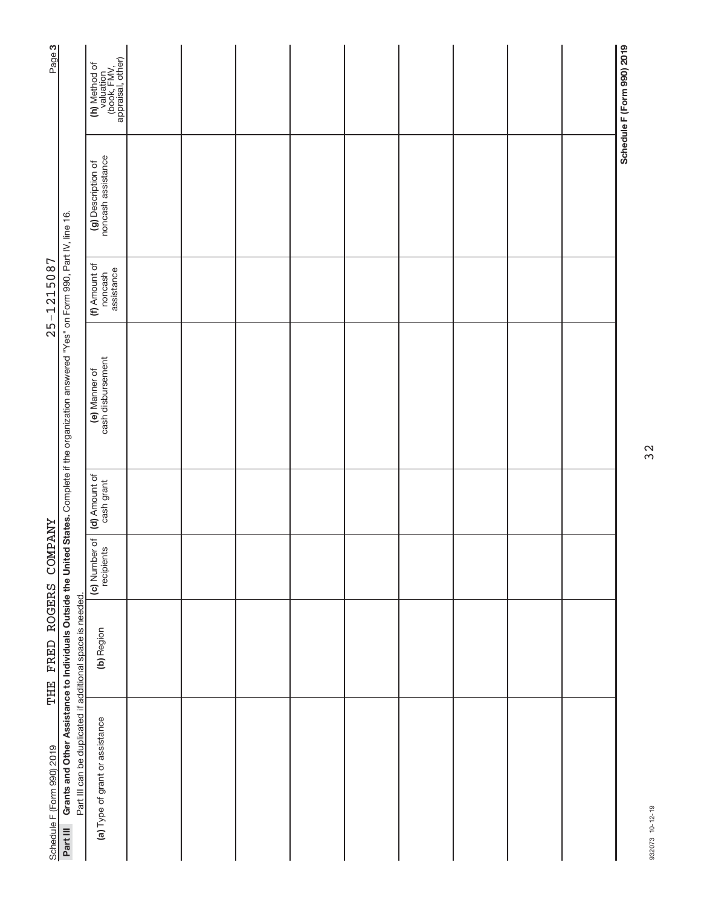| Page <sub>3</sub>          |                                                                                                                                                  | (h) Method of<br>valuation<br>(book, FMV,<br>appraisal, other) |  |  |  |  | Schedule F (Form 990) 2019 |
|----------------------------|--------------------------------------------------------------------------------------------------------------------------------------------------|----------------------------------------------------------------|--|--|--|--|----------------------------|
|                            |                                                                                                                                                  | (g) Description of<br>noncash assistance                       |  |  |  |  |                            |
| $25 - 1215087$             |                                                                                                                                                  | (f) Amount of<br>assistance<br>noncash                         |  |  |  |  |                            |
|                            | Grants and Other Assistance to Individuals Outside the United States. Complete if the organization answered "Yes" on Form 990, Part IV, line 16. | (e) Manner of<br>cash disbursement                             |  |  |  |  |                            |
|                            |                                                                                                                                                  | (d) Amount of<br>cash grant                                    |  |  |  |  |                            |
|                            |                                                                                                                                                  | (c) Number of<br>recipients                                    |  |  |  |  |                            |
| THE FRED ROGERS COMPANY    |                                                                                                                                                  | (b) Region                                                     |  |  |  |  |                            |
| Schedule F (Form 990) 2019 | Part III can be duplicated if additional space is needed.<br>Part III                                                                            | (a) Type of grant or assistance                                |  |  |  |  |                            |

932073 10-12-19 932073 10-12-19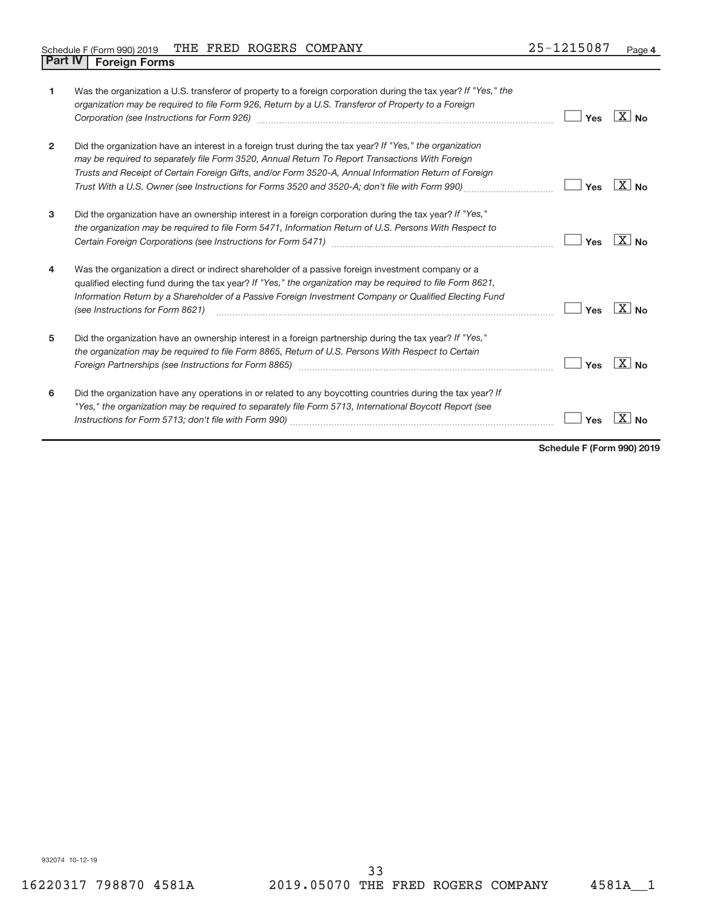## Schedule F (Form 990) 2019 Page THE FRED ROGERS COMPANY 25-1215087 **Part IV F** (Form 990) 2019

| 1              | Was the organization a U.S. transferor of property to a foreign corporation during the tax year? If "Yes," the<br>organization may be required to file Form 926, Return by a U.S. Transferor of Property to a Foreign                                                                                                                                                                                                  | Yes | ΧI<br>N <sub>0</sub>  |
|----------------|------------------------------------------------------------------------------------------------------------------------------------------------------------------------------------------------------------------------------------------------------------------------------------------------------------------------------------------------------------------------------------------------------------------------|-----|-----------------------|
| $\overline{2}$ | Did the organization have an interest in a foreign trust during the tax year? If "Yes," the organization<br>may be required to separately file Form 3520, Annual Return To Report Transactions With Foreign<br>Trusts and Receipt of Certain Foreign Gifts, and/or Form 3520-A, Annual Information Return of Foreign<br>Trust With a U.S. Owner (see Instructions for Forms 3520 and 3520-A; don't file with Form 990) | Yes | X l<br>N <sub>0</sub> |
| 3              | Did the organization have an ownership interest in a foreign corporation during the tax year? If "Yes,"<br>the organization may be required to file Form 5471, Information Return of U.S. Persons With Respect to                                                                                                                                                                                                      | Yes | X.<br>N <sub>0</sub>  |
| 4              | Was the organization a direct or indirect shareholder of a passive foreign investment company or a<br>qualified electing fund during the tax year? If "Yes," the organization may be required to file Form 8621,<br>Information Return by a Shareholder of a Passive Foreign Investment Company or Qualified Electing Fund<br>(see Instructions for Form 8621)                                                         | Yes | X<br>No               |
| 5              | Did the organization have an ownership interest in a foreign partnership during the tax year? If "Yes,"<br>the organization may be required to file Form 8865, Return of U.S. Persons With Respect to Certain                                                                                                                                                                                                          | Yes | ΧI<br>N <sub>0</sub>  |
| 6              | Did the organization have any operations in or related to any boycotting countries during the tax year? If<br>"Yes," the organization may be required to separately file Form 5713, International Boycott Report (see                                                                                                                                                                                                  | Yes |                       |

**Schedule F (Form 990) 2019**

932074 10-12-19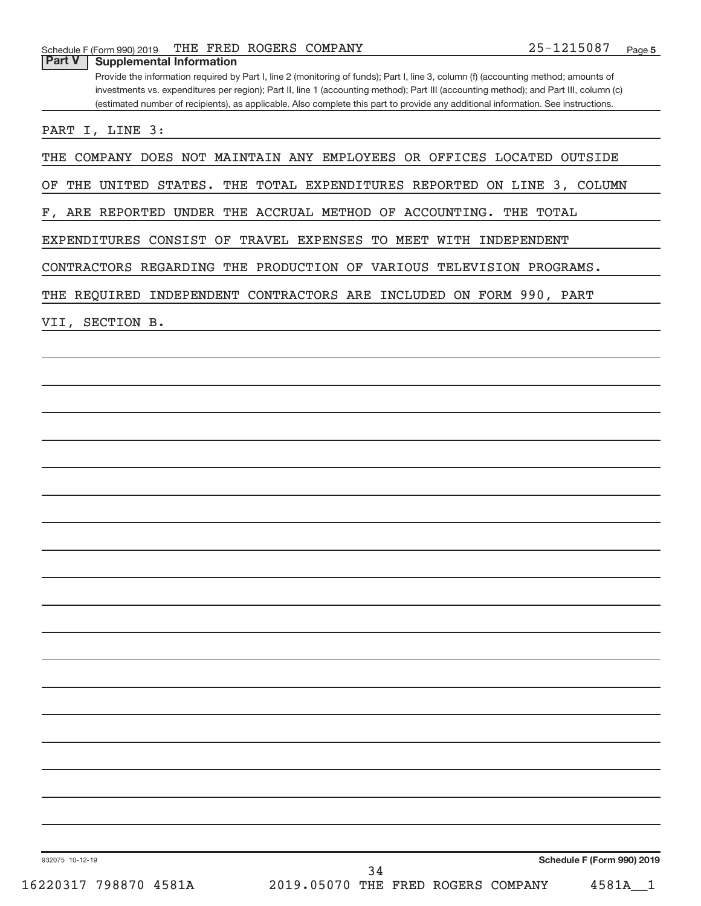Provide the information required by Part I, line 2 (monitoring of funds); Part I, line 3, column (f) (accounting method; amounts of investments vs. expenditures per region); Part II, line 1 (accounting method); Part III (accounting method); and Part III, column (c) (estimated number of recipients), as applicable. Also complete this part to provide any additional information. See instructions.

PART I, LINE 3:

THE COMPANY DOES NOT MAINTAIN ANY EMPLOYEES OR OFFICES LOCATED OUTSIDE

OF THE UNITED STATES. THE TOTAL EXPENDITURES REPORTED ON LINE 3, COLUMN

F, ARE REPORTED UNDER THE ACCRUAL METHOD OF ACCOUNTING. THE TOTAL

EXPENDITURES CONSIST OF TRAVEL EXPENSES TO MEET WITH INDEPENDENT

CONTRACTORS REGARDING THE PRODUCTION OF VARIOUS TELEVISION PROGRAMS.

THE REQUIRED INDEPENDENT CONTRACTORS ARE INCLUDED ON FORM 990, PART

VII, SECTION B.

932075 10-12-19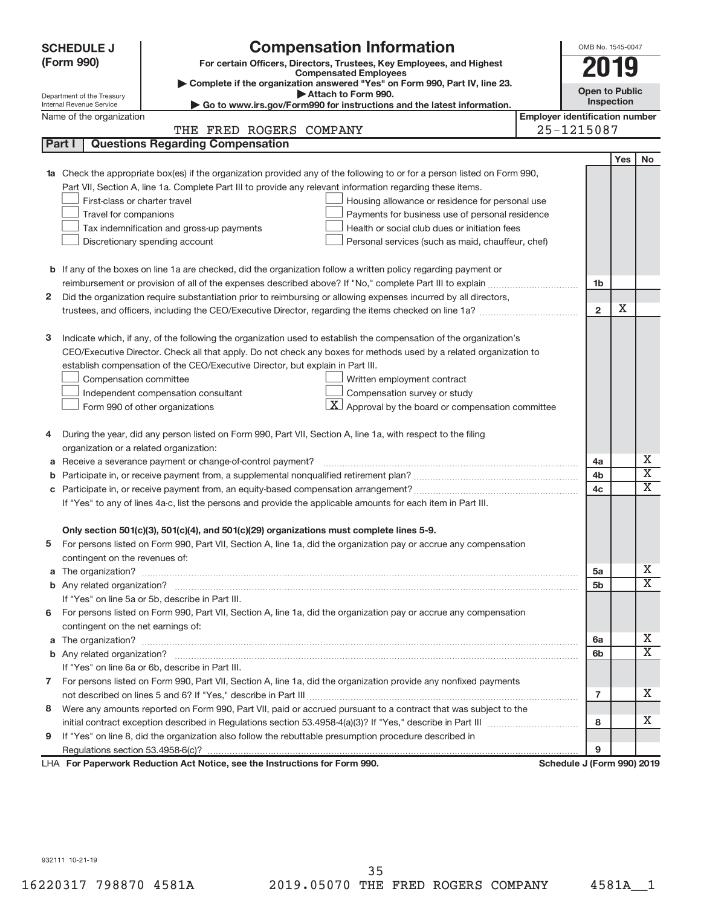|    | <b>SCHEDULE J</b><br>(Form 990)                                                                                                                                                                                                    | <b>Compensation Information</b><br>For certain Officers, Directors, Trustees, Key Employees, and Highest               |                                       | OMB No. 1545-0047          |     |                         |  |  |  |  |  |  |
|----|------------------------------------------------------------------------------------------------------------------------------------------------------------------------------------------------------------------------------------|------------------------------------------------------------------------------------------------------------------------|---------------------------------------|----------------------------|-----|-------------------------|--|--|--|--|--|--|
|    |                                                                                                                                                                                                                                    | <b>Compensated Employees</b>                                                                                           |                                       |                            | 019 |                         |  |  |  |  |  |  |
|    |                                                                                                                                                                                                                                    | Complete if the organization answered "Yes" on Form 990, Part IV, line 23.<br>Attach to Form 990.                      |                                       | <b>Open to Public</b>      |     |                         |  |  |  |  |  |  |
|    | Department of the Treasury<br>Internal Revenue Service                                                                                                                                                                             | Go to www.irs.gov/Form990 for instructions and the latest information.                                                 |                                       | <b>Inspection</b>          |     |                         |  |  |  |  |  |  |
|    | Name of the organization                                                                                                                                                                                                           |                                                                                                                        | <b>Employer identification number</b> |                            |     |                         |  |  |  |  |  |  |
|    |                                                                                                                                                                                                                                    | THE FRED ROGERS COMPANY                                                                                                |                                       | 25-1215087                 |     |                         |  |  |  |  |  |  |
|    | Part I                                                                                                                                                                                                                             | <b>Questions Regarding Compensation</b>                                                                                |                                       |                            |     |                         |  |  |  |  |  |  |
|    |                                                                                                                                                                                                                                    |                                                                                                                        |                                       |                            | Yes | No                      |  |  |  |  |  |  |
| 1a |                                                                                                                                                                                                                                    | Check the appropriate box(es) if the organization provided any of the following to or for a person listed on Form 990, |                                       |                            |     |                         |  |  |  |  |  |  |
|    |                                                                                                                                                                                                                                    | Part VII, Section A, line 1a. Complete Part III to provide any relevant information regarding these items.             |                                       |                            |     |                         |  |  |  |  |  |  |
|    | First-class or charter travel                                                                                                                                                                                                      | Housing allowance or residence for personal use                                                                        |                                       |                            |     |                         |  |  |  |  |  |  |
|    | Travel for companions                                                                                                                                                                                                              | Payments for business use of personal residence                                                                        |                                       |                            |     |                         |  |  |  |  |  |  |
|    |                                                                                                                                                                                                                                    | Health or social club dues or initiation fees<br>Tax indemnification and gross-up payments                             |                                       |                            |     |                         |  |  |  |  |  |  |
|    |                                                                                                                                                                                                                                    | Discretionary spending account<br>Personal services (such as maid, chauffeur, chef)                                    |                                       |                            |     |                         |  |  |  |  |  |  |
|    |                                                                                                                                                                                                                                    |                                                                                                                        |                                       |                            |     |                         |  |  |  |  |  |  |
|    |                                                                                                                                                                                                                                    | <b>b</b> If any of the boxes on line 1a are checked, did the organization follow a written policy regarding payment or |                                       |                            |     |                         |  |  |  |  |  |  |
|    |                                                                                                                                                                                                                                    |                                                                                                                        |                                       | 1 <sub>b</sub>             |     |                         |  |  |  |  |  |  |
| 2  |                                                                                                                                                                                                                                    | Did the organization require substantiation prior to reimbursing or allowing expenses incurred by all directors,       |                                       |                            |     |                         |  |  |  |  |  |  |
|    |                                                                                                                                                                                                                                    | trustees, and officers, including the CEO/Executive Director, regarding the items checked on line 1a?                  |                                       | $\overline{2}$             | х   |                         |  |  |  |  |  |  |
|    |                                                                                                                                                                                                                                    |                                                                                                                        |                                       |                            |     |                         |  |  |  |  |  |  |
| з  |                                                                                                                                                                                                                                    | Indicate which, if any, of the following the organization used to establish the compensation of the organization's     |                                       |                            |     |                         |  |  |  |  |  |  |
|    |                                                                                                                                                                                                                                    | CEO/Executive Director. Check all that apply. Do not check any boxes for methods used by a related organization to     |                                       |                            |     |                         |  |  |  |  |  |  |
|    |                                                                                                                                                                                                                                    | establish compensation of the CEO/Executive Director, but explain in Part III.                                         |                                       |                            |     |                         |  |  |  |  |  |  |
|    | Compensation committee<br>Written employment contract<br>Compensation survey or study<br>Independent compensation consultant<br>$\vert X \vert$ Approval by the board or compensation committee<br>Form 990 of other organizations |                                                                                                                        |                                       |                            |     |                         |  |  |  |  |  |  |
|    |                                                                                                                                                                                                                                    |                                                                                                                        |                                       |                            |     |                         |  |  |  |  |  |  |
|    |                                                                                                                                                                                                                                    |                                                                                                                        |                                       |                            |     |                         |  |  |  |  |  |  |
|    |                                                                                                                                                                                                                                    |                                                                                                                        |                                       |                            |     |                         |  |  |  |  |  |  |
| 4  |                                                                                                                                                                                                                                    | During the year, did any person listed on Form 990, Part VII, Section A, line 1a, with respect to the filing           |                                       |                            |     |                         |  |  |  |  |  |  |
|    | organization or a related organization:                                                                                                                                                                                            |                                                                                                                        |                                       |                            |     |                         |  |  |  |  |  |  |
| а  |                                                                                                                                                                                                                                    | Receive a severance payment or change-of-control payment?                                                              |                                       | 4a                         |     | х                       |  |  |  |  |  |  |
| b  |                                                                                                                                                                                                                                    |                                                                                                                        |                                       | 4b                         |     | $\overline{\textbf{X}}$ |  |  |  |  |  |  |
| c  |                                                                                                                                                                                                                                    |                                                                                                                        |                                       | 4c                         |     | X                       |  |  |  |  |  |  |
|    |                                                                                                                                                                                                                                    | If "Yes" to any of lines 4a-c, list the persons and provide the applicable amounts for each item in Part III.          |                                       |                            |     |                         |  |  |  |  |  |  |
|    |                                                                                                                                                                                                                                    |                                                                                                                        |                                       |                            |     |                         |  |  |  |  |  |  |
|    |                                                                                                                                                                                                                                    | Only section 501(c)(3), 501(c)(4), and 501(c)(29) organizations must complete lines 5-9.                               |                                       |                            |     |                         |  |  |  |  |  |  |
|    |                                                                                                                                                                                                                                    | For persons listed on Form 990, Part VII, Section A, line 1a, did the organization pay or accrue any compensation      |                                       |                            |     |                         |  |  |  |  |  |  |
|    | contingent on the revenues of:                                                                                                                                                                                                     |                                                                                                                        |                                       |                            |     |                         |  |  |  |  |  |  |
|    |                                                                                                                                                                                                                                    |                                                                                                                        |                                       | 5a                         |     | х                       |  |  |  |  |  |  |
|    |                                                                                                                                                                                                                                    |                                                                                                                        |                                       | 5b                         |     | X                       |  |  |  |  |  |  |
|    |                                                                                                                                                                                                                                    | If "Yes" on line 5a or 5b, describe in Part III.                                                                       |                                       |                            |     |                         |  |  |  |  |  |  |
| 6. |                                                                                                                                                                                                                                    | For persons listed on Form 990, Part VII, Section A, line 1a, did the organization pay or accrue any compensation      |                                       |                            |     |                         |  |  |  |  |  |  |
|    | contingent on the net earnings of:                                                                                                                                                                                                 |                                                                                                                        |                                       |                            |     |                         |  |  |  |  |  |  |
|    |                                                                                                                                                                                                                                    |                                                                                                                        |                                       | 6a                         |     | х                       |  |  |  |  |  |  |
|    |                                                                                                                                                                                                                                    |                                                                                                                        |                                       | 6b                         |     | $\overline{\mathbf{X}}$ |  |  |  |  |  |  |
|    |                                                                                                                                                                                                                                    | If "Yes" on line 6a or 6b, describe in Part III.                                                                       |                                       |                            |     |                         |  |  |  |  |  |  |
|    |                                                                                                                                                                                                                                    | 7 For persons listed on Form 990, Part VII, Section A, line 1a, did the organization provide any nonfixed payments     |                                       |                            |     |                         |  |  |  |  |  |  |
|    |                                                                                                                                                                                                                                    |                                                                                                                        |                                       | 7                          |     | x                       |  |  |  |  |  |  |
| 8  |                                                                                                                                                                                                                                    | Were any amounts reported on Form 990, Part VII, paid or accrued pursuant to a contract that was subject to the        |                                       |                            |     |                         |  |  |  |  |  |  |
|    |                                                                                                                                                                                                                                    |                                                                                                                        |                                       | 8                          |     | x                       |  |  |  |  |  |  |
| 9  |                                                                                                                                                                                                                                    | If "Yes" on line 8, did the organization also follow the rebuttable presumption procedure described in                 |                                       |                            |     |                         |  |  |  |  |  |  |
|    |                                                                                                                                                                                                                                    |                                                                                                                        |                                       | 9                          |     |                         |  |  |  |  |  |  |
|    |                                                                                                                                                                                                                                    | LHA For Paperwork Reduction Act Notice, see the Instructions for Form 990.                                             |                                       | Schedule J (Form 990) 2019 |     |                         |  |  |  |  |  |  |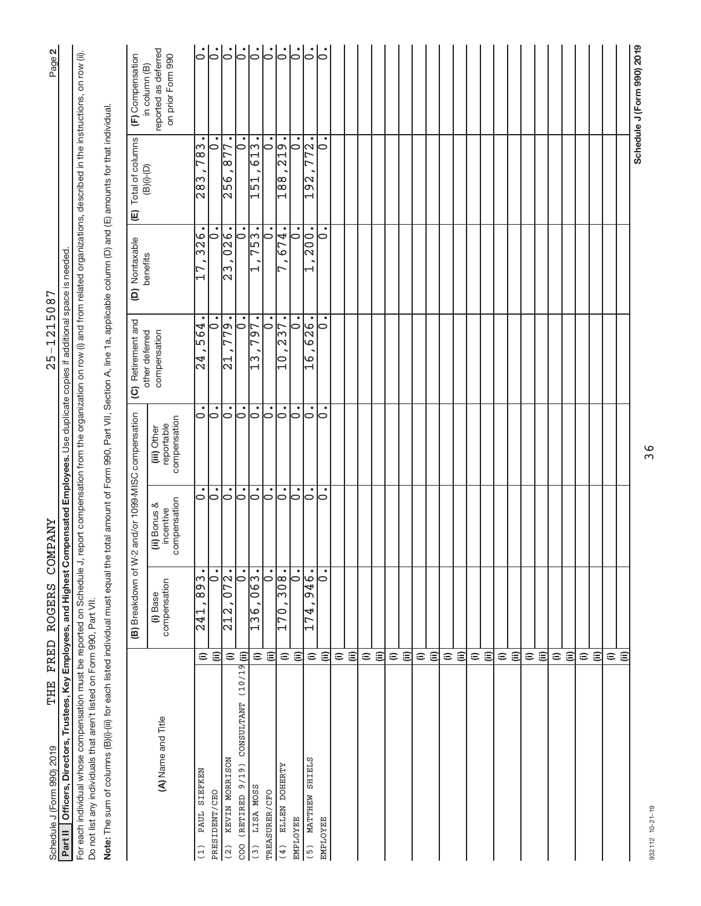| THE<br>Schedule J (Form 990) 2019                                                                                                              |                    | FRED ROGERS                                 | <b><i>COMPANY</i></b>                     |                                           | 1215087<br>$25 -$                                                                                                                |                                                            |                                            | N<br>Page <sup>1</sup>                                     |
|------------------------------------------------------------------------------------------------------------------------------------------------|--------------------|---------------------------------------------|-------------------------------------------|-------------------------------------------|----------------------------------------------------------------------------------------------------------------------------------|------------------------------------------------------------|--------------------------------------------|------------------------------------------------------------|
| Officers, Directors, Trustees, Key Employees, and Highest Compensated Employees. Use duplicate copies if additional<br>Part II                 |                    |                                             |                                           |                                           |                                                                                                                                  | is needed<br>space                                         |                                            |                                                            |
| For each individual whose compensation must be reported on Schedule J,<br>Do not list any individuals that aren't listed on Form 990, Part VII |                    |                                             |                                           |                                           | report compensation from the organization on row (i) and from related organizations, described in the instructions, on row (ii). |                                                            |                                            |                                                            |
| Note: The sum of columns (B)(i)-(iii) for each listed individual must equal the                                                                |                    |                                             |                                           |                                           | total amount of Form 990, Part VII, Section A, line 1a, applicable column (D) and (E) amounts for that individual.               |                                                            |                                            |                                                            |
|                                                                                                                                                |                    | (B) Breakdown of W                          |                                           | 2 and/or 1099-MISC compensation           | (C) Retirement and                                                                                                               | (D) Nontaxable                                             | Total of columns<br>$\widehat{\mathbb{E}}$ | (F) Compensation                                           |
| (A) Name and Title                                                                                                                             |                    | compensation<br>(i) Base                    | compensation<br>(ii) Bonus &<br>incentive | reportable<br>compensation<br>(iii) Other | compensation<br>other deferred                                                                                                   | benefits                                                   | $(B)(i)$ - $(D)$                           | reported as deferred<br>on prior Form 990<br>in column (B) |
| PAUL SIEFKEN<br>(1)                                                                                                                            | $\widehat{=}$      | $\bullet$<br>$\sqrt{89}$<br>$\frac{1}{241}$ | 0                                         | 0                                         | $\frac{1}{2}9$<br>$\overline{4}$                                                                                                 | $\frac{8}{326}$                                            | $\sqrt{83}$<br>$\frac{8}{28}$              | $\dot{\circ}$                                              |
| PRESIDENT/CEO                                                                                                                                  | $\widehat{\equiv}$ | $\overline{\cdot}$                          | $\dot{\circ}$                             | $\dot{\circ}$                             | $\dot{\circ}$                                                                                                                    | $\dot{\circ}$                                              | $\bullet$<br>$\circ$                       | $\overline{\circ}$                                         |
| KEVIN MORRISON<br>(2)                                                                                                                          | $\widehat{=}$      | 072.<br>$\frac{212}{2}$                     | $  \circ$                                 | $\overline{\circ}$                        | 779.<br>$\Xi$                                                                                                                    | $\overline{0}$ $\overline{2}$ $\overline{6}$ .<br>∣∾<br>lМ | 77<br>∣∞<br><b>PS</b>                      | $\mathsf{L}$                                               |
| CONSULTANT (10/19 (ii)<br>(RETIRED 9/19)<br>$\overline{c}$ oo                                                                                  |                    | $\overline{\circ}$                          | $\circ$                                   | $\dot{\circ}$                             | ٠<br>$\circ$                                                                                                                     | 0                                                          | $\bullet$<br>$\circ$                       | $ \cdot $                                                  |
| LISA MOSS<br>$\begin{pmatrix} 3 \end{pmatrix}$                                                                                                 | $\widehat{=}$      | $\overline{063}$ .<br>$\overline{136}$ ,    | <br> 0                                    | ြ                                         | 797.<br>$\Xi$                                                                                                                    | 753.                                                       | …<br>$\overline{6}$<br>$\frac{151}{1}$     |                                                            |
| TREASURER/CFO                                                                                                                                  | $\widehat{\equiv}$ | $\bullet$<br>$\bullet$                      | $\circ$                                   | $\bullet$<br>$\circ$                      | $\bullet$<br>0                                                                                                                   | $\overline{\phantom{0}}$                                   | ٠<br>$\ddot{\bullet}$                      | $\overline{\circ}$                                         |
| ELLEN DOHERTY<br>(4)                                                                                                                           | $\widehat{=}$      | $\frac{1}{308}$<br>$\overline{170}$         | $\circ$                                   | $\bullet$<br>$\circ$                      | $\bullet$<br>$\overline{57}$<br>$\overline{\mathcal{C}}$<br>0                                                                    | 674                                                        | $\frac{19}{219}$<br>$\frac{8}{18}$         | $  \cdot  $                                                |
| EMPLOYEE                                                                                                                                       | $\widehat{=}$      | $\dot{\circ}$                               | $\overline{\varepsilon}$                  | $\bullet$<br>0                            | ٠<br>$\circ$                                                                                                                     | $\dot{\circ}$                                              | $\overline{\vphantom{h}}$                  | $\overline{\circ}$                                         |
| MATTHEW SHIELS<br>(5)                                                                                                                          | $\widehat{=}$      | 946.<br>174                                 | $\circ$                                   | $\bullet$<br>⊝                            | 626.<br>9<br>$\overline{\phantom{0}}$                                                                                            | 200.<br>Ţ                                                  | ြ•<br>77<br>192                            | $\overline{\mathsf{C}}$                                    |
| <b>EMPLOYEE</b>                                                                                                                                | $\widehat{\equiv}$ | $\bullet$<br>$\overline{\circ}$             | $\circ$                                   | 0                                         | $\circ$                                                                                                                          | $\circ$                                                    | 0                                          | b                                                          |
|                                                                                                                                                | $\widehat{=}$      |                                             |                                           |                                           |                                                                                                                                  |                                                            |                                            |                                                            |
|                                                                                                                                                | $\widehat{\equiv}$ |                                             |                                           |                                           |                                                                                                                                  |                                                            |                                            |                                                            |
|                                                                                                                                                | $\widehat{=}$      |                                             |                                           |                                           |                                                                                                                                  |                                                            |                                            |                                                            |
|                                                                                                                                                | $\widehat{\equiv}$ |                                             |                                           |                                           |                                                                                                                                  |                                                            |                                            |                                                            |
|                                                                                                                                                | $\widehat{=}$      |                                             |                                           |                                           |                                                                                                                                  |                                                            |                                            |                                                            |
|                                                                                                                                                | $\widehat{=}$      |                                             |                                           |                                           |                                                                                                                                  |                                                            |                                            |                                                            |
|                                                                                                                                                | $\widehat{=}$      |                                             |                                           |                                           |                                                                                                                                  |                                                            |                                            |                                                            |
|                                                                                                                                                | $\widehat{\equiv}$ |                                             |                                           |                                           |                                                                                                                                  |                                                            |                                            |                                                            |
|                                                                                                                                                | $\widehat{=}$      |                                             |                                           |                                           |                                                                                                                                  |                                                            |                                            |                                                            |
|                                                                                                                                                | $\widehat{\equiv}$ |                                             |                                           |                                           |                                                                                                                                  |                                                            |                                            |                                                            |
|                                                                                                                                                | $\widehat{=}$      |                                             |                                           |                                           |                                                                                                                                  |                                                            |                                            |                                                            |
|                                                                                                                                                | $\widehat{\equiv}$ |                                             |                                           |                                           |                                                                                                                                  |                                                            |                                            |                                                            |
|                                                                                                                                                | $\widehat{=}$      |                                             |                                           |                                           |                                                                                                                                  |                                                            |                                            |                                                            |
|                                                                                                                                                | $\widehat{\equiv}$ |                                             |                                           |                                           |                                                                                                                                  |                                                            |                                            |                                                            |
|                                                                                                                                                | $\widehat{=}$      |                                             |                                           |                                           |                                                                                                                                  |                                                            |                                            |                                                            |
|                                                                                                                                                | $\Xi$              |                                             |                                           |                                           |                                                                                                                                  |                                                            |                                            |                                                            |
|                                                                                                                                                | $\widehat{=}$      |                                             |                                           |                                           |                                                                                                                                  |                                                            |                                            |                                                            |
|                                                                                                                                                | $\widehat{=}$      |                                             |                                           |                                           |                                                                                                                                  |                                                            |                                            |                                                            |
|                                                                                                                                                | $\widehat{=}$      |                                             |                                           |                                           |                                                                                                                                  |                                                            |                                            |                                                            |
|                                                                                                                                                | $\widehat{\equiv}$ |                                             |                                           |                                           |                                                                                                                                  |                                                            |                                            |                                                            |
|                                                                                                                                                | $\widehat{=}$      |                                             |                                           |                                           |                                                                                                                                  |                                                            |                                            |                                                            |
|                                                                                                                                                | ε                  |                                             |                                           |                                           |                                                                                                                                  |                                                            |                                            |                                                            |
|                                                                                                                                                |                    |                                             |                                           |                                           |                                                                                                                                  |                                                            |                                            | Schedule J (Form 990) 2019                                 |

 $25 - 1215087$ 

THE FRED ROGERS COMPANY

36

932112 10-21-19 932112 10-21-19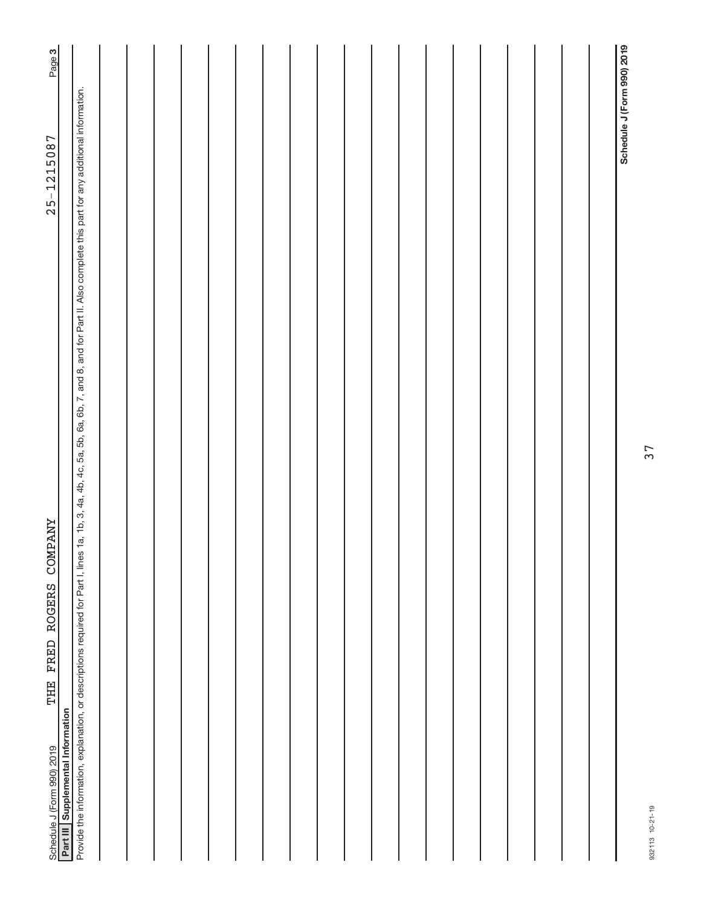| Page 3                                                                                     |                                                                                                                                                                                                            |  |  |  |  |  |  |  |  |  |                            |
|--------------------------------------------------------------------------------------------|------------------------------------------------------------------------------------------------------------------------------------------------------------------------------------------------------------|--|--|--|--|--|--|--|--|--|----------------------------|
| $25 - 1215087$                                                                             |                                                                                                                                                                                                            |  |  |  |  |  |  |  |  |  | Schedule J (Form 990) 2019 |
| THE FRED ROGERS COMPANY<br>Part III Supplemental Information<br>Schedule J (Form 990) 2019 | Provide the information, explanation, or descriptions required for Part I, lines 1a, 1b, 3, 4a, 4b, 4c, 5a, 5b, 6a, 6b, 7, and 8, and for Part II. Also complete this part for any additional information. |  |  |  |  |  |  |  |  |  |                            |

932113 10-21-19 932113 10-21-19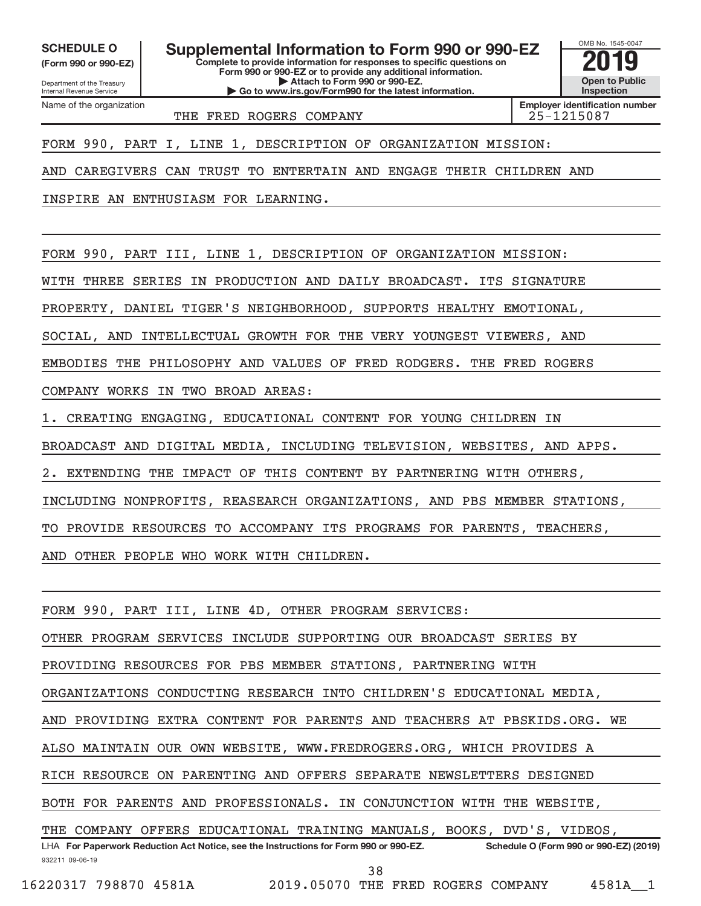Department of the Treasury **(Form 990 or 990-EZ)**

Name of the organization

Internal Revenue Service

**Complete to provide information for responses to specific questions on** SCHEDULE O **Supplemental Information to Form 990 or 990-EZ** 2019<br>(Form 990 or 990-EZ) **2019** 

**Form 990 or 990-EZ or to provide any additional information. | Attach to Form 990 or 990-EZ. | Go to www.irs.gov/Form990 for the latest information.**



THE FRED ROGERS COMPANY THE 25-1215087

FORM 990, PART I, LINE 1, DESCRIPTION OF ORGANIZATION MISSION:

AND CAREGIVERS CAN TRUST TO ENTERTAIN AND ENGAGE THEIR CHILDREN AND

INSPIRE AN ENTHUSIASM FOR LEARNING.

FORM 990, PART III, LINE 1, DESCRIPTION OF ORGANIZATION MISSION:

WITH THREE SERIES IN PRODUCTION AND DAILY BROADCAST. ITS SIGNATURE

PROPERTY, DANIEL TIGER'S NEIGHBORHOOD, SUPPORTS HEALTHY EMOTIONAL,

SOCIAL, AND INTELLECTUAL GROWTH FOR THE VERY YOUNGEST VIEWERS, AND

EMBODIES THE PHILOSOPHY AND VALUES OF FRED RODGERS. THE FRED ROGERS

COMPANY WORKS IN TWO BROAD AREAS:

1. CREATING ENGAGING, EDUCATIONAL CONTENT FOR YOUNG CHILDREN IN

BROADCAST AND DIGITAL MEDIA, INCLUDING TELEVISION, WEBSITES, AND APPS.

EXTENDING THE IMPACT OF THIS CONTENT BY PARTNERING WITH OTHERS

INCLUDING NONPROFITS, REASEARCH ORGANIZATIONS, AND PBS MEMBER STATIONS,

TO PROVIDE RESOURCES TO ACCOMPANY ITS PROGRAMS FOR PARENTS, TEACHERS,

AND OTHER PEOPLE WHO WORK WITH CHILDREN.

FORM 990, PART III, LINE 4D, OTHER PROGRAM SERVICES:

OTHER PROGRAM SERVICES INCLUDE SUPPORTING OUR BROADCAST SERIES BY

PROVIDING RESOURCES FOR PBS MEMBER STATIONS, PARTNERING WITH

ORGANIZATIONS CONDUCTING RESEARCH INTO CHILDREN'S EDUCATIONAL MEDIA,

AND PROVIDING EXTRA CONTENT FOR PARENTS AND TEACHERS AT PBSKIDS.ORG. WE

ALSO MAINTAIN OUR OWN WEBSITE, WWW.FREDROGERS.ORG, WHICH PROVIDES A

RICH RESOURCE ON PARENTING AND OFFERS SEPARATE NEWSLETTERS DESIGNED

BOTH FOR PARENTS AND PROFESSIONALS. IN CONJUNCTION WITH THE WEBSITE,

932211 09-06-19 **For Paperwork Reduction Act Notice, see the Instructions for Form 990 or 990-EZ. Schedule O (Form 990 or 990-EZ) (2019)** LHA THE COMPANY OFFERS EDUCATIONAL TRAINING MANUALS, BOOKS, DVD'S, VIDEOS,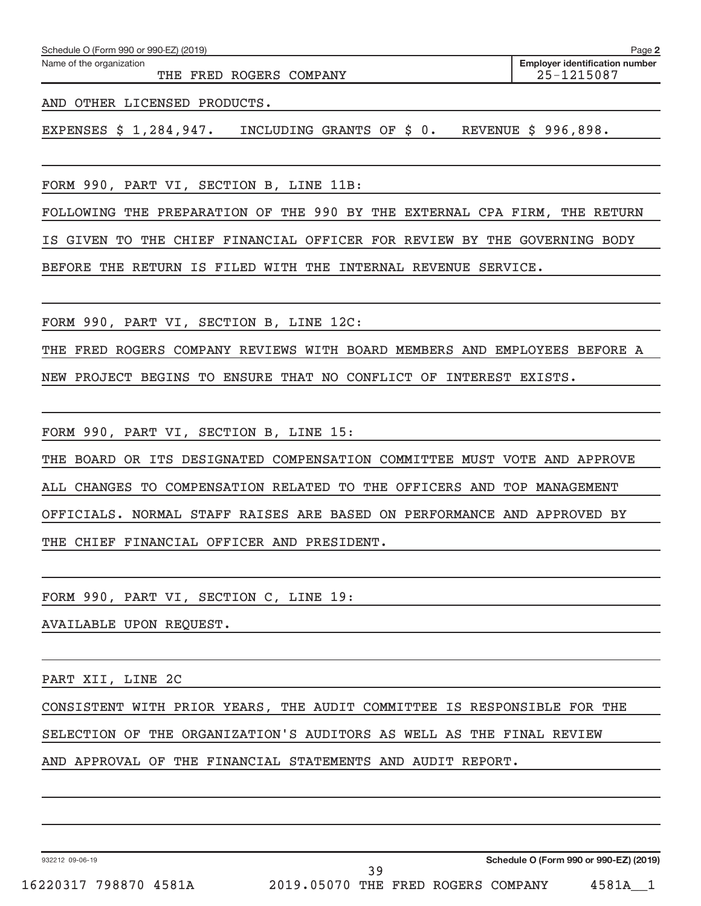| Schedule O (Form 990 or 990-EZ) (2019)                                    | Page 2                                              |
|---------------------------------------------------------------------------|-----------------------------------------------------|
| Name of the organization<br>THE FRED ROGERS COMPANY                       | <b>Employer identification number</b><br>25-1215087 |
| AND OTHER LICENSED PRODUCTS.                                              |                                                     |
| EXPENSES \$ 1,284,947. INCLUDING GRANTS OF \$ 0. REVENUE \$ 996,898.      |                                                     |
|                                                                           |                                                     |
| FORM 990, PART VI, SECTION B, LINE 11B:                                   |                                                     |
| FOLLOWING THE PREPARATION OF THE 990 BY THE EXTERNAL CPA FIRM, THE RETURN |                                                     |
| IS GIVEN TO THE CHIEF FINANCIAL OFFICER FOR REVIEW BY THE GOVERNING BODY  |                                                     |
| BEFORE THE RETURN IS FILED WITH THE INTERNAL REVENUE SERVICE.             |                                                     |
|                                                                           |                                                     |
| FORM 990, PART VI, SECTION B, LINE 12C:                                   |                                                     |
| THE FRED ROGERS COMPANY REVIEWS WITH BOARD MEMBERS AND EMPLOYEES BEFORE A |                                                     |
| NEW PROJECT BEGINS TO ENSURE THAT NO CONFLICT OF INTEREST EXISTS.         |                                                     |
|                                                                           |                                                     |
| FORM 990, PART VI, SECTION B, LINE 15:                                    |                                                     |
| THE BOARD OR ITS DESIGNATED COMPENSATION COMMITTEE MUST VOTE AND APPROVE  |                                                     |
| ALL CHANGES TO COMPENSATION RELATED TO THE OFFICERS AND TOP MANAGEMENT    |                                                     |
| OFFICIALS. NORMAL STAFF RAISES ARE BASED ON PERFORMANCE AND APPROVED BY   |                                                     |
| THE CHIEF FINANCIAL OFFICER AND PRESIDENT.                                |                                                     |
|                                                                           |                                                     |
| FORM 990, PART VI, SECTION C, LINE 19:                                    |                                                     |
| AVAILABLE UPON REQUEST.                                                   |                                                     |
|                                                                           |                                                     |
| PART XII, LINE 2C                                                         |                                                     |
| CONSISTENT WITH PRIOR YEARS, THE AUDIT COMMITTEE IS RESPONSIBLE FOR THE   |                                                     |
| SELECTION OF THE ORGANIZATION'S AUDITORS AS WELL AS THE FINAL REVIEW      |                                                     |
| AND APPROVAL OF THE FINANCIAL STATEMENTS AND AUDIT REPORT.                |                                                     |
|                                                                           |                                                     |

932212 09-06-19

**Schedule O (Form 990 or 990-EZ) (2019)**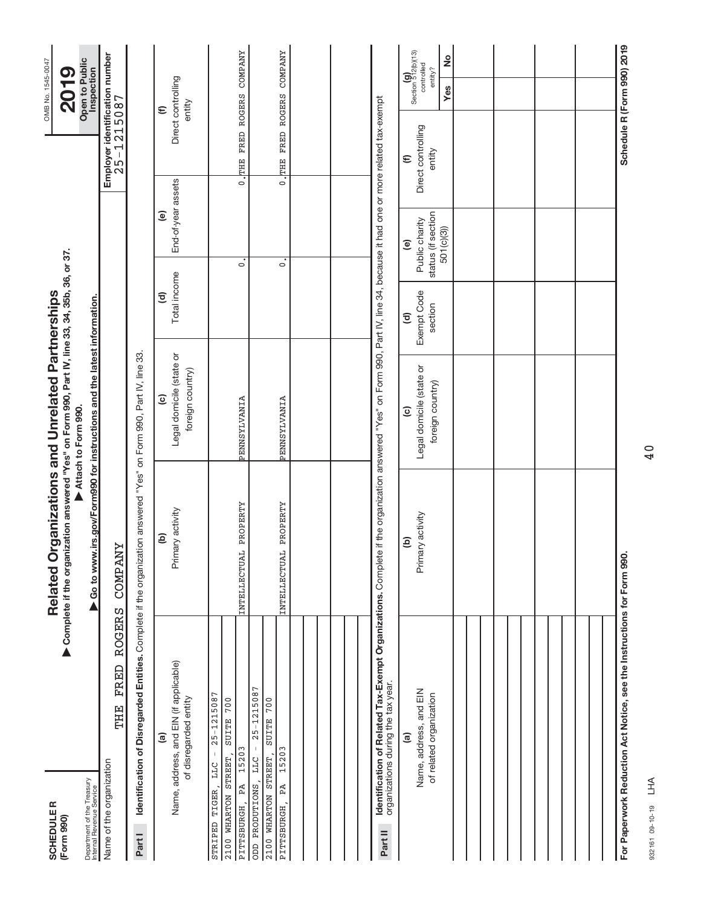| <b>SCHEDULER</b><br>(Form 990)                                                                                               |                       | Complete if the organization answered "Yes" on Form 990, Part IV, line 33, 34, 35b, 36, or 37.<br>Related O        | rganizations and Unrelated Partnerships                                                                         |                                          |                                                                             |                                                      | OMB No. 1545-0047<br><b>2019</b>                                    |
|------------------------------------------------------------------------------------------------------------------------------|-----------------------|--------------------------------------------------------------------------------------------------------------------|-----------------------------------------------------------------------------------------------------------------|------------------------------------------|-----------------------------------------------------------------------------|------------------------------------------------------|---------------------------------------------------------------------|
| Department of the Treasury<br>Internal Revenue Service                                                                       |                       | ▶ Go to www.irs.gov/Form990 for instructions and the latest information.                                           | Attach to Form 990.                                                                                             |                                          |                                                                             |                                                      | Open to Public<br>Inspection                                        |
| THE<br>Name of the organization                                                                                              | <b>ROGERS</b><br>FRED | <b>COMPANY</b>                                                                                                     |                                                                                                                 |                                          |                                                                             | Employer identification number<br>25-1215087         |                                                                     |
| Partl                                                                                                                        |                       | Identification of Disregarded Entities. Complete if the organization answered "Yes" on Form 990, Part IV, line 33. |                                                                                                                 |                                          |                                                                             |                                                      |                                                                     |
| Name, address, and EIN (if applicable)<br>of disregarded entity<br>$\widehat{a}$                                             |                       | Primary activity<br>ê                                                                                              | Legal domicile (state or<br>foreign country)<br>$\widehat{\mathbf{c}}$                                          | Total income<br>$\widehat{\mathbf{c}}$   | End-of-year assets<br>$\widehat{\mathbf{e}}$                                |                                                      | Direct controlling<br>entity<br>$\widehat{\epsilon}$                |
| $25 - 1215087$<br>700<br><b>SUITE</b><br>15203<br>2100 WHARTON STREET,<br>LLC<br>PA<br>STRIPED TIGER<br>PITTSBURGH,          |                       | PROPERTY<br>INTELLECTUAL                                                                                           | PENNSYLVANIA                                                                                                    |                                          | $\dot{\circ}$                                                               | FRED ROGERS<br>0.7HHE                                | <b>COMPANY</b>                                                      |
| $25 - 1215087$<br>SUITE 700<br>$\vert$<br>15203<br>2100 WHARTON STREET,<br>LLC<br>ODD PRODUTIONS,<br>PÅ<br><b>PITTSBURGH</b> |                       | PROPERTY<br>INTELLECTUAL                                                                                           | PENNSYLVANIA                                                                                                    |                                          | $\ddot{\circ}$                                                              | $\overline{\cdot}$                                   | THE FRED ROGERS COMPANY                                             |
|                                                                                                                              |                       |                                                                                                                    |                                                                                                                 |                                          |                                                                             |                                                      |                                                                     |
|                                                                                                                              |                       |                                                                                                                    |                                                                                                                 |                                          |                                                                             |                                                      |                                                                     |
| Identification of Related Tax-Exempt Organizations. Complete<br>organizations during the tax year.<br>Part II                |                       |                                                                                                                    | if the organization answered "Yes" on Form 990, Part IV, line 34, because it had one or more related tax-exempt |                                          |                                                                             |                                                      |                                                                     |
| Name, address, and EIN<br>of related organization<br>$\widehat{a}$                                                           |                       | Primary activity<br>ê                                                                                              | Legal domicile (state or<br>foreign country)<br>$\widehat{c}$                                                   | Exempt Code<br>section<br>$\overline{c}$ | status (if section<br>Public charity<br>501(c)(3)<br>$\widehat{\mathbf{e}}$ | Direct controlling<br>entity<br>$\widehat{\epsilon}$ | Section 512(b)(13)<br>controlled<br>$\frac{1}{2}$<br>entity?<br>Yes |
|                                                                                                                              |                       |                                                                                                                    |                                                                                                                 |                                          |                                                                             |                                                      |                                                                     |
|                                                                                                                              |                       |                                                                                                                    |                                                                                                                 |                                          |                                                                             |                                                      |                                                                     |
|                                                                                                                              |                       |                                                                                                                    |                                                                                                                 |                                          |                                                                             |                                                      |                                                                     |
|                                                                                                                              |                       |                                                                                                                    |                                                                                                                 |                                          |                                                                             |                                                      |                                                                     |
| For Paperwork Reduction Act Notice, see the Instructions for Form 990.                                                       |                       |                                                                                                                    |                                                                                                                 |                                          |                                                                             |                                                      | Schedule R (Form 990) 2019                                          |

932161 09-10-19 932161 09-10-19 LHA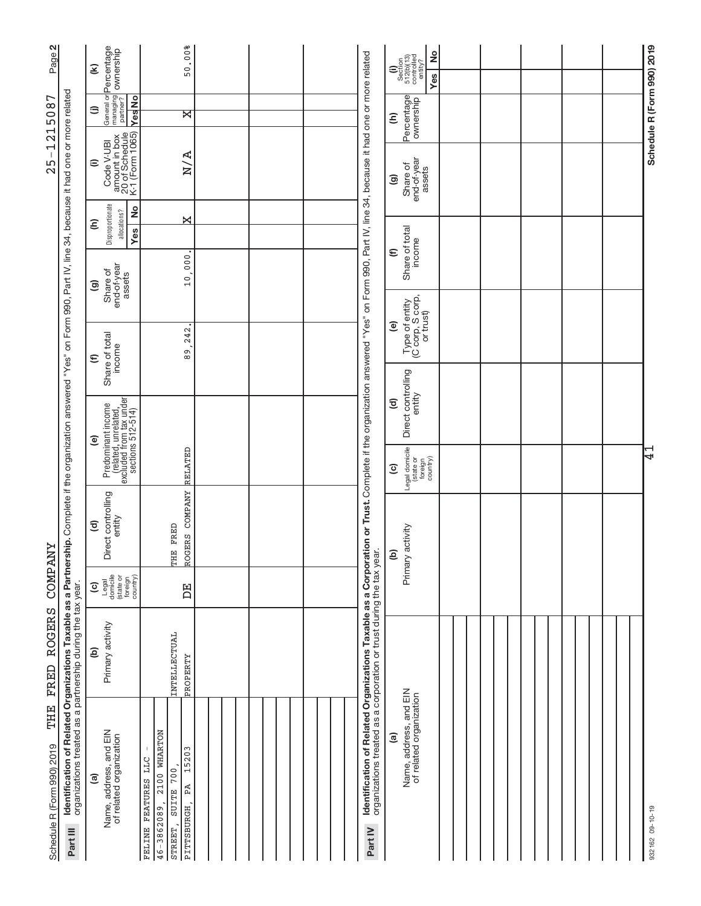| $\mathbf{N}$<br>Page?<br>215087                                                                                                                                                                                                                                                                 | General or <b>Percentage</b><br>managing <b>ownership</b><br>partner?<br>E<br><b>Yes</b> No<br>⊜ | 50.00%<br>ੇ                                                                                                       |  |  |
|-------------------------------------------------------------------------------------------------------------------------------------------------------------------------------------------------------------------------------------------------------------------------------------------------|--------------------------------------------------------------------------------------------------|-------------------------------------------------------------------------------------------------------------------|--|--|
| $\overline{\phantom{0}}$<br>$\mathbf I$<br>25                                                                                                                                                                                                                                                   | amount in box<br>20 of Schedule<br>K-1 (Form 1065)<br>Code V-UBI<br>$\widehat{=}$                | N/A                                                                                                               |  |  |
|                                                                                                                                                                                                                                                                                                 | Disproportionate<br>2<br>allocations?<br>Ξ<br>Yes                                                | X                                                                                                                 |  |  |
|                                                                                                                                                                                                                                                                                                 | end-of-year<br>Share of<br>assets<br>ම                                                           | 10,000                                                                                                            |  |  |
|                                                                                                                                                                                                                                                                                                 | Share of total<br>income<br>$\widehat{\epsilon}$                                                 | 242<br>თ.<br>თ                                                                                                    |  |  |
|                                                                                                                                                                                                                                                                                                 |                                                                                                  |                                                                                                                   |  |  |
|                                                                                                                                                                                                                                                                                                 | Predominant income<br>(related, unrelated,<br>excluded from tax under<br>sections 512-514)<br>ම  | RELATED                                                                                                           |  |  |
|                                                                                                                                                                                                                                                                                                 | Direct controlling<br>entity<br>$\widehat{\mathbf{c}}$                                           | ROGERS COMPANY<br>THE FRED                                                                                        |  |  |
| <b><i>COMPANY</i></b>                                                                                                                                                                                                                                                                           | Legal<br>domicile<br>(state or<br>foreign<br>country)<br>$\widehat{\mathbf{c}}$                  | 呂                                                                                                                 |  |  |
| <b>ROGERS</b><br><b>FRED</b>                                                                                                                                                                                                                                                                    | Primary activity<br>ව                                                                            | INTELLECTUAL<br>PROPERTY                                                                                          |  |  |
| Identification of Related Organizations Taxable as a Partnership. Complete if the organization answered "Yes" on Form 990, Part IV, line 34, because it had one or more related<br>organizations treated as a partnership during the tax year.<br>THE<br>Schedule R (Form 990) 2019<br>Part III | Name, address, and EIN<br>of related organization<br>ම                                           | 2100 WHARTON<br>15203<br>FELINE FEATURES LLC<br>700<br>PĀ<br><b>SUITE</b><br>46-3862089,<br>PITTSBURGH<br>STREET, |  |  |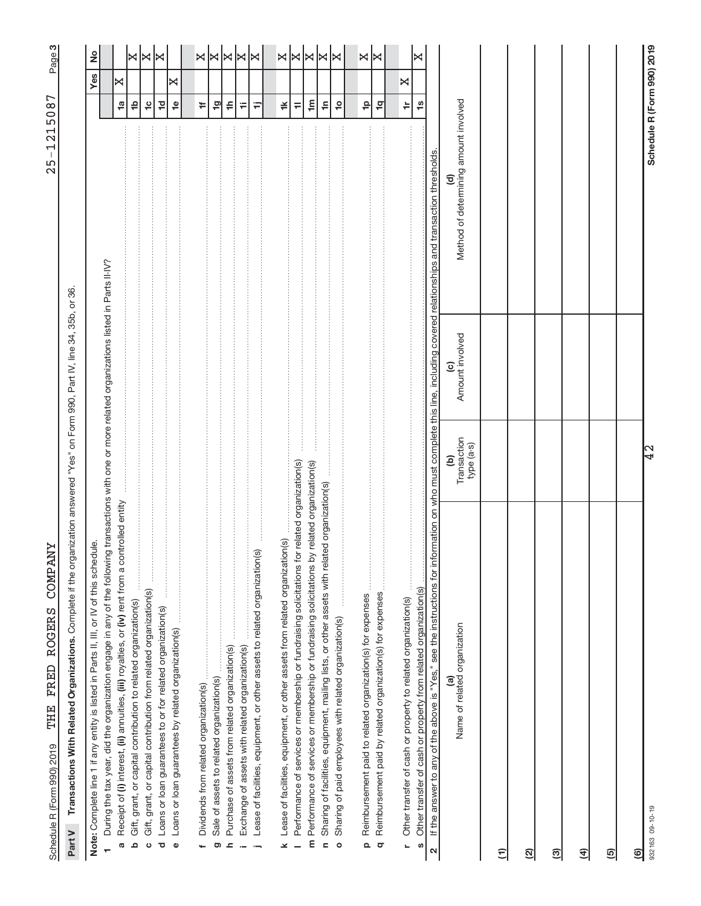| I<br>ı<br>ļ                                                                        |  |
|------------------------------------------------------------------------------------|--|
|                                                                                    |  |
|                                                                                    |  |
|                                                                                    |  |
| l<br>l<br>i                                                                        |  |
| İ                                                                                  |  |
|                                                                                    |  |
| <br> <br> <br>ī<br>l<br>į<br>֖֖֦֧ׅ֖֖֪ׅ֖֧֧֧֚֚֚֚֚֚֚֚֚֚֚֚֚֚֚֚֚֚֚֚֚֚֚֚֚֚֡֝֜֝֝֝֓֝֓<br>l |  |
| $\frac{1}{2}$<br>į<br>ļ<br>l<br>ī<br>¢                                             |  |

က|

Part V Transactions With Related Organizations. Complete if the organization answered "Yes" on Form 990, Part IV, line 34, 35b, or 36. Complete if the organization answered "Yes" on Form 990, Part IV, line 34, 35b, or 36. **Part V Transactions With Related Organizations.** 

| Note: Complete line 1 if any entity is listed in Parts II, III, or IV of this schedule.                                                                                                           |                                  |                 |                                            |                            | Yes | $\frac{1}{2}$      |
|---------------------------------------------------------------------------------------------------------------------------------------------------------------------------------------------------|----------------------------------|-----------------|--------------------------------------------|----------------------------|-----|--------------------|
| During the tax year, did the organization engage in any of the following transactions with one or more related organizations listed in Parts II-IV?                                               |                                  |                 |                                            |                            |     |                    |
| Receipt of (i) interest, (ii) annuities, (iii) royalties, or (iv) rent from a controlled entity<br>Ø                                                                                              |                                  |                 |                                            | $\frac{1}{2}$              | X   |                    |
| Gift, grant, or capital contribution to related organization(s)<br>Δ                                                                                                                              |                                  |                 |                                            | ₽                          |     | ×                  |
| Gift, grant, or capital contribution from related organization(s)<br>$\circ$                                                                                                                      |                                  |                 |                                            | $\frac{1}{2}$              |     | ×                  |
| Loans or loan guarantees to or for related organization(s)<br>ত                                                                                                                                   |                                  |                 |                                            | $\frac{1}{2}$              |     | I×                 |
| Loans or loan guarantees by related organization(s)<br>$\pmb{\circ}$                                                                                                                              |                                  |                 |                                            | $\frac{1}{2}$              | ×   |                    |
|                                                                                                                                                                                                   |                                  |                 |                                            |                            |     |                    |
|                                                                                                                                                                                                   |                                  |                 |                                            | <b>÷</b>                   |     | ×∣×                |
| Sale of assets to related organization(s)<br>ත                                                                                                                                                    |                                  |                 |                                            | $\overline{1}$ g           |     |                    |
| Purchase of assets from related organization(s)<br>ᇰ                                                                                                                                              |                                  |                 |                                            | ≑                          |     | ×                  |
| ŧ<br>Exchange of assets with related organization(s)                                                                                                                                              |                                  |                 |                                            | Ŧ                          |     |                    |
| Lease of facilities, equipment, or other assets to related organization(s)                                                                                                                        |                                  |                 |                                            | Ξ                          |     | ×∣×                |
| Lease of facilities, equipment, or other assets from related organization(s)<br>×                                                                                                                 |                                  |                 |                                            | ≚                          |     |                    |
| related organization(s)<br>Performance of services or membership or fundraising solicitations for                                                                                                 |                                  |                 |                                            | $\equiv$                   |     |                    |
| related organization(s)<br>Performance of services or membership or fundraising solicitations by<br>E                                                                                             |                                  |                 |                                            | $\mathop{\mathsf{E}}$      |     | $\frac{1}{\infty}$ |
| Sharing of facilities, equipment, mailing lists, or other assets with related organization(s)<br>$\epsilon$                                                                                       |                                  |                 |                                            | €                          |     | ∣≍                 |
| Sharing of paid employees with related organization(s)<br>$\circ$                                                                                                                                 |                                  |                 |                                            | $\overline{c}$             |     | ⋈                  |
| Reimbursement paid to related organization(s) for expenses                                                                                                                                        |                                  |                 |                                            | $\frac{1}{2}$              |     |                    |
| Reimbursement paid by related organization(s) for expenses<br>Q<br>q                                                                                                                              |                                  |                 |                                            | $\frac{1}{2}$              |     | ×∣×                |
|                                                                                                                                                                                                   |                                  |                 |                                            |                            |     |                    |
| Other transfer of cash or property to related organization(s)<br>L                                                                                                                                |                                  |                 |                                            | ÷                          | ×   |                    |
| Other transfer of cash or property from related organization(s)<br>S                                                                                                                              |                                  |                 |                                            | $\frac{6}{1}$              |     | ×                  |
| If the answer to any of the above is "Yes," see the instructions for information on who must complete this line, including covered relationships and transaction thresholds.<br>$\mathbf{\Omega}$ |                                  |                 |                                            |                            |     |                    |
| Name of related organization                                                                                                                                                                      | (b)<br>Transaction<br>type (a-s) | Amount involved | Method of determining amount involved<br>ತ |                            |     |                    |
| Ξ                                                                                                                                                                                                 |                                  |                 |                                            |                            |     |                    |
| ତ୍ର                                                                                                                                                                                               |                                  |                 |                                            |                            |     |                    |
| ඔ                                                                                                                                                                                                 |                                  |                 |                                            |                            |     |                    |
| E                                                                                                                                                                                                 |                                  |                 |                                            |                            |     |                    |
| ම                                                                                                                                                                                                 |                                  |                 |                                            |                            |     |                    |
| ම                                                                                                                                                                                                 |                                  |                 |                                            |                            |     |                    |
| 932163 09-10-19                                                                                                                                                                                   | $\overline{42}$                  |                 |                                            | Schedule R (Form 990) 2019 |     |                    |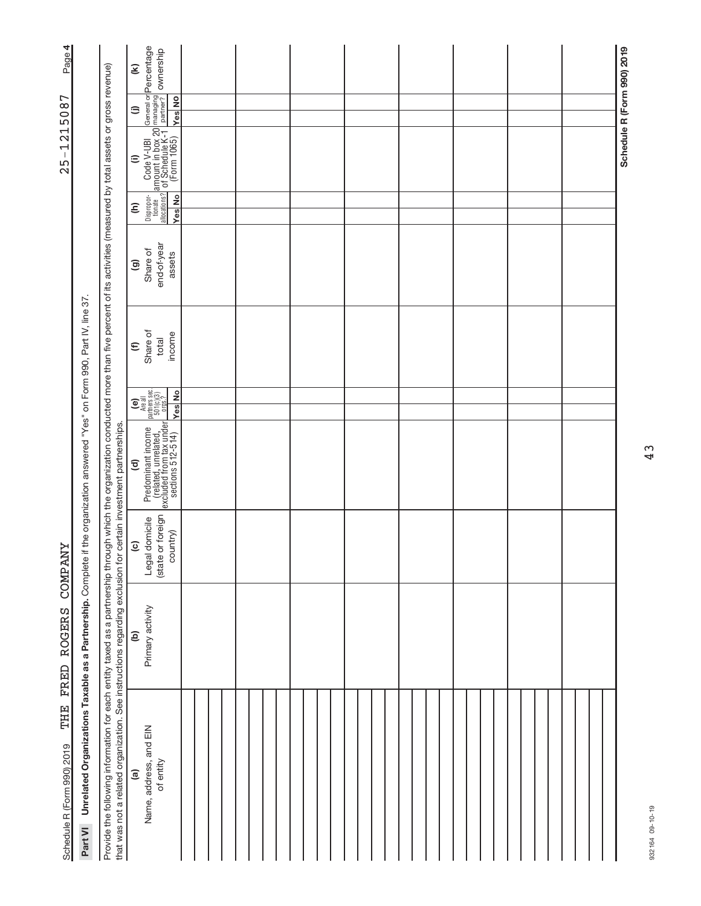| Page 4                            |                                                                                                                                        |                                                                                                                                                                                                                                                                                                                                  | $\mathbf{\widehat{\mathcal{E}}}$ |                                                                                                                                                                              |  |  |  |  |  |  |  |  |  |  |  |  |  |  |  |                            |
|-----------------------------------|----------------------------------------------------------------------------------------------------------------------------------------|----------------------------------------------------------------------------------------------------------------------------------------------------------------------------------------------------------------------------------------------------------------------------------------------------------------------------------|----------------------------------|------------------------------------------------------------------------------------------------------------------------------------------------------------------------------|--|--|--|--|--|--|--|--|--|--|--|--|--|--|--|----------------------------|
|                                   |                                                                                                                                        |                                                                                                                                                                                                                                                                                                                                  | $\oplus$                         | <b>Yes</b> No                                                                                                                                                                |  |  |  |  |  |  |  |  |  |  |  |  |  |  |  |                            |
| 1215087<br>$\mathsf I$<br>25      |                                                                                                                                        |                                                                                                                                                                                                                                                                                                                                  | $\widehat{=}$                    | Code V-UBI   General or Percentage<br>  amount in box 20 <sup>managing</sup>   ownership<br>  0'f Schedule K-1   partner?   ownership<br>  (Form 1065)   <sub>Mee   Mo</sub> |  |  |  |  |  |  |  |  |  |  |  |  |  |  |  | Schedule R (Form 990) 2019 |
|                                   |                                                                                                                                        |                                                                                                                                                                                                                                                                                                                                  | $\widehat{\epsilon}$             | Dispropor-<br>tionate<br>allocations?<br><b>Yes</b> No                                                                                                                       |  |  |  |  |  |  |  |  |  |  |  |  |  |  |  |                            |
|                                   |                                                                                                                                        |                                                                                                                                                                                                                                                                                                                                  | $\widehat{\mathbf{e}}$           | end-of-year<br>Share of<br>assets                                                                                                                                            |  |  |  |  |  |  |  |  |  |  |  |  |  |  |  |                            |
|                                   |                                                                                                                                        |                                                                                                                                                                                                                                                                                                                                  | $\widehat{\epsilon}$             | Share of<br>income<br>total                                                                                                                                                  |  |  |  |  |  |  |  |  |  |  |  |  |  |  |  |                            |
|                                   |                                                                                                                                        |                                                                                                                                                                                                                                                                                                                                  |                                  | $\begin{bmatrix} \mathbf{e} \\ \mathbf{h} \end{bmatrix}$<br>Are all<br>partners sec.<br>501(c)(3)<br><b>Yes</b> No                                                           |  |  |  |  |  |  |  |  |  |  |  |  |  |  |  |                            |
|                                   |                                                                                                                                        |                                                                                                                                                                                                                                                                                                                                  | ਰ                                | Predominant income<br>(related, unrelated,<br>excluded from tax under<br>sections 512-514)                                                                                   |  |  |  |  |  |  |  |  |  |  |  |  |  |  |  |                            |
| <b>COMPANY</b>                    |                                                                                                                                        |                                                                                                                                                                                                                                                                                                                                  | $\widehat{\mathbf{c}}$           | or foreign<br>Legal domicile<br>country)<br>(state                                                                                                                           |  |  |  |  |  |  |  |  |  |  |  |  |  |  |  |                            |
| FRED ROGERS                       |                                                                                                                                        |                                                                                                                                                                                                                                                                                                                                  | ê                                | Primary activity                                                                                                                                                             |  |  |  |  |  |  |  |  |  |  |  |  |  |  |  |                            |
| THE<br>Schedule R (Form 990) 2019 | Unrelated Organizations Taxable as a Partnership. Complete if the organization answered "Yes" on Form 990, Part IV, line 37<br>Part VI | Provide the following information for each entity taxed as a partnership through through which the organization conducted more than five percent of its activities (measured by total assets or gross revenue)<br>that was not a related organization. See instructions regarding exclusion for certain investment partnerships. | $\widehat{a}$                    | Name, address, and EIN<br>of entity                                                                                                                                          |  |  |  |  |  |  |  |  |  |  |  |  |  |  |  |                            |

**Page 4**  $25 - 1215087$